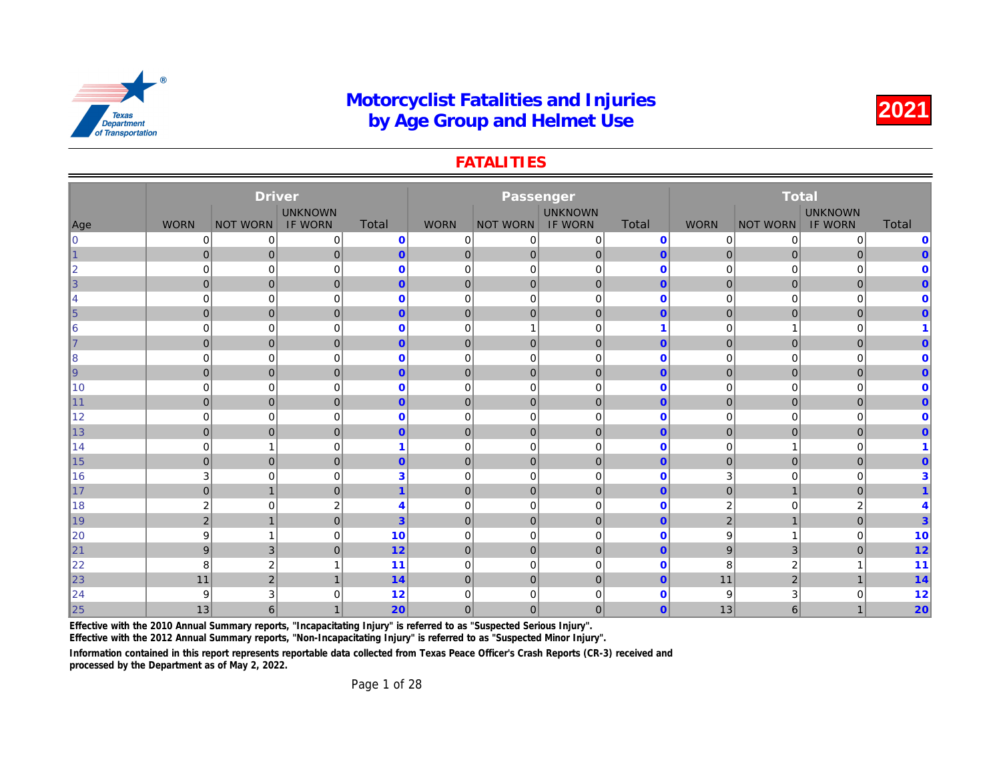#### **FATALITIES**

|                 |                | <b>Driver</b>    |                |                |                |                 |                |                         |                |              |
|-----------------|----------------|------------------|----------------|----------------|----------------|-----------------|----------------|-------------------------|----------------|--------------|
|                 |                |                  | <b>UNKNOWN</b> |                |                |                 | <b>UNKNOWN</b> |                         |                |              |
| Age             | <b>WORN</b>    | <b>NOT WORN</b>  | <b>IF WORN</b> | Total          | <b>WORN</b>    | <b>NOT WORN</b> | <b>IF WORN</b> | Total                   | <b>WORN</b>    | <b>NOT W</b> |
| $\overline{0}$  | 0              | 0                | 0              | $\mathbf 0$    | $\mathbf 0$    | 0               | $\mathbf 0$    | $\mathbf 0$             | 0              |              |
| 1               | $\overline{0}$ | $\mathbf 0$      | $\overline{0}$ | $\overline{0}$ | $\overline{0}$ | 0               | $\mathbf{0}$   | $\mathbf{0}$            | $\mathbf{0}$   |              |
| $\overline{2}$  | $\overline{0}$ | $\mathbf 0$      | 0              | $\mathbf{0}$   | $\mathbf 0$    | $\mathbf 0$     | $\mathbf 0$    | $\mathbf 0$             | $\mathbf 0$    |              |
| 3               | 0              | $\mathbf 0$      | $\mathbf{0}$   | $\overline{0}$ | $\mathbf 0$    | 0               | $\mathbf 0$    | $\overline{0}$          | $\mathbf 0$    |              |
| 4               | $\mathbf 0$    | 0                | $\mathbf 0$    | $\mathbf{0}$   | $\mathbf 0$    | $\mathbf 0$     | $\mathbf 0$    | $\mathbf 0$             | 0              |              |
| $\vert 5 \vert$ | $\overline{0}$ | $\pmb{0}$        | $\mathbf 0$    | $\overline{0}$ | $\mathbf 0$    | $\mathbf{0}$    | $\mathbf 0$    | $\mathbf{0}$            | $\mathbf 0$    |              |
| 6               | $\mathbf 0$    | 0                | 0              | $\mathbf 0$    | $\mathbf 0$    | 1               | $\mathbf 0$    | $\overline{\mathbf{1}}$ | 0              |              |
| 7               | $\overline{0}$ | $\pmb{0}$        | $\mathbf{0}$   | $\overline{0}$ | $\mathbf 0$    | $\mathbf 0$     | $\mathbf 0$    | $\mathbf{0}$            | $\mathbf 0$    |              |
| 8               | $\mathbf 0$    | 0                | 0              | $\mathbf 0$    | $\mathbf 0$    | $\mathbf 0$     | $\mathbf 0$    | $\mathbf 0$             | 0              |              |
| <u> g</u>       | $\overline{0}$ | $\pmb{0}$        | $\mathbf{0}$   | $\overline{0}$ | $\mathbf 0$    | $\mathbf 0$     | $\mathbf 0$    | $\mathbf{0}$            | $\mathbf 0$    |              |
| 10              | $\mathbf 0$    | 0                | 0              | $\mathbf 0$    | $\mathbf 0$    | $\mathbf 0$     | $\mathbf 0$    | $\mathbf 0$             | 0              |              |
| 11              | $\overline{0}$ | $\mathbf 0$      | $\mathbf{0}$   | $\overline{0}$ | $\mathbf 0$    | $\mathbf 0$     | $\mathbf 0$    | $\mathbf{0}$            | $\mathbf 0$    |              |
| 12              | $\mathbf 0$    | 0                | 0              | $\mathbf 0$    | $\mathbf 0$    | $\mathbf 0$     | $\mathbf 0$    | $\mathbf 0$             | 0              |              |
| 13              | $\overline{0}$ | $\mathbf 0$      | $\mathbf{0}$   | $\overline{0}$ | $\mathbf 0$    | $\mathbf 0$     | $\mathbf{0}$   | $\mathbf{0}$            | $\mathbf 0$    |              |
| 14              | $\mathbf 0$    | 1                | 0              | 1              | $\mathbf 0$    | $\mathbf 0$     | $\mathbf 0$    | $\mathbf 0$             | 0              |              |
| 15              | $\overline{0}$ | $\mathbf 0$      | $\mathbf{0}$   | $\overline{0}$ | $\mathbf 0$    | $\mathbf 0$     | $\mathbf{0}$   | $\mathbf{0}$            | $\mathbf 0$    |              |
| 16              | 3              | 0                | 0              | 3              | $\mathbf 0$    | $\mathbf 0$     | $\mathbf 0$    | $\mathbf 0$             | 3              |              |
| 17              | $\overline{0}$ | $\mathbf{1}$     | $\mathbf{0}$   | $\overline{1}$ | $\mathbf 0$    | $\mathbf 0$     | $\mathbf{0}$   | $\mathbf{0}$            | $\mathbf 0$    |              |
| 18              | $\overline{2}$ | $\mathbf 0$      | $\overline{2}$ | $\overline{4}$ | $\overline{0}$ | $\mathbf 0$     | $\mathbf 0$    | $\mathbf 0$             | 2              |              |
| 19              | $\overline{2}$ | $\mathbf{1}$     | $\mathbf{0}$   | $\overline{3}$ | $\overline{0}$ | $\mathbf{0}$    | $\overline{0}$ | $\mathbf{0}$            | $\overline{2}$ |              |
| 20              | 9              | $\overline{1}$   | $\mathbf 0$    | 10             | $\overline{0}$ | $\mathbf 0$     | $\Omega$       | $\mathbf 0$             | 9              |              |
| 21              | 9              | 3                | $\mathbf{0}$   | 12             | $\mathbf 0$    | $\mathbf{0}$    | $\mathbf{0}$   | $\overline{0}$          | 9              |              |
| 22              | 8              | $\boldsymbol{2}$ | 1              | 11             | $\overline{0}$ | $\mathbf 0$     | $\mathbf 0$    | $\mathbf 0$             | 8              |              |
| 23              | 11             | $\mathbf 2$      | $\mathbf{1}$   | 14             | $\mathbf 0$    | $\mathbf{0}$    | $\mathbf{0}$   | $\overline{0}$          | 11             |              |
| 24              | 9              | 3                | 0              | 12             | $\mathbf 0$    | $\Omega$        | $\Omega$       | $\mathbf 0$             | 9              |              |
| 25              | 13             | $6\phantom{1}$   |                | 20             | $\mathbf 0$    | $\mathbf{0}$    | $\mathbf{0}$   | $\mathbf{0}$            | 13             |              |

Effective with the 2010 Annual Summary reports, "Incapacitating Injury" is referred to as "Suspected Serious Injury".

Effective with the 2012 Annual Summary reports, "Non-Incapacitating Injury" is referred to as "Suspected Minor Injury".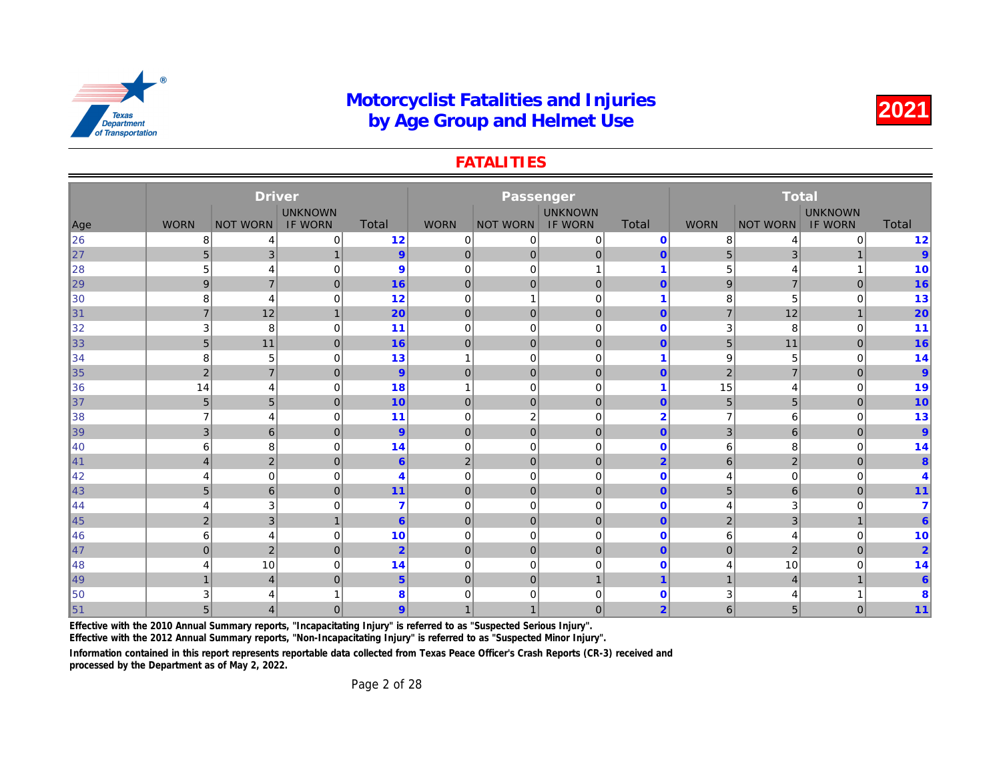#### **FATALITIES**

|     |                | <b>Driver</b>   |                |                  |                         | Passenger       |                |                |                |              |
|-----|----------------|-----------------|----------------|------------------|-------------------------|-----------------|----------------|----------------|----------------|--------------|
|     |                |                 | <b>UNKNOWN</b> |                  |                         |                 | <b>UNKNOWN</b> |                |                |              |
| Age | <b>WORN</b>    | <b>NOT WORN</b> | <b>IF WORN</b> | Total            | <b>WORN</b>             | <b>NOT WORN</b> | <b>IF WORN</b> | Total          | <b>WORN</b>    | <b>NOT W</b> |
| 26  | 8              | 4               | 0              | 12               | $\mathbf 0$             | 0               | $\mathbf 0$    | $\mathbf 0$    | 8              |              |
| 27  | 5              | 3               | $\mathbf{1}$   | 9                | $\overline{0}$          | 0               | $\pmb{0}$      | $\mathbf{0}$   | 5              |              |
| 28  | 5              | $\overline{4}$  | 0              | 9                | $\mathbf 0$             | $\mathbf 0$     | $\mathbf{1}$   | $\overline{1}$ | 5              |              |
| 29  | 9              | $\overline{7}$  | $\mathbf{0}$   | 16               | $\mathbf 0$             | $\mathbf{0}$    | $\mathbf{0}$   | $\mathbf{0}$   | 9              |              |
| 30  | 8              | $\overline{4}$  | 0              | 12               | $\mathbf 0$             | -1              | $\mathbf 0$    | 1              | 8              |              |
| 31  | $\overline{7}$ | 12              | $\mathbf{1}$   | 20               | $\mathbf 0$             | $\mathbf 0$     | $\mathbf 0$    | $\mathbf{0}$   | $\overline{7}$ |              |
| 32  | 3              | 8               | 0              | 11               | $\mathbf 0$             | $\mathbf 0$     | $\mathbf 0$    | $\mathbf 0$    | 3              |              |
| 33  | 5              | 11              | $\mathbf{0}$   | 16               | $\mathbf 0$             | $\mathbf{0}$    | $\mathbf 0$    | $\mathbf{0}$   | 5              |              |
| 34  | 8              | 5               | 0              | 13               | $\overline{\mathbf{1}}$ | $\mathbf 0$     | $\mathbf 0$    | 1              | 9              |              |
| 35  | $\overline{2}$ | $\overline{7}$  | $\mathbf{0}$   | 9                | $\mathbf 0$             | $\mathbf{0}$    | $\mathbf{0}$   | $\mathbf{0}$   | $\overline{2}$ |              |
| 36  | 14             | $\overline{4}$  | 0              | 18               | $\overline{1}$          | $\mathbf 0$     | $\mathbf 0$    | 1              | 15             |              |
| 37  | 5              | 5               | $\mathbf{0}$   | 10               | $\mathbf 0$             | $\mathbf 0$     | $\mathbf 0$    | $\mathbf{0}$   | 5              |              |
| 38  | $\overline{7}$ | $\overline{4}$  | 0              | 11               | $\mathbf 0$             | $\overline{2}$  | $\mathbf 0$    | $\overline{2}$ | $\overline{7}$ |              |
| 39  | $\mathbf{3}$   | 6               | $\mathbf{0}$   | 9                | $\mathbf 0$             | $\mathbf 0$     | $\mathbf 0$    | $\mathbf{0}$   | 3              |              |
| 40  | 6              | 8               | $\mathbf 0$    | 14               | $\overline{0}$          | $\mathbf 0$     | $\mathbf 0$    | $\mathbf 0$    | 6              |              |
| ∥41 | $\overline{4}$ | $\mathbf 2$     | $\mathbf{0}$   | $6^{\circ}$      | $\overline{2}$          | $\mathbf{0}$    | $\overline{0}$ | $\overline{2}$ | 6              |              |
| 42  | 4              | $\mathbf 0$     | $\Omega$       | $\overline{4}$   | $\overline{0}$          | $\Omega$        | $\Omega$       | $\Omega$       | 4              |              |
| 43  | 5 <sup>5</sup> | $6\phantom{1}$  | $\Omega$       | 11               | $\mathbf 0$             | $\mathbf 0$     | $\overline{0}$ | $\mathbf{0}$   | 5              |              |
| 44  |                | 3               | 0              | 7                | $\mathbf 0$             | $\mathbf 0$     | $\mathbf 0$    | $\mathbf 0$    | 4              |              |
| 45  | 2              | 3               | $\mathbf{1}$   | $6 \overline{6}$ | $\mathbf{0}$            | $\mathbf{0}$    | $\mathbf{0}$   | $\mathbf{0}$   | $\overline{2}$ |              |
| 46  | 6              | 4               | 0              | 10               | $\overline{0}$          | $\mathbf 0$     | $\mathbf 0$    | $\mathbf 0$    | 6              |              |
| ∥47 | $\Omega$       | $\mathbf 2$     | $\mathbf{0}$   | $\overline{2}$   | $\mathbf{0}$            | 0               | $\mathbf{0}$   | $\overline{0}$ | $\overline{0}$ |              |
| 48  |                | 10              | 0              | 14               | $\mathbf 0$             | $\mathbf 0$     | $\Omega$       | $\Omega$       | 4              |              |
| 49  |                | $\overline{4}$  | $\overline{0}$ | 5 <sup>5</sup>   | $\mathbf 0$             | $\overline{0}$  | $\mathbf{1}$   | $\overline{1}$ | $\overline{1}$ |              |
| 50  | 3              | 4               |                | 8                | 0                       | $\Omega$        | $\Omega$       | $\mathbf 0$    | 3              |              |
| 51  | 5 <sup>5</sup> | $\overline{4}$  | $\Omega$       | 9                |                         |                 | $\mathbf{0}$   | $\overline{2}$ | 6              |              |

Effective with the 2010 Annual Summary reports, "Incapacitating Injury" is referred to as "Suspected Serious Injury".

Effective with the 2012 Annual Summary reports, "Non-Incapacitating Injury" is referred to as "Suspected Minor Injury".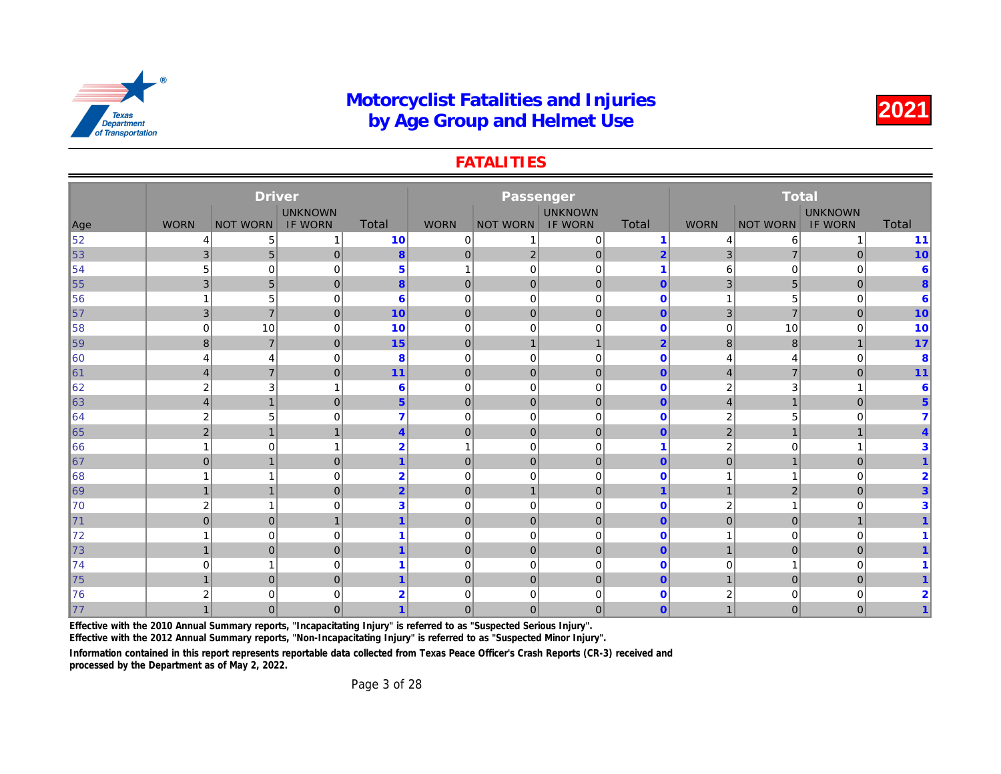#### **FATALITIES**

|     |                | <b>Driver</b>   |                |                         |                | Passenger       |                                  |                |                |              |
|-----|----------------|-----------------|----------------|-------------------------|----------------|-----------------|----------------------------------|----------------|----------------|--------------|
|     | <b>WORN</b>    |                 | <b>UNKNOWN</b> | Total                   | <b>WORN</b>    |                 | <b>UNKNOWN</b><br><b>IF WORN</b> | Total          |                |              |
| Age |                | <b>NOT WORN</b> | <b>IF WORN</b> |                         |                | <b>NOT WORN</b> |                                  |                | <b>WORN</b>    | <b>NOT W</b> |
| 52  | 4              | 5               | 1              | 10                      | $\mathbf 0$    |                 | $\pmb{0}$                        | $\overline{1}$ | 4              |              |
| 53  | 3              | 5               | $\overline{0}$ | $\boldsymbol{8}$        | $\mathbf 0$    | 2               | $\mathbf 0$                      | $\overline{2}$ | $\overline{3}$ |              |
| 54  | 5              | 0               | $\mathbf 0$    | $\overline{5}$          | $\mathbf{1}$   | $\mathbf 0$     | $\mathbf 0$                      | $\overline{1}$ | 6              |              |
| 55  | 3              | 5               | $\overline{0}$ | 8                       | $\overline{0}$ | 0               | $\mathbf{0}$                     | $\overline{0}$ | 3              |              |
| 56  |                | 5               | $\mathbf 0$    | 6                       | $\mathbf 0$    | $\overline{0}$  | $\mathbf 0$                      | $\mathbf 0$    | 1              |              |
| 57  | 3              | $\overline{7}$  | $\overline{0}$ | 10                      | $\pmb{0}$      | 0               | $\mathbf 0$                      | $\mathbf{0}$   | $\mathbf{3}$   |              |
| 58  | 0              | 10              | $\mathbf 0$    | 10                      | $\mathbf 0$    | $\mathbf 0$     | $\mathbf 0$                      | $\mathbf 0$    | $\overline{0}$ |              |
| 59  | 8              | $\overline{7}$  | $\overline{0}$ | 15                      | $\mathbf 0$    | $\mathbf{1}$    | $\mathbf{1}$                     | $\overline{2}$ | $\bf{8}$       |              |
| 60  | 4              | 4               | $\overline{0}$ | 8                       | $\mathbf 0$    | $\mathbf 0$     | $\mathbf 0$                      | $\mathbf 0$    | 4              |              |
| 61  | $\overline{4}$ | $\overline{7}$  | $\overline{0}$ | 11                      | $\mathbf 0$    | $\overline{0}$  | $\mathbf 0$                      | $\mathbf{0}$   | 4              |              |
| 62  | $\overline{2}$ | 3               | 1              | 6                       | $\mathbf 0$    | $\mathbf 0$     | $\mathbf 0$                      | $\mathbf 0$    | 2              |              |
| 63  | $\overline{4}$ | $\mathbf{1}$    | $\overline{0}$ | 5 <sup>5</sup>          | $\mathbf 0$    | $\overline{0}$  | $\mathbf 0$                      | $\mathbf{0}$   | 4              |              |
| 64  | $\overline{2}$ | 5               | $\mathbf 0$    | $\overline{7}$          | $\mathbf 0$    | $\mathbf 0$     | $\mathbf 0$                      | $\mathbf 0$    | $\overline{2}$ |              |
| 65  | $\overline{2}$ | $\mathbf{1}$    | $\overline{1}$ | $\overline{4}$          | $\overline{0}$ | 0               | $\mathbf{0}$                     | $\mathbf{0}$   | $\overline{2}$ |              |
| 66  |                | 0               |                | $\overline{2}$          | $\overline{1}$ | $\Omega$        | $\mathbf 0$                      |                | 2              |              |
| 67  | $\Omega$       | $\mathbf{1}$    | $\overline{0}$ | $\mathbf{1}$            | $\overline{0}$ | 0               | $\mathbf{0}$                     | $\mathbf{0}$   | $\overline{0}$ |              |
| 68  |                | 1               | $\mathbf 0$    | $\overline{2}$          | $\mathbf 0$    | $\Omega$        | $\mathbf 0$                      | $\mathbf 0$    |                |              |
| 69  | $\mathbf{1}$   | $\mathbf{1}$    | $\overline{0}$ | $\overline{2}$          | $\overline{0}$ | $\mathbf{1}$    | $\mathbf{0}$                     | $\overline{1}$ | $\mathbf{1}$   |              |
| 70  | $\overline{2}$ | 1               | $\mathbf 0$    | 3                       | $\mathbf 0$    | $\Omega$        | $\mathbf 0$                      | $\mathbf 0$    | $\overline{2}$ |              |
| 71  | 0              | $\mathsf 0$     | $\mathbf{1}$   | $\blacktriangleleft$    | $\overline{0}$ | $\overline{0}$  | $\mathbf 0$                      | $\mathbf{0}$   | $\overline{0}$ |              |
| 72  |                | 0               | $\mathbf 0$    |                         | $\mathbf 0$    | $\Omega$        | $\mathbf 0$                      | $\mathbf 0$    |                |              |
| 73  | $\overline{1}$ | $\overline{0}$  | $\overline{0}$ | $\overline{\mathbf{1}}$ | $\overline{0}$ | 0               | $\mathbf{0}$                     | $\overline{0}$ | $\overline{1}$ |              |
| 74  | $\Omega$       | 1               | $\mathbf 0$    |                         | $\mathbf 0$    | $\mathbf 0$     | $\mathbf 0$                      | $\mathbf 0$    | 0              |              |
| 75  |                | $\overline{0}$  | $\overline{0}$ | $\blacktriangleleft$    | $\overline{0}$ | 0               | $\pmb{0}$                        | $\mathbf{0}$   | $\overline{1}$ |              |
| 76  | ◠              | 0               | 0              | $\overline{2}$          | $\mathbf 0$    | $\Omega$        | 0                                | $\mathbf 0$    | 2              |              |
| 77  |                | $\overline{0}$  | $\overline{0}$ |                         | $\mathbf{0}$   | 0               | 0                                | $\overline{0}$ | 1              |              |

Effective with the 2010 Annual Summary reports, "Incapacitating Injury" is referred to as "Suspected Serious Injury".

Effective with the 2012 Annual Summary reports, "Non-Incapacitating Injury" is referred to as "Suspected Minor Injury".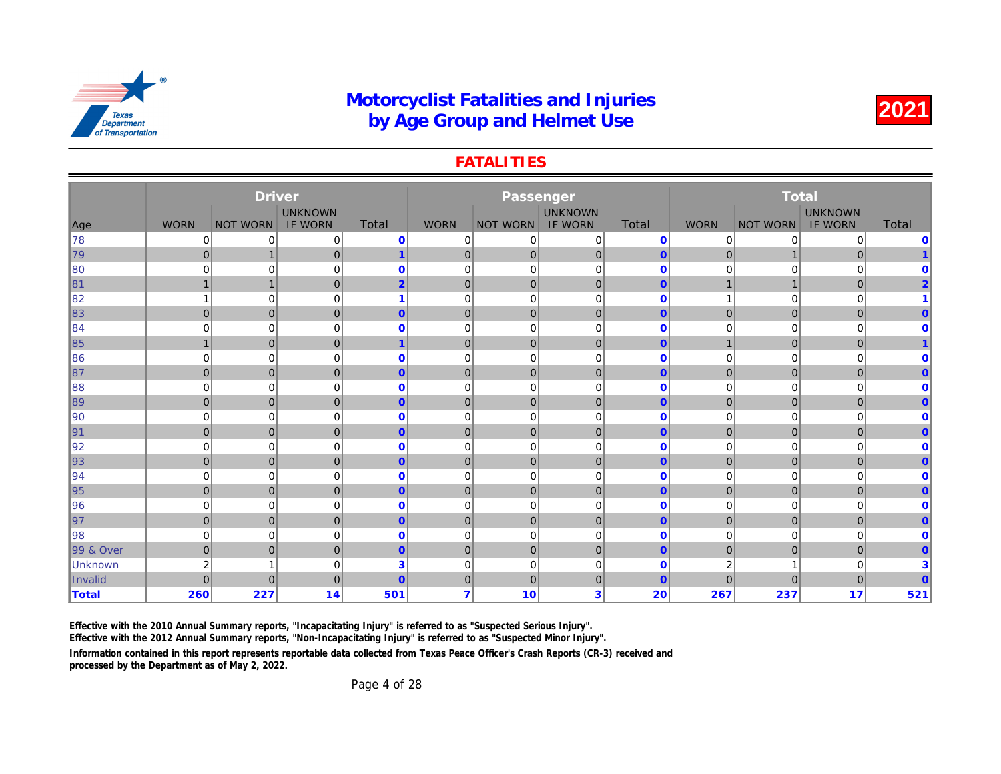#### **FATALITIES**

|                |                | <b>Driver</b>   |                |                |                | Passenger       |                |              |                |              |
|----------------|----------------|-----------------|----------------|----------------|----------------|-----------------|----------------|--------------|----------------|--------------|
|                |                |                 | <b>UNKNOWN</b> |                |                |                 | <b>UNKNOWN</b> |              |                |              |
| Age            | <b>WORN</b>    | <b>NOT WORN</b> | <b>IF WORN</b> | Total          | <b>WORN</b>    | <b>NOT WORN</b> | <b>IF WORN</b> | Total        | <b>WORN</b>    | <b>NOT W</b> |
| 78             | 0              | 0               | 0              | $\mathbf 0$    | $\mathbf 0$    | 0               | 0              | $\mathbf 0$  | 0              |              |
| 79             | $\mathbf{0}$   | $\mathbf{1}$    | $\mathbf{0}$   | $\mathbf{1}$   | $\mathbf 0$    | $\mathbf{0}$    | $\mathbf{0}$   | $\mathbf{0}$ | $\mathbf{0}$   |              |
| 80             | $\Omega$       | $\mathbf 0$     | 0              | $\mathbf{0}$   | $\mathbf 0$    | $\mathbf 0$     | $\mathbf 0$    | $\Omega$     | 0              |              |
| ∥81            |                | $\overline{1}$  | $\mathbf 0$    | $\overline{2}$ | $\mathbf 0$    | $\mathbf 0$     | $\mathbf 0$    | $\mathbf{0}$ | $\overline{1}$ |              |
| 82             |                | $\mathbf 0$     | 0              |                | $\mathbf 0$    | $\mathbf 0$     | $\mathbf 0$    | $\mathbf 0$  | 1              |              |
| 83             | $\mathbf{0}$   | $\overline{0}$  | $\mathbf{0}$   | $\overline{0}$ | $\overline{0}$ | $\mathbf 0$     | $\overline{0}$ | $\mathbf{0}$ | $\overline{0}$ |              |
| 84             | $\Omega$       | 0               | 0              | $\mathbf{0}$   | 0              | 0               | $\mathbf 0$    | $\mathbf 0$  | 0              |              |
| ∥85            |                | $\mathbf 0$     | $\mathbf{0}$   |                | $\mathbf 0$    | $\mathbf 0$     | $\mathbf 0$    | $\mathbf{0}$ | $\mathbf{1}$   |              |
| 86             | $\mathbf 0$    | 0               | 0              | $\mathbf 0$    | $\mathbf 0$    | $\mathbf 0$     | $\mathbf 0$    | $\mathbf 0$  | 0              |              |
| ∥87            | $\overline{0}$ | $\pmb{0}$       | $\mathbf{0}$   | $\overline{0}$ | $\mathbf 0$    | $\mathbf 0$     | $\mathbf{0}$   | $\mathbf{0}$ | $\mathbf 0$    |              |
| 88             | $\mathbf 0$    | 0               | 0              | $\mathbf 0$    | $\mathbf 0$    | $\mathbf 0$     | $\mathbf 0$    | $\mathbf 0$  | 0              |              |
| 89             | $\overline{0}$ | $\mathbf{0}$    | $\mathbf{0}$   | $\overline{0}$ | $\overline{0}$ | $\mathbf 0$     | $\overline{0}$ | $\mathbf{0}$ | $\overline{0}$ |              |
| 90             | $\mathbf 0$    | $\mathbf 0$     | 0              | $\mathbf{0}$   | $\mathbf 0$    | $\mathbf 0$     | $\mathbf 0$    | $\mathbf 0$  | 0              |              |
| ∥91            | $\Omega$       | $\overline{0}$  | $\mathbf{0}$   | $\overline{0}$ | $\mathbf 0$    | $\mathbf{0}$    | $\overline{0}$ | $\mathbf{0}$ | $\overline{0}$ |              |
| 92             | $\Omega$       | 0               | 0              | $\mathbf{0}$   | 0              | $\mathbf 0$     | $\mathbf 0$    | $\mathbf 0$  | 0              |              |
| ∥93            | $\mathbf{0}$   | $\mathbf 0$     | $\mathbf{0}$   | $\overline{0}$ | $\mathbf 0$    | $\mathbf 0$     | $\mathbf 0$    | $\mathbf{0}$ | $\mathbf 0$    |              |
| 94             | $\mathbf 0$    | 0               | 0              | $\mathbf 0$    | $\mathbf 0$    | 0               | $\mathbf 0$    | $\mathbf 0$  | 0              |              |
| 95             | $\overline{0}$ | $\overline{0}$  | $\mathbf{0}$   | $\overline{0}$ | $\mathbf 0$    | $\mathbf{0}$    | $\overline{0}$ | $\mathbf{0}$ | $\overline{0}$ |              |
| 96             | $\Omega$       | 0               | $\mathbf 0$    | $\mathbf{0}$   | $\mathbf 0$    | 0               | $\Omega$       | $\mathbf 0$  | 0              |              |
| 97             | 0              | $\pmb{0}$       | $\mathbf{0}$   | $\overline{0}$ | $\mathbf 0$    | 0               | $\mathbf{0}$   | $\mathbf{0}$ | $\mathbf 0$    |              |
| 98             | $\mathbf 0$    | 0               | 0              | $\mathbf{0}$   | 0              | $\mathbf 0$     | $\mathbf 0$    | $\mathbf 0$  | 0              |              |
| 99 & Over      | $\mathbf{0}$   | $\mathbf 0$     | $\mathbf{0}$   | $\overline{0}$ | $\mathbf 0$    | $\mathbf 0$     | $\mathbf{0}$   | $\mathbf{0}$ | $\mathbf 0$    |              |
| <b>Unknown</b> | $\overline{2}$ | 1               | 0              | 3              | $\mathbf 0$    | 0               | $\mathbf 0$    | $\mathbf 0$  | 2              |              |
| Invalid        | $\Omega$       | $\overline{0}$  | $\mathbf{0}$   | $\overline{0}$ | $\overline{0}$ | $\mathbf{0}$    | $\mathbf 0$    | $\mathbf{0}$ | $\overline{0}$ |              |
| <b>Total</b>   | 260            | 227             | 14             | 501            | $\overline{7}$ | 10              | 3              | 20           | 267            |              |

Effective with the 2010 Annual Summary reports, "Incapacitating Injury" is referred to as "Suspected Serious Injury".

Effective with the 2012 Annual Summary reports, "Non-Incapacitating Injury" is referred to as "Suspected Minor Injury".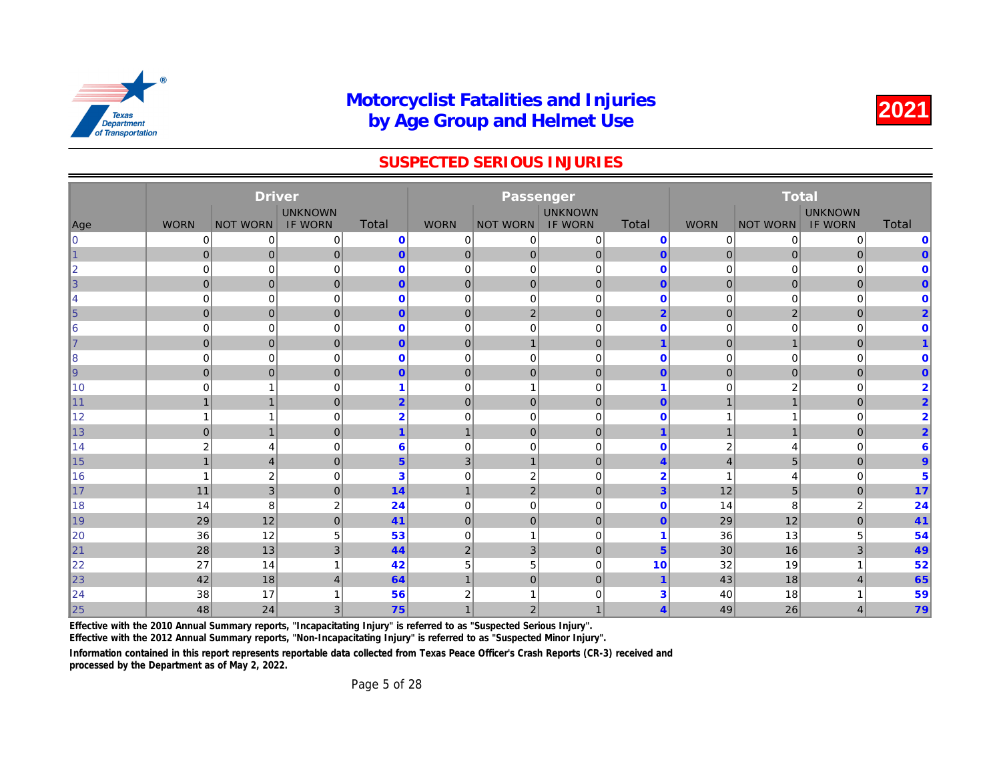#### SUSPECTED SERIOUS INJURIES

|            |                | <b>Driver</b>           |                |                |                | Passenger       |                |                         |                |              |
|------------|----------------|-------------------------|----------------|----------------|----------------|-----------------|----------------|-------------------------|----------------|--------------|
|            |                |                         | <b>UNKNOWN</b> |                |                |                 | <b>UNKNOWN</b> |                         |                |              |
| Age        | <b>WORN</b>    | <b>NOT WORN</b>         | <b>IF WORN</b> | <b>Total</b>   | <b>WORN</b>    | <b>NOT WORN</b> | <b>IF WORN</b> | <b>Total</b>            | <b>WORN</b>    | <b>NOT W</b> |
| l0         | 0              | 0                       | 0              | $\mathbf 0$    | 0              | 0               | 0              | $\mathbf 0$             | 0              |              |
| $\vert$ 1  | $\mathbf 0$    | $\mathbf 0$             | $\overline{0}$ | $\mathbf{0}$   | $\mathbf 0$    | $\overline{0}$  | $\pmb{0}$      | $\mathbf{0}$            | 0              |              |
| $\ 2\ $    | 0              | $\mathbf 0$             | 0              | $\mathbf 0$    | 0              | 0               | $\mathbf 0$    | $\mathbf 0$             | 0              |              |
| $\vert$ 3  | $\mathbf{0}$   | $\mathbf 0$             | $\overline{0}$ | $\mathbf{0}$   | $\mathbf 0$    | $\mathbf{0}$    | $\mathbf 0$    | $\overline{0}$          | $\mathbf{0}$   |              |
| 14         | $\mathbf 0$    | $\mathbf 0$             | $\mathbf 0$    | $\mathbf 0$    | $\mathbf 0$    | $\mathbf 0$     | $\mathbf 0$    | $\mathbf{0}$            | 0              |              |
| $\vert$ 5  | $\mathbf 0$    | $\mathbf 0$             | $\overline{0}$ | $\mathbf{0}$   | $\mathbf 0$    | $\overline{2}$  | $\pmb{0}$      | $\overline{2}$          | $\mathbf{0}$   |              |
| ∣6         | $\mathbf 0$    | $\mathbf 0$             | 0              | $\bf{0}$       | 0              | $\mathbf 0$     | $\mathbf 0$    | $\mathbf{0}$            | 0              |              |
| $\vert$ 7  | $\mathbf{0}$   | $\mathbf 0$             | $\overline{0}$ | $\mathbf{0}$   | $\mathbf 0$    | $\mathbf{1}$    | $\pmb{0}$      | $\overline{\mathbf{1}}$ | $\mathbf{0}$   |              |
| 8          | $\mathbf 0$    | $\mathbf 0$             | $\mathbf 0$    | $\mathbf 0$    | $\mathbf 0$    | $\mathbf 0$     | $\mathbf 0$    | $\mathbf 0$             | 0              |              |
| $\vert$ 9  | $\mathbf{0}$   | $\mathbf 0$             | $\overline{0}$ | $\mathbf{0}$   | $\mathbf 0$    | $\mathbf{0}$    | $\mathbf 0$    | $\mathbf{0}$            | $\mathbf 0$    |              |
| ∥10        | $\mathbf 0$    | $\mathbf{1}$            | $\mathbf 0$    |                | $\mathbf 0$    | -1              | $\mathbf 0$    | 1                       | 0              |              |
| $\vert$ 11 | $\mathbf 1$    | $\mathbf{1}$            | $\mathbf{0}$   | $\overline{2}$ | $\mathbf 0$    | $\mathbf 0$     | $\mathbf 0$    | $\mathbf{0}$            | $\mathbf{1}$   |              |
| ∥12        |                | $\mathbf{1}$            | $\mathbf 0$    | $\overline{2}$ | $\mathbf 0$    | $\mathbf 0$     | $\mathbf 0$    | $\Omega$                | 1              |              |
| ∥13        | $\mathbf 0$    | $\mathbf{1}$            | $\overline{0}$ | $\mathbf 1$    | $\mathbf{1}$   | $\mathbf 0$     | $\mathbf 0$    | $\overline{1}$          | $\mathbf{1}$   |              |
| ∥14        | $\overline{2}$ | $\overline{4}$          | $\mathbf 0$    | 6              | $\mathbf 0$    | $\mathbf 0$     | $\mathbf 0$    | $\mathbf 0$             | 2              |              |
| 15         | $\overline{1}$ | $\overline{4}$          | $\mathbf{0}$   | 5 <sup>5</sup> | 3              | $\mathbf{1}$    | $\overline{0}$ | $\overline{4}$          | $\overline{4}$ |              |
| 16         |                | $\overline{\mathbf{c}}$ | $\Omega$       | 3              | $\mathbf 0$    | $\sqrt{2}$      | $\Omega$       | $\overline{2}$          | 1              |              |
| $\vert$ 17 | 11             | 3                       | $\overline{0}$ | 14             | $\mathbf{1}$   | $\overline{2}$  | $\mathbf 0$    | 3                       | 12             |              |
| 18         | 14             | 8                       | $\overline{2}$ | 24             | 0              | $\mathbf 0$     | $\mathbf 0$    | $\mathbf 0$             | 14             |              |
| $\vert$ 19 | 29             | 12                      | $\overline{0}$ | 41             | $\mathbf 0$    | $\mathbf{0}$    | $\mathbf{0}$   | $\mathbf{0}$            | 29             |              |
| 20         | 36             | 12                      | 5              | 53             | $\mathbf 0$    | $\overline{1}$  | $\mathbf 0$    | 1                       | 36             |              |
| $\vert$ 21 | 28             | 13                      | 3              | 44             | $\sqrt{2}$     | 3               | $\mathbf 0$    | 5                       | 30             |              |
| 22         | 27             | 14                      | 1              | 42             | 5              | 5               | $\mathbf 0$    | 10                      | 32             |              |
| $\vert$ 23 | 42             | 18                      | $\overline{4}$ | 64             | $\overline{1}$ | $\overline{0}$  | $\mathbf 0$    | $\overline{1}$          | 43             |              |
| 24         | 38             | 17                      |                | 56             | 2              |                 | 0              | 3                       | 40             |              |
| 25         | 48             | 24                      | 3              | 75             |                | $\overline{2}$  | $\mathbf{1}$   | $\overline{4}$          | 49             |              |

Effective with the 2010 Annual Summary reports, "Incapacitating Injury" is referred to as "Suspected Serious Injury".

Effective with the 2012 Annual Summary reports, "Non-Incapacitating Injury" is referred to as "Suspected Minor Injury".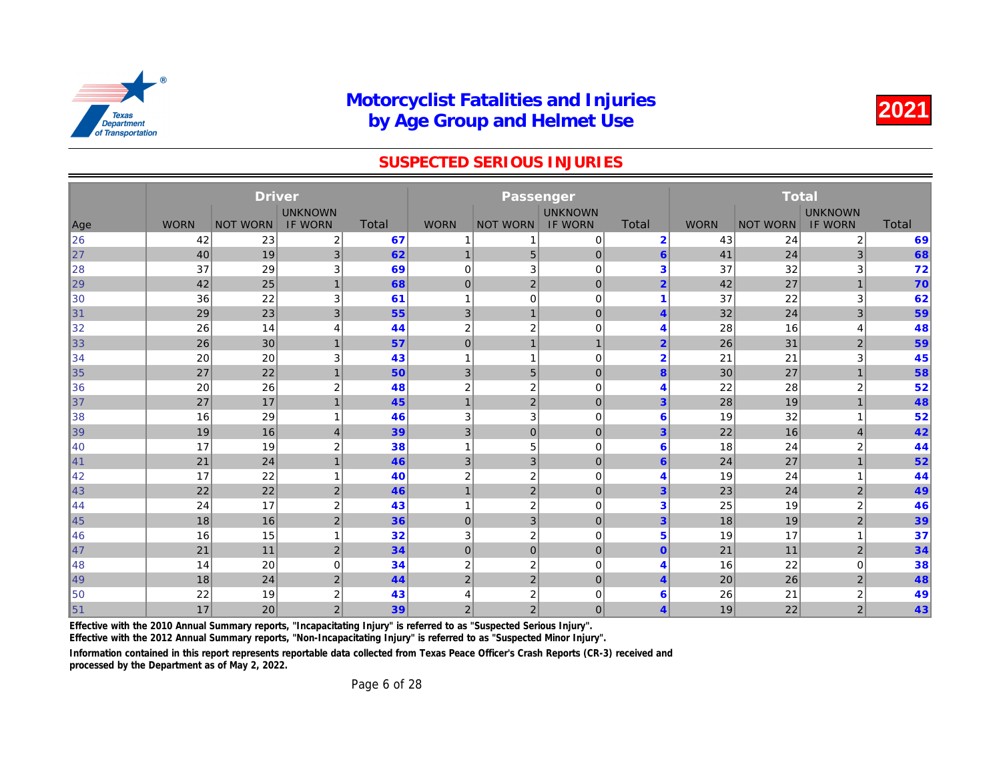#### SUSPECTED SERIOUS INJURIES

|     | <b>Driver</b><br><b>UNKNOWN</b> |                 |                |              |                  | Passenger        |                |                         |             |              |
|-----|---------------------------------|-----------------|----------------|--------------|------------------|------------------|----------------|-------------------------|-------------|--------------|
|     |                                 |                 |                |              |                  |                  | <b>UNKNOWN</b> |                         |             |              |
| Age | <b>WORN</b>                     | <b>NOT WORN</b> | <b>IF WORN</b> | <b>Total</b> | <b>WORN</b>      | <b>NOT WORN</b>  | <b>IF WORN</b> | <b>Total</b>            | <b>WORN</b> | <b>NOT W</b> |
| 26  | 42                              | 23              | 2              | 67           | 1                | 1                | 0              | $\overline{2}$          | 43          |              |
| 27  | 40                              | 19              | 3 <sup>2</sup> | 62           | $\overline{1}$   | 5                | $\mathbf 0$    | $6\phantom{1}6$         | 41          |              |
| 28  | 37                              | 29              | 3              | 69           | 0                | 3                | $\mathbf 0$    | 3                       | 37          |              |
| 29  | 42                              | 25              | $\overline{1}$ | 68           | $\mathbf 0$      | $\mathbf 2$      | $\mathbf 0$    | $\overline{2}$          | 42          |              |
| 30  | 36                              | 22              | 3              | 61           | 1                | $\mathbf 0$      | $\mathbf 0$    | 1                       | 37          |              |
| 31  | 29                              | 23              | 3              | 55           | 3                | $\mathbf{1}$     | $\mathbf 0$    | $\overline{4}$          | 32          |              |
| 32  | 26                              | 14              | 4              | 44           | $\boldsymbol{2}$ | $\boldsymbol{2}$ | $\mathbf 0$    | $\overline{4}$          | 28          |              |
| 33  | 26                              | 30              | $\overline{1}$ | 57           | $\mathbf 0$      | $\overline{1}$   | $\mathbf{1}$   | $\overline{2}$          | 26          |              |
| 34  | 20                              | 20              | 3              | 43           | 1                | 1                | $\mathbf 0$    | $\overline{2}$          | 21          |              |
| 35  | 27                              | 22              | 1              | 50           | 3                | $5\,$            | $\mathbf 0$    | 8                       | 30          |              |
| 36  | 20                              | 26              | 2              | 48           | $\overline{c}$   | $\boldsymbol{2}$ | $\mathbf 0$    | $\overline{4}$          | 22          |              |
| 37  | 27                              | 17              | 1              | 45           | $\mathbf 1$      | $\mathbf 2$      | $\mathbf 0$    | 3                       | 28          |              |
| 38  | 16                              | 29              |                | 46           | 3                | 3                | $\mathbf 0$    | 6                       | 19          |              |
| 39  | 19                              | 16              | $\overline{4}$ | 39           | 3                | $\overline{0}$   | $\mathbf 0$    | 3                       | 22          |              |
| 40  | 17                              | 19              | $\overline{c}$ | 38           | -1               | 5                | $\mathbf 0$    | 6                       | 18          |              |
| 41  | 21                              | 24              | $\mathbf 1$    | 46           | 3                | 3                | $\mathbf 0$    | 6                       | 24          |              |
| 42  | 17                              | 22              |                | 40           | $\overline{2}$   | $\mathbf 2$      | $\mathbf 0$    | 4                       | 19          |              |
| 43  | 22                              | 22              | 2              | 46           | $\overline{1}$   | $\overline{2}$   | $\mathbf 0$    | 3                       | 23          |              |
| 44  | 24                              | 17              | $\overline{2}$ | 43           | 1                | $\boldsymbol{2}$ | $\mathbf 0$    | 3                       | 25          |              |
| 45  | 18                              | 16              | 2              | 36           | $\mathbf{0}$     | 3                | $\mathbf 0$    | 3                       | 18          |              |
| 46  | 16                              | 15              |                | 32           | 3                | $\mathbf 2$      | $\mathbf 0$    | 5                       | 19          |              |
| 47  | 21                              | 11              | 2              | 34           | $\mathbf 0$      | $\overline{0}$   | $\mathbf 0$    | $\Omega$                | 21          |              |
| 48  | 14                              | 20              | 0              | 34           | $\overline{2}$   | $\boldsymbol{2}$ | $\mathbf 0$    | $\overline{4}$          | 16          |              |
| 49  | 18                              | 24              | $\overline{2}$ | 44           | $\overline{2}$   | $\overline{2}$   | $\mathbf 0$    | $\overline{4}$          | 20          |              |
| 50  | 22                              | 19              | 2              | 43           | 4                | 2                | $\mathbf 0$    | 6                       | 26          |              |
| 51  | 17                              | 20              | $\overline{2}$ | 39           | $\overline{2}$   | $\overline{2}$   | $\mathbf 0$    | $\overline{\mathbf{4}}$ | 19          |              |

Effective with the 2010 Annual Summary reports, "Incapacitating Injury" is referred to as "Suspected Serious Injury".

Effective with the 2012 Annual Summary reports, "Non-Incapacitating Injury" is referred to as "Suspected Minor Injury".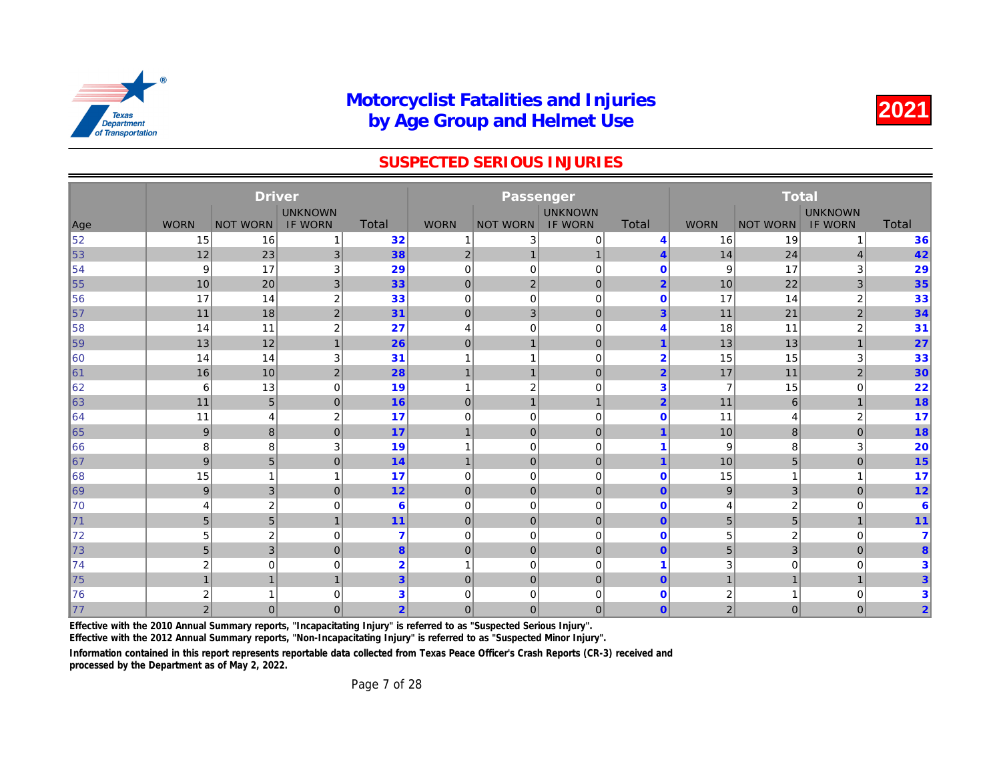#### SUSPECTED SERIOUS INJURIES

|            |                | <b>Driver</b>           |                  |                 |                | Passenger       |                |                         |                |              |
|------------|----------------|-------------------------|------------------|-----------------|----------------|-----------------|----------------|-------------------------|----------------|--------------|
|            |                |                         | <b>UNKNOWN</b>   |                 |                |                 | <b>UNKNOWN</b> |                         |                |              |
| Age        | <b>WORN</b>    | <b>NOT WORN</b>         | <b>IF WORN</b>   | <b>Total</b>    | <b>WORN</b>    | <b>NOT WORN</b> | <b>IF WORN</b> | <b>Total</b>            | <b>WORN</b>    | <b>NOT W</b> |
| 52         | 15             | 16                      | 1                | 32              |                | 3               | $\mathbf 0$    | $\overline{4}$          | 16             |              |
| 53         | 12             | 23                      | $\mathbf{3}$     | 38              | $\overline{2}$ | 1               | $\mathbf{1}$   | $\overline{4}$          | 14             |              |
| 54         | 9              | 17                      | 3                | 29              | $\mathbf 0$    | $\mathbf 0$     | $\mathbf 0$    | $\mathbf 0$             | 9              |              |
| $\vert$ 55 | 10             | 20                      | 3                | 33              | $\mathbf 0$    | $\overline{2}$  | $\mathbf 0$    | $\overline{2}$          | 10             |              |
| 156        | 17             | 14                      | $\boldsymbol{2}$ | 33              | $\mathbf 0$    | $\mathbf 0$     | $\mathbf 0$    | $\mathbf 0$             | 17             |              |
| $\vert$ 57 | 11             | 18                      | $\mathbf 2$      | 31              | $\mathbf 0$    | $\mathbf{3}$    | $\mathbf 0$    | 3                       | 11             |              |
| ∥58        | 14             | 11                      | $\boldsymbol{2}$ | 27              | 4              | $\mathbf 0$     | $\mathbf 0$    | 4                       | 18             |              |
| 59         | 13             | 12                      | 1                | 26              | $\mathbf 0$    | $\overline{1}$  | $\mathbf 0$    | 1                       | 13             |              |
| 160        | 14             | 14                      | 3                | 31              |                | 1               | $\mathbf 0$    | $\overline{2}$          | 15             |              |
| $\vert$ 61 | 16             | 10                      | $\overline{2}$   | 28              | $\mathbf 1$    | $\mathbf 1$     | $\mathbf 0$    | $\overline{2}$          | 17             |              |
| 62         | 6              | 13                      | $\mathbf 0$      | 19              | $\overline{1}$ | $\overline{2}$  | $\mathbf 0$    | 3                       | $\overline{7}$ |              |
| 63         | 11             | 5                       | $\mathbf 0$      | 16              | $\mathbf 0$    | $\mathbf{1}$    | $\mathbf{1}$   | $\overline{2}$          | 11             |              |
| 64         | 11             | 4                       | $\overline{2}$   | 17              | 0              | $\mathbf 0$     | $\mathbf 0$    | $\mathbf 0$             | 11             |              |
| 65         | 9              | 8                       | $\mathbf{0}$     | 17              | $\overline{1}$ | $\mathbf{0}$    | $\mathbf 0$    | $\overline{\mathbf{1}}$ | 10             |              |
| 66         | 8              | 8                       | 3                | 19              |                | $\mathbf 0$     | $\mathbf 0$    | 1                       | 9              |              |
| $\vert$ 67 | 9              | 5                       | $\mathbf{0}$     | 14              | $\overline{1}$ | $\mathbf{0}$    | $\mathbf{0}$   | $\overline{1}$          | 10             |              |
| 168        | 15             | $\mathbf{1}$            | 1                | 17              | $\mathbf 0$    | $\mathbf 0$     | $\mathbf 0$    | $\mathbf 0$             | 15             |              |
| $\ 69\ $   | 9              | 3                       | $\overline{0}$   | 12              | $\mathbf 0$    | $\mathbf{0}$    | $\mathbf{0}$   | $\overline{0}$          | 9              |              |
| 170        | $\overline{4}$ | $\overline{\mathbf{c}}$ | $\mathbf 0$      | $6\phantom{1}6$ | $\mathbf 0$    | $\mathbf 0$     | $\mathbf 0$    | $\mathbf 0$             | 4              |              |
| $\vert$ 71 | 5              | 5                       | $\overline{1}$   | 11              | $\mathbf 0$    | $\mathbf 0$     | $\mathbf 0$    | $\mathbf{0}$            | 5              |              |
| 72         | 5              | $\overline{\mathbf{c}}$ | $\mathbf 0$      | 7               | 0              | $\mathbf 0$     | $\mathbf 0$    | $\mathbf 0$             | 5              |              |
| 73         | 5              | 3                       | $\mathbf{0}$     | 8               | $\mathbf 0$    | $\mathbf{0}$    | $\mathbf{0}$   | $\mathbf{0}$            | 5              |              |
| 74         | $\overline{2}$ | $\mathbf 0$             | $\mathbf 0$      | $\overline{2}$  |                | $\mathbf 0$     | $\mathbf 0$    | 1                       | 3              |              |
| 75         | $\overline{1}$ | $\overline{1}$          | 1                | $\overline{3}$  | $\mathbf 0$    | $\mathbf 0$     | $\mathbf{0}$   | $\overline{0}$          | $\mathbf{1}$   |              |
| 176        | 2              | -1                      | $\mathbf 0$      | 3               | 0              | 0               | 0              | $\mathbf 0$             | 2              |              |
| 77         | 2 <sup>1</sup> | $\mathbf{0}$            | $\overline{0}$   | $\overline{2}$  | $\mathbf 0$    | $\overline{0}$  | $\mathbf{0}$   | $\overline{0}$          | $\overline{2}$ |              |

Effective with the 2010 Annual Summary reports, "Incapacitating Injury" is referred to as "Suspected Serious Injury".

Effective with the 2012 Annual Summary reports, "Non-Incapacitating Injury" is referred to as "Suspected Minor Injury".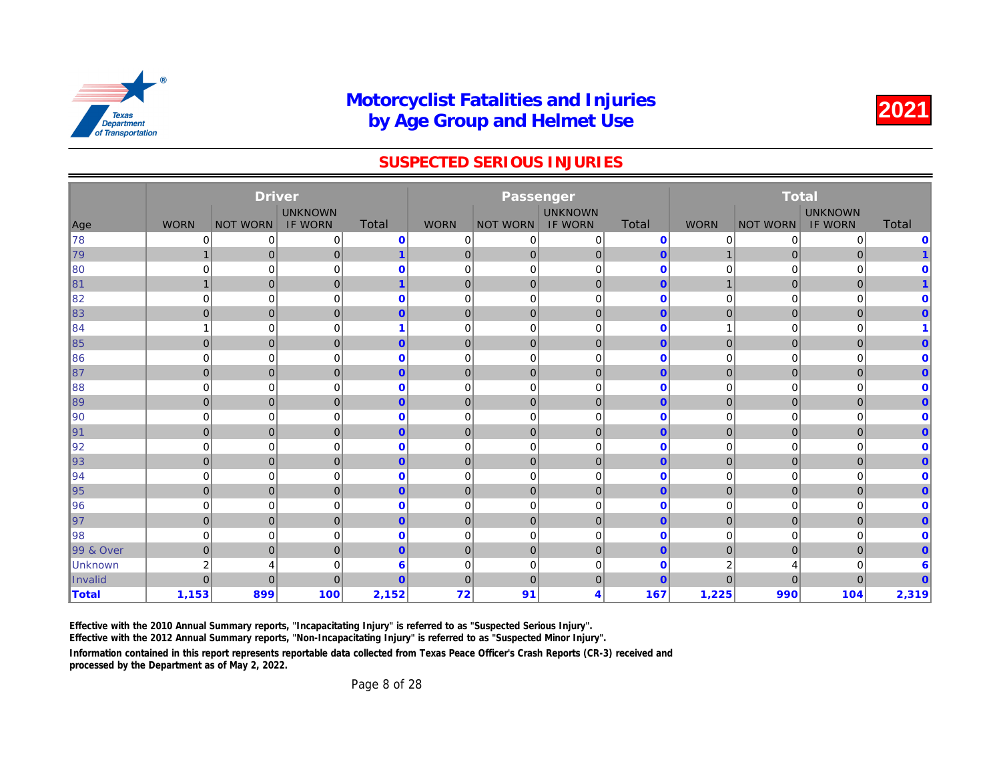#### SUSPECTED SERIOUS INJURIES

|                      |                | <b>Driver</b>   |                |                |                | Passenger       |                |              |                |              |
|----------------------|----------------|-----------------|----------------|----------------|----------------|-----------------|----------------|--------------|----------------|--------------|
|                      |                |                 | <b>UNKNOWN</b> |                |                |                 | <b>UNKNOWN</b> |              |                |              |
| Age                  | <b>WORN</b>    | <b>NOT WORN</b> | <b>IF WORN</b> | <b>Total</b>   | <b>WORN</b>    | <b>NOT WORN</b> | <b>IF WORN</b> | Total        | <b>WORN</b>    | <b>NOT W</b> |
| ∦78                  | 0              | $\mathbf 0$     | 0              | $\mathbf 0$    | 0              | 0               | 0              | $\mathbf{0}$ | 0              |              |
| 79                   | $\mathbf{1}$   | $\mathbf 0$     | 0              | $\mathbf{1}$   | $\mathbf{0}$   | $\overline{0}$  | $\mathbf 0$    | $\mathbf{0}$ | 1              |              |
| $\parallel$ 80       | $\mathbf 0$    | $\mathbf 0$     | $\mathbf 0$    | $\mathbf 0$    | $\mathbf 0$    | $\mathbf 0$     | $\mathbf 0$    | $\mathbf 0$  | 0              |              |
| 81                   | $\overline{1}$ | $\mathbf 0$     | $\mathbf{0}$   | $\overline{1}$ | $\mathbf{0}$   | $\overline{0}$  | $\mathbf 0$    | $\mathbf{0}$ | $\overline{1}$ |              |
| 82                   | $\Omega$       | $\mathbf 0$     | 0              | $\mathbf 0$    | 0              | $\mathbf 0$     | $\mathbf 0$    | $\Omega$     | 0              |              |
| $\ 83\ $             | $\overline{0}$ | $\mathbf 0$     | $\mathbf{0}$   | $\mathbf{0}$   | $\overline{0}$ | $\overline{0}$  | $\mathbf 0$    | $\mathbf{0}$ | $\mathbf 0$    |              |
| ∥84                  |                | $\mathbf 0$     | 0              |                | 0              | $\mathbf 0$     | $\mathbf 0$    | $\mathbf 0$  | 1              |              |
| ∥85                  | $\overline{0}$ | $\mathbf 0$     | $\mathbf{0}$   | $\overline{0}$ | $\overline{0}$ | $\overline{0}$  | $\mathbf 0$    | $\mathbf{0}$ | $\mathbf 0$    |              |
| 86                   | 0              | $\mathbf 0$     | 0              | $\mathbf 0$    | 0              | 0               | $\mathbf 0$    | $\mathbf 0$  | 0              |              |
| ∥87                  | $\overline{0}$ | $\mathbf 0$     | 0              | $\overline{0}$ | $\mathbf{0}$   | $\overline{0}$  | $\mathbf 0$    | $\mathbf{0}$ | $\mathbf 0$    |              |
| 88                   | 0              | $\mathbf 0$     | $\mathbf 0$    | $\mathbf 0$    | 0              | $\mathbf 0$     | $\mathbf 0$    | $\mathbf 0$  | 0              |              |
| ∥89                  | $\overline{0}$ | $\mathbf 0$     | $\mathbf{0}$   | $\overline{0}$ | $\overline{0}$ | $\overline{0}$  | $\mathbf 0$    | $\mathbf{0}$ | $\overline{0}$ |              |
| $\parallel$ 90       | $\mathbf 0$    | $\mathbf 0$     | 0              | $\mathbf{0}$   | 0              | $\mathbf 0$     | $\mathbf 0$    | $\Omega$     | 0              |              |
| ∥91                  | $\overline{0}$ | $\mathbf 0$     | $\mathbf{0}$   | $\overline{0}$ | $\mathbf 0$    | $\overline{0}$  | $\mathbf 0$    | $\mathbf{0}$ | $\mathbf 0$    |              |
| ∥92                  | $\mathbf 0$    | $\mathbf 0$     | 0              | $\mathbf{0}$   | $\mathbf 0$    | $\mathbf 0$     | $\mathbf 0$    | $\mathbf 0$  | 0              |              |
| 93                   | $\overline{0}$ | $\mathbf 0$     | $\mathbf{0}$   | $\overline{0}$ | $\mathbf{0}$   | $\overline{0}$  | $\mathbf 0$    | $\mathbf{0}$ | $\mathbf 0$    |              |
| ∥94                  | 0              | $\mathbf 0$     | 0              | $\mathbf{0}$   | 0              | $\mathbf 0$     | $\mathbf 0$    | $\mathbf 0$  | 0              |              |
| ∥95                  | $\overline{0}$ | $\mathbf 0$     | $\mathbf{0}$   | $\mathbf{0}$   | $\mathbf{0}$   | $\overline{0}$  | $\mathbf 0$    | $\mathbf{0}$ | $\mathbf 0$    |              |
| 96                   | $\mathbf 0$    | $\mathbf 0$     | $\mathbf 0$    | $\mathbf 0$    | $\mathbf 0$    | $\mathbf 0$     | $\mathbf 0$    | $\mathbf 0$  | 0              |              |
| ∥97                  | $\overline{0}$ | $\mathbf 0$     | $\mathbf{0}$   | $\mathbf{0}$   | $\overline{0}$ | $\overline{0}$  | $\mathbf 0$    | $\mathbf{0}$ | $\pmb{0}$      |              |
| ∥98                  | 0              | $\mathbf 0$     | $\mathbf 0$    | $\mathbf 0$    | 0              | $\mathbf 0$     | $\mathbf 0$    | $\mathbf{0}$ | 0              |              |
| <b>99 &amp; Over</b> | $\overline{0}$ | $\mathbf 0$     | 0              | $\overline{0}$ | $\mathbf{0}$   | $\overline{0}$  | $\mathbf 0$    | $\mathbf{0}$ | $\mathbf 0$    |              |
| Unknown              | $\overline{2}$ | 4               | 0              | $6\phantom{1}$ | 0              | $\mathbf 0$     | $\mathbf 0$    | $\mathbf 0$  | 2              |              |
| Invalid              | $\Omega$       | $\overline{0}$  | $\Omega$       | $\overline{0}$ | $\overline{0}$ | $\mathbf{0}$    | $\mathbf 0$    | $\mathbf{0}$ | $\overline{0}$ |              |
| <b>Total</b>         | 1,153          | 899             | 100            | 2,152          | 72             | 91              | 4              | 167          | 1,225          |              |

Effective with the 2010 Annual Summary reports, "Incapacitating Injury" is referred to as "Suspected Serious Injury".

Effective with the 2012 Annual Summary reports, "Non-Incapacitating Injury" is referred to as "Suspected Minor Injury".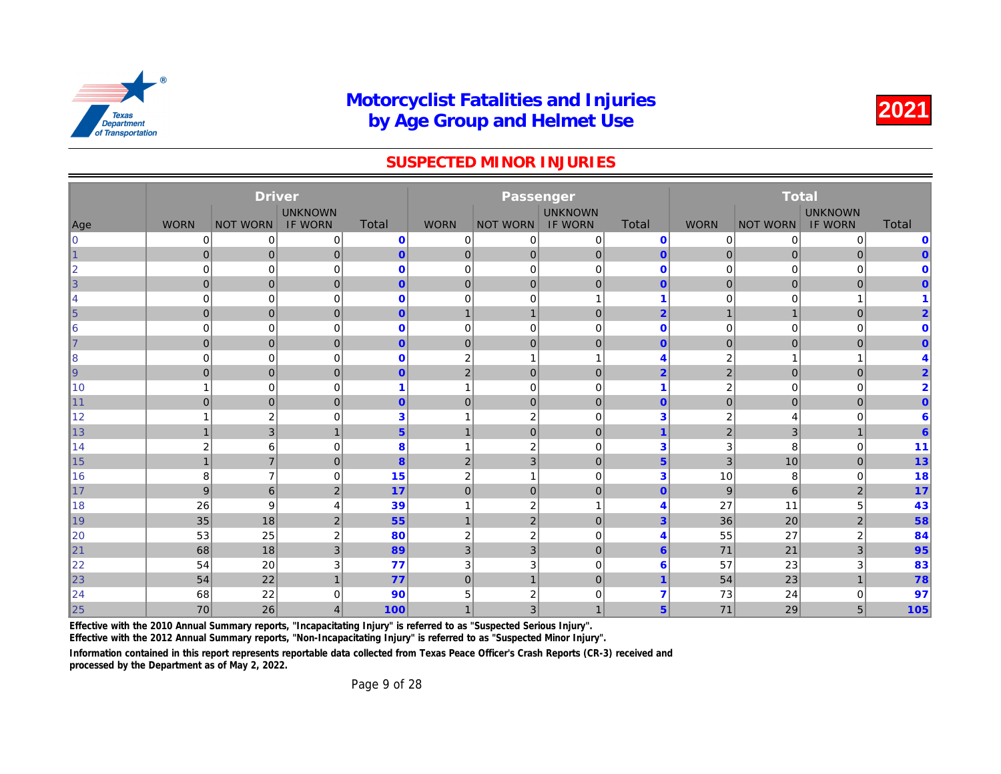#### SUSPECTED MINOR INJURIES

|                 |                | <b>Driver</b>    |                |                |                |                 |                |                       |                |              |
|-----------------|----------------|------------------|----------------|----------------|----------------|-----------------|----------------|-----------------------|----------------|--------------|
|                 |                |                  | <b>UNKNOWN</b> |                |                |                 | <b>UNKNOWN</b> |                       |                |              |
| Age             | <b>WORN</b>    | <b>NOT WORN</b>  | <b>IF WORN</b> | Total          | <b>WORN</b>    | <b>NOT WORN</b> | <b>IF WORN</b> | Total                 | <b>WORN</b>    | <b>NOT W</b> |
| $\overline{0}$  | 0              | 0                | 0              | $\mathbf 0$    | 0              | 0               | 0              | $\mathbf 0$           | 0              |              |
| 1               | $\overline{0}$ | $\mathbf 0$      | $\mathbf 0$    | $\overline{0}$ | $\mathbf 0$    | 0               | $\pmb{0}$      | $\mathbf{0}$          | $\mathbf 0$    |              |
| $\overline{2}$  | $\overline{0}$ | 0                | 0              | $\mathbf 0$    | 0              | $\mathbf 0$     | $\mathbf 0$    | $\mathbf 0$           | 0              |              |
| 3               | $\overline{0}$ | $\mathbf 0$      | $\mathbf{0}$   | $\overline{0}$ | $\mathbf 0$    | 0               | $\mathbf{0}$   | $\mathbf{0}$          | $\mathbf{0}$   |              |
| 4               | $\mathbf 0$    | $\mathbf 0$      | 0              | $\mathbf{0}$   | $\mathbf 0$    | $\mathbf 0$     | $\mathbf{1}$   | 1                     | 0              |              |
| $\vert 5 \vert$ | $\overline{0}$ | $\pmb{0}$        | $\mathbf{0}$   | $\overline{0}$ | 1              | $\mathbf{1}$    | $\mathbf{0}$   | $\overline{2}$        | $\mathbf{1}$   |              |
| 6               | $\mathbf 0$    | 0                | $\mathbf 0$    | $\mathbf 0$    | $\mathbf 0$    | $\mathbf 0$     | $\mathbf 0$    | $\mathbf 0$           | 0              |              |
| $\overline{7}$  | $\overline{0}$ | $\mathbf 0$      | $\mathbf{0}$   | $\overline{0}$ | $\mathbf 0$    | $\mathbf 0$     | $\mathbf 0$    | $\mathbf{0}$          | $\mathbf 0$    |              |
| 8               | $\mathbf 0$    | $\mathbf 0$      | 0              | $\mathbf 0$    | $\overline{2}$ |                 | $\mathbf{1}$   | 4                     | $\overline{2}$ |              |
| <u> g</u>       | $\overline{0}$ | $\mathbf 0$      | $\mathbf{0}$   | $\overline{0}$ | $\overline{2}$ | $\mathbf 0$     | $\mathbf 0$    | $\overline{2}$        | $\overline{2}$ |              |
| 10              |                | $\mathbf 0$      | 0              | 1              | $\overline{1}$ | $\mathbf 0$     | $\mathbf 0$    | 1                     | 2              |              |
| 11              | $\overline{0}$ | $\overline{0}$   | $\mathbf{0}$   | $\overline{0}$ | $\overline{0}$ | $\mathbf{0}$    | $\mathbf{0}$   | $\mathbf{0}$          | $\overline{0}$ |              |
| 12              |                | $\boldsymbol{2}$ | 0              | 3              |                | $\overline{2}$  | $\mathbf 0$    | 3                     | $\overline{2}$ |              |
| 13              | $\mathbf{1}$   | 3                | $\mathbf{1}$   | 5 <sup>5</sup> | $\mathbf{1}$   | $\mathbf{0}$    | $\mathbf{0}$   | $\overline{1}$        | $\overline{2}$ |              |
| 14              | $\overline{2}$ | 6                | 0              | 8              |                | $\overline{2}$  | $\mathbf 0$    | 3                     | 3              |              |
| 15              | $\mathbf{1}$   | $\overline{7}$   | $\mathbf{0}$   | 8              | $\overline{2}$ | 3               | $\overline{0}$ | $5\phantom{.}$        | 3              |              |
| 16              | 8              | $\overline{7}$   | $\Omega$       | 15             | $\overline{2}$ |                 | $\Omega$       | 3                     | 10             |              |
| 17              | 9              | $6\phantom{1}$   | $\sqrt{2}$     | 17             | $\mathbf 0$    | $\mathbf 0$     | $\mathbf 0$    | $\mathbf{0}$          | 9              |              |
| 18              | 26             | 9                | 4              | 39             |                | $\overline{2}$  | $\mathbf{1}$   | 4                     | 27             |              |
| 19              | 35             | 18               | $\overline{2}$ | 55             | $\overline{1}$ | $\overline{2}$  | $\mathbf{0}$   | $\overline{3}$        | 36             |              |
| 20              | 53             | 25               | $\overline{2}$ | 80             | $\overline{2}$ | $\overline{2}$  | $\Omega$       | $\boldsymbol{\Delta}$ | 55             |              |
| 21              | 68             | 18               | 3              | 89             | $\mathbf{3}$   | 3               | $\mathbf 0$    | 6                     | 71             |              |
| 22              | 54             | 20               | 3              | 77             | 3              | 3               | $\mathbf 0$    | 6                     | 57             |              |
| 23              | 54             | 22               | $\overline{1}$ | 77             | $\mathbf 0$    | $\overline{1}$  | $\mathbf 0$    | 1                     | 54             |              |
| 24              | 68             | 22               | 0              | 90             | 5              | $\overline{2}$  | $\mathbf 0$    | 7                     | 73             |              |
| 25              | 70             | 26               | 4              | 100            |                | 3               | $\mathbf{1}$   | 5 <sup>5</sup>        | 71             |              |

Effective with the 2010 Annual Summary reports, "Incapacitating Injury" is referred to as "Suspected Serious Injury".

Effective with the 2012 Annual Summary reports, "Non-Incapacitating Injury" is referred to as "Suspected Minor Injury".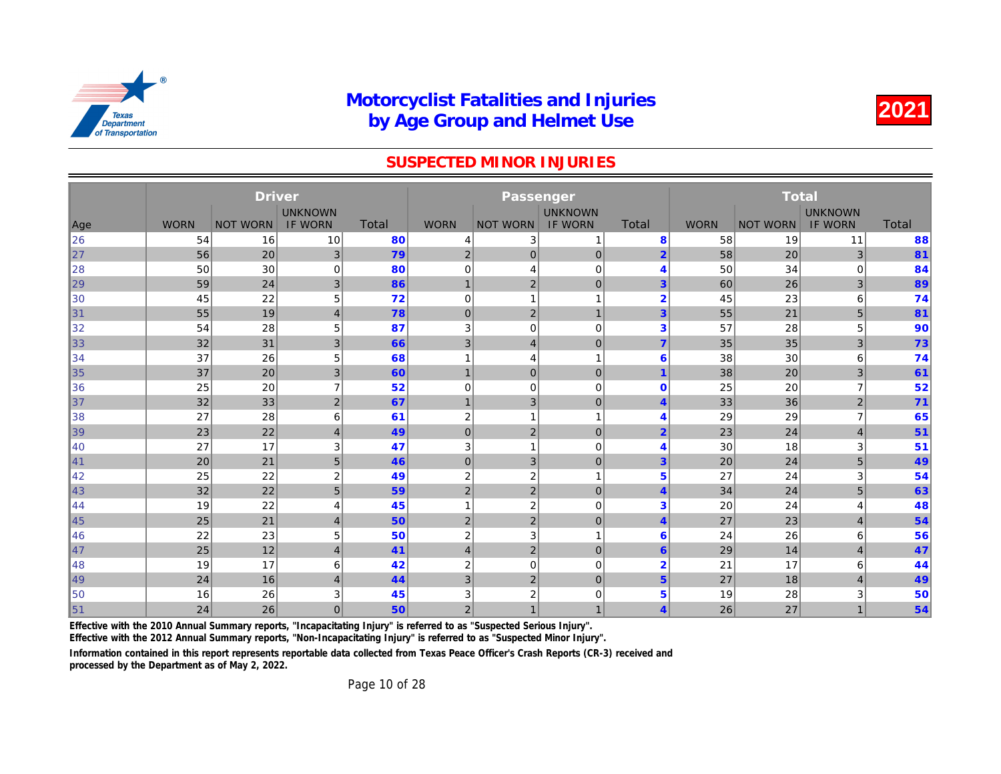#### SUSPECTED MINOR INJURIES

|     | <b>Driver</b><br><b>UNKNOWN</b> |                 |                |              |                |                           |                |                         |             |              |
|-----|---------------------------------|-----------------|----------------|--------------|----------------|---------------------------|----------------|-------------------------|-------------|--------------|
|     |                                 |                 |                |              |                |                           | <b>UNKNOWN</b> |                         |             |              |
| Age | <b>WORN</b>                     | <b>NOT WORN</b> | <b>IF WORN</b> | <b>Total</b> | <b>WORN</b>    | <b>NOT WORN</b>           | <b>IF WORN</b> | <b>Total</b>            | <b>WORN</b> | <b>NOT W</b> |
| 26  | 54                              | 16              | 10             | 80           | 4              | 3                         |                | 8                       | 58          |              |
| 27  | 56                              | 20              | 3              | 79           | $\overline{2}$ | $\mathbf 0$               | $\mathbf 0$    | $\overline{2}$          | 58          |              |
| 28  | 50                              | 30              | 0              | 80           | 0              | 4                         | $\mathbf 0$    | $\overline{4}$          | 50          |              |
| 29  | 59                              | 24              | 3              | 86           | $\overline{1}$ | $\overline{2}$            | $\mathbf 0$    | 3                       | 60          |              |
| 30  | 45                              | 22              | 5              | 72           | 0              | 1                         |                | $\overline{2}$          | 45          |              |
| 31  | 55                              | 19              | $\overline{4}$ | 78           | $\mathbf 0$    | $\overline{2}$            | $\mathbf{1}$   | 3                       | 55          |              |
| 32  | 54                              | 28              | 5              | 87           | 3              | 0                         | $\mathbf 0$    | 3                       | 57          |              |
| 33  | 32                              | 31              | 3              | 66           | 3              | $\overline{4}$            | $\mathbf 0$    | $\overline{7}$          | 35          |              |
| 34  | 37                              | 26              | 5              | 68           | 1              | 4                         | 1              | 6                       | 38          |              |
| 35  | 37                              | 20              | 3              | 60           | $\mathbf 1$    | $\mathbf 0$               | $\mathbf 0$    |                         | 38          |              |
| 36  | 25                              | 20              | $\overline{7}$ | 52           | 0              | 0                         | $\mathbf 0$    | $\mathbf 0$             | 25          |              |
| 37  | 32                              | 33              | $\overline{2}$ | 67           | $\mathbf 1$    | $\ensuremath{\mathsf{3}}$ | $\mathbf 0$    | $\overline{4}$          | 33          |              |
| 38  | 27                              | 28              | 6              | 61           | $\overline{c}$ | 1                         |                | 4                       | 29          |              |
| 39  | 23                              | 22              | $\overline{4}$ | 49           | $\mathbf 0$    | $\overline{2}$            | $\mathbf{0}$   | $\overline{2}$          | 23          |              |
| 40  | 27                              | 17              | 3              | 47           | 3              | 1                         | $\mathbf 0$    | 4                       | 30          |              |
| 41  | 20                              | 21              | 5              | 46           | $\mathbf{0}$   | 3                         | $\mathbf 0$    | 3                       | 20          |              |
| 42  | 25                              | 22              | $\overline{c}$ | 49           | $\overline{2}$ | $\boldsymbol{2}$          | 1              | 5                       | 27          |              |
| 43  | 32                              | 22              | 5              | 59           | $\overline{2}$ | $\overline{2}$            | $\mathbf 0$    | $\overline{\mathbf{4}}$ | 34          |              |
| 44  | 19                              | 22              | 4              | 45           | 1              | $\overline{2}$            | $\mathbf 0$    | 3                       | 20          |              |
| 45  | 25                              | 21              | $\overline{4}$ | 50           | $\overline{2}$ | $\overline{2}$            | $\mathbf 0$    | $\overline{4}$          | 27          |              |
| 46  | 22                              | 23              | 5              | 50           | $\overline{c}$ | 3                         | 1              | 6                       | 24          |              |
| 47  | 25                              | 12              | $\overline{4}$ | 41           | $\overline{4}$ | $\overline{2}$            | $\mathbf 0$    | $6\phantom{1}6$         | 29          |              |
| 48  | 19                              | 17              | 6              | 42           | $\overline{2}$ | 0                         | $\mathbf 0$    | $\overline{2}$          | 21          |              |
| 49  | 24                              | 16              | $\overline{4}$ | 44           | 3              | $\overline{2}$            | $\mathbf 0$    | 5                       | 27          |              |
| 50  | 16                              | 26              | 3              | 45           | 3              | 2                         | $\mathbf 0$    | 5                       | 19          |              |
| 51  | 24                              | 26              | $\mathbf{0}$   | 50           | $\overline{2}$ | $\mathbf{1}$              | $\overline{1}$ | $\overline{\mathbf{4}}$ | 26          |              |

Effective with the 2010 Annual Summary reports, "Incapacitating Injury" is referred to as "Suspected Serious Injury".

Effective with the 2012 Annual Summary reports, "Non-Incapacitating Injury" is referred to as "Suspected Minor Injury".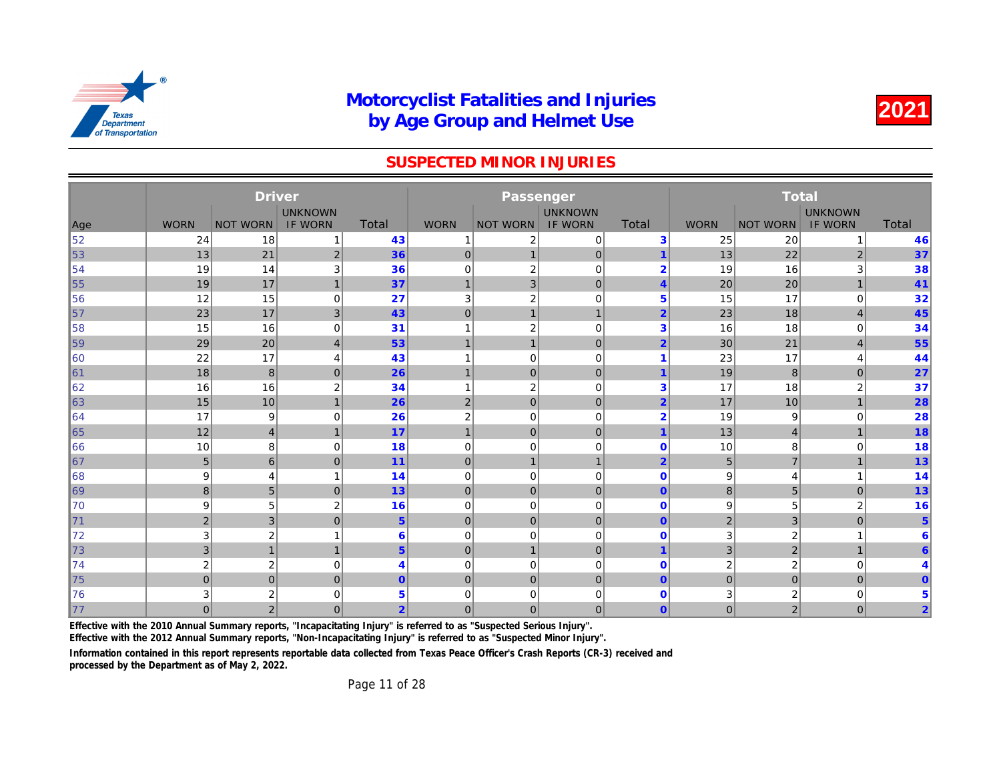#### SUSPECTED MINOR INJURIES

|                |                | <b>Driver</b>   |                |                 |                | Passenger               |                |                |                 |              |
|----------------|----------------|-----------------|----------------|-----------------|----------------|-------------------------|----------------|----------------|-----------------|--------------|
|                |                |                 | <b>UNKNOWN</b> |                 |                |                         | <b>UNKNOWN</b> |                |                 |              |
| Age            | <b>WORN</b>    | <b>NOT WORN</b> | <b>IF WORN</b> | <b>Total</b>    | <b>WORN</b>    | <b>NOT WORN</b>         | <b>IF WORN</b> | <b>Total</b>   | <b>WORN</b>     | <b>NOT W</b> |
| 52             | 24             | 18              | 1              | 43              |                | $\overline{2}$          | $\mathbf 0$    | 3              | 25              |              |
| 53             | 13             | 21              | $\overline{2}$ | 36              | $\mathbf 0$    | $\mathbf 1$             | $\pmb{0}$      | 1              | 13              |              |
| 54             | 19             | 14              | 3              | 36              | $\mathbf 0$    | $\overline{\mathbf{c}}$ | $\mathbf 0$    | $\overline{2}$ | 19              |              |
| 55             | 19             | 17              | $\overline{1}$ | 37              | $\overline{1}$ | 3                       | $\mathbf 0$    | $\overline{4}$ | 20              |              |
| 156            | 12             | 15              | $\mathbf 0$    | 27              | 3              | $\overline{\mathbf{c}}$ | $\mathbf 0$    | 5              | 15              |              |
| $\vert$ 57     | 23             | 17              | 3              | 43              | $\mathbf 0$    | $\mathbf 1$             | $\mathbf{1}$   | $\overline{2}$ | 23              |              |
| ∥58            | 15             | 16              | 0              | 31              | -1             | $\overline{\mathbf{c}}$ | $\mathbf 0$    | 3              | 16              |              |
| 59             | 29             | 20              | $\overline{4}$ | 53              | $\overline{1}$ | $\mathbf{1}$            | $\mathbf 0$    | $\overline{2}$ | 30              |              |
| 160            | 22             | 17              | $\overline{4}$ | 43              |                | $\mathbf 0$             | $\mathbf 0$    | 1              | 23              |              |
| $\vert$ 61     | 18             | 8               | $\overline{0}$ | 26              | $\mathbf 1$    | $\mathbf{0}$            | $\mathbf 0$    | 1              | 19              |              |
| 62             | 16             | 16              | $\overline{2}$ | 34              | $\overline{1}$ | $\overline{2}$          | $\mathbf 0$    | 3              | 17              |              |
| 63             | 15             | 10              | $\overline{1}$ | 26              | 2              | $\mathbf 0$             | $\mathbf 0$    | $\overline{2}$ | 17              |              |
| 164            | 17             | 9               | $\mathbf 0$    | 26              | $\overline{2}$ | $\mathbf 0$             | $\mathbf 0$    | $\overline{2}$ | 19              |              |
| 65             | 12             | $\overline{4}$  | $\overline{1}$ | 17              | $\overline{1}$ | $\mathbf{0}$            | $\mathbf 0$    | $\overline{1}$ | 13              |              |
| 166            | 10             | 8               | $\mathbf 0$    | 18              | $\mathbf 0$    | $\mathbf 0$             | $\mathbf 0$    | $\mathbf 0$    | 10              |              |
| $\vert$ 67     | 5              | 6               | $\mathbf{0}$   | 11              | $\mathbf 0$    | $\mathbf{1}$            | $\mathbf{1}$   | $\overline{2}$ | $5\phantom{.0}$ |              |
| 168            | 9              | $\overline{4}$  | 1              | 14              | 0              | $\mathbf 0$             | $\mathbf 0$    | $\mathbf 0$    | 9               |              |
| $\ 69\ $       | 8              | 5               | $\mathbf{0}$   | 13              | $\mathbf 0$    | $\mathbf{0}$            | $\overline{0}$ | $\overline{0}$ | 8               |              |
| 170            | 9              | 5               | $\overline{2}$ | 16              | $\mathbf 0$    | $\mathbf 0$             | $\mathbf 0$    | $\mathbf 0$    | 9               |              |
| $\parallel$ 71 | $\overline{2}$ | 3               | $\mathbf{0}$   | $5\phantom{.0}$ | $\mathbf 0$    | $\mathbf 0$             | $\mathbf 0$    | $\mathbf{0}$   | $\overline{2}$  |              |
| 72             | 3              | $\overline{c}$  | f              | 6               | 0              | $\mathbf 0$             | $\mathbf 0$    | $\mathbf 0$    | 3               |              |
| 73             | 3              | $\mathbf{1}$    | 1              | 5 <sup>5</sup>  | $\mathbf 0$    | $\mathbf{1}$            | $\overline{0}$ | $\overline{1}$ | 3               |              |
| 74             | $\overline{2}$ | $\overline{2}$  | $\mathbf 0$    | 4               | 0              | $\mathbf 0$             | $\mathbf 0$    | $\mathbf 0$    | 2               |              |
| 75             | $\Omega$       | $\mathbf 0$     | $\mathbf{0}$   | $\mathbf{0}$    | $\mathbf 0$    | $\mathbf{0}$            | $\mathbf{0}$   | $\mathbf{0}$   | $\mathbf 0$     |              |
| 176            | 3              | $\overline{2}$  | $\mathbf 0$    | 5               | 0              | 0                       | 0              | $\mathbf 0$    | 3               |              |
| $\parallel$ 77 | $\overline{0}$ | $\overline{2}$  | $\overline{0}$ | $\overline{2}$  | $\mathbf{0}$   | $\overline{0}$          | $\mathbf{0}$   | $\overline{0}$ | $\overline{0}$  |              |

Effective with the 2010 Annual Summary reports, "Incapacitating Injury" is referred to as "Suspected Serious Injury".

Effective with the 2012 Annual Summary reports, "Non-Incapacitating Injury" is referred to as "Suspected Minor Injury".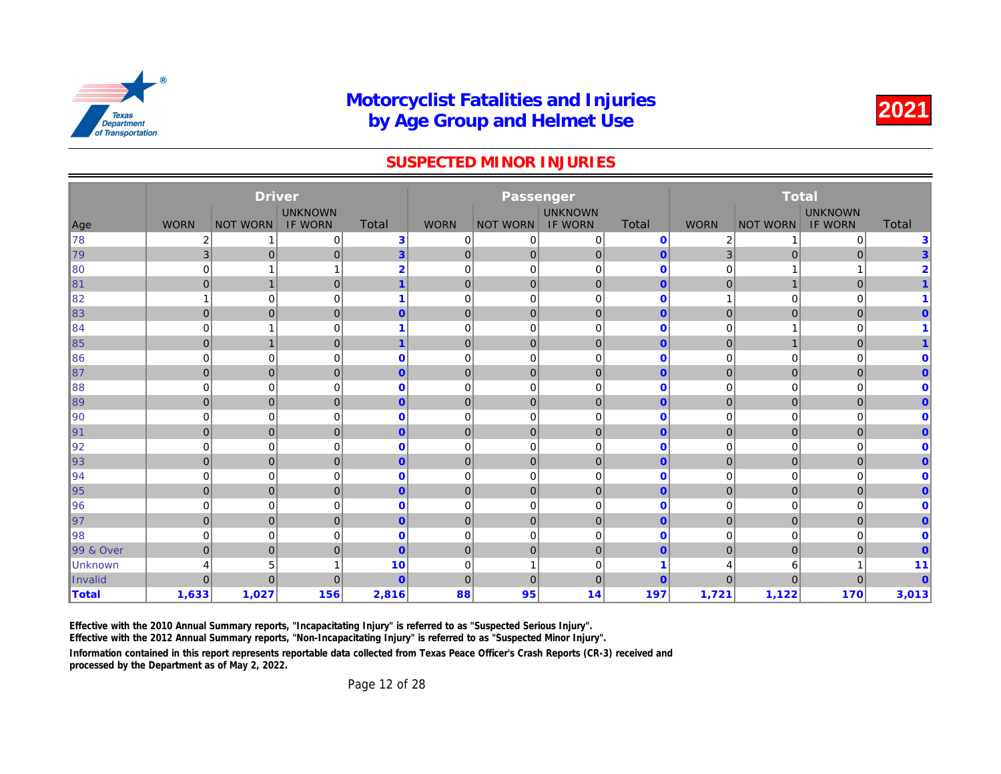#### SUSPECTED MINOR INJURIES

|                |                | <b>Driver</b>           |                |                         |              | Passenger       |                |              |                |              |
|----------------|----------------|-------------------------|----------------|-------------------------|--------------|-----------------|----------------|--------------|----------------|--------------|
|                |                |                         | <b>UNKNOWN</b> |                         |              |                 | <b>UNKNOWN</b> |              |                |              |
| Age            | <b>WORN</b>    | <b>NOT WORN</b>         | <b>IF WORN</b> | <b>Total</b>            | <b>WORN</b>  | <b>NOT WORN</b> | <b>IF WORN</b> | Total        | <b>WORN</b>    | <b>NOT W</b> |
| ∥78            | 2              |                         | 0              | 3                       | 0            | 0               | $\mathbf 0$    | $\mathbf{0}$ | 2              |              |
| 79             | $\mathbf{3}$   | $\overline{0}$          | $\overline{0}$ | $\overline{3}$          | $\mathbf 0$  | 0               | $\mathbf 0$    | $\mathbf{0}$ | 3              |              |
| 180            | $\mathbf 0$    | $\overline{\mathbf{1}}$ | -1             | $\overline{2}$          | 0            | $\mathbf 0$     | $\mathbf 0$    | $\mathbf 0$  | 0              |              |
| $\ 81$         | $\overline{0}$ | $\mathbf{1}$            | $\overline{0}$ | $\overline{\mathbf{1}}$ | $\mathbf 0$  | $\pmb{0}$       | $\pmb{0}$      | $\mathbf{0}$ | $\mathbf 0$    |              |
| ∥82            | 1              | $\mathbf 0$             | $\Omega$       | 1                       | 0            | $\mathbf 0$     | $\mathbf 0$    | $\mathbf 0$  | 1              |              |
| $\parallel$ 83 | $\overline{0}$ | $\overline{0}$          | $\overline{0}$ | $\overline{0}$          | $\mathbf 0$  | 0               | $\mathbf 0$    | $\mathbf{0}$ | $\mathbf 0$    |              |
| ∥84            | 0              | -1                      | $\mathbf 0$    | 1                       | 0            | $\mathbf 0$     | $\mathbf 0$    | $\mathbf 0$  | 0              |              |
| 85             | $\overline{0}$ | $\mathbf{1}$            | $\overline{0}$ | $\overline{\mathbf{1}}$ | $\mathbf 0$  | $\mathbf{0}$    | $\pmb{0}$      | $\mathbf{0}$ | $\mathbf 0$    |              |
| 86∥            | 0              | $\mathbf 0$             | $\mathbf 0$    | 0                       | $\mathbf 0$  | $\mathbf 0$     | $\mathbf 0$    | $\mathbf{0}$ | 0              |              |
| ∥87            | $\overline{0}$ | $\overline{0}$          | $\overline{0}$ | $\overline{0}$          | $\mathbf{0}$ | 0               | $\mathbf{0}$   | $\mathbf{0}$ | $\mathbf 0$    |              |
| 88             | 0              | $\mathbf 0$             | $\mathbf 0$    | $\mathbf{0}$            | 0            | $\mathbf 0$     | $\mathbf 0$    | $\mathbf 0$  | 0              |              |
| ∥89            | $\overline{0}$ | $\mathbf 0$             | $\Omega$       | $\overline{0}$          | $\mathbf{0}$ | $\mathbf{0}$    | $\mathbf{0}$   | $\mathbf{0}$ | $\overline{0}$ |              |
| ∥90            | 0              | $\mathbf 0$             | $\mathbf 0$    | 0                       | $\mathbf 0$  | $\mathbf 0$     | $\mathbf 0$    | $\mathbf 0$  | 0              |              |
| ∥91            | $\overline{0}$ | $\mathbf 0$             | $\overline{0}$ | $\overline{0}$          | $\mathbf{0}$ | $\mathbf 0$     | $\mathbf 0$    | $\mathbf{0}$ | $\overline{0}$ |              |
| ∥92            | 0              | $\mathbf 0$             | $\Omega$       | $\mathbf 0$             | 0            | $\mathbf 0$     | $\mathbf 0$    | $\mathbf{0}$ | 0              |              |
| 93             | $\overline{0}$ | $\mathbf 0$             | $\overline{0}$ | $\overline{0}$          | $\mathbf{0}$ | 0               | $\mathbf 0$    | $\mathbf{0}$ | $\mathbf 0$    |              |
| ∥94            | 0              | $\mathbf 0$             | $\mathbf 0$    | 0                       | 0            | $\mathbf 0$     | $\mathbf 0$    | $\bf{0}$     | 0              |              |
| 95             | $\overline{0}$ | $\mathbf 0$             | $\overline{0}$ | $\overline{0}$          | $\mathbf 0$  | $\mathbf 0$     | $\mathbf 0$    | $\mathbf{0}$ | $\mathbf 0$    |              |
| ∥96            | 0              | $\mathbf 0$             | $\mathbf 0$    | 0                       | 0            | $\mathbf 0$     | $\mathbf 0$    | $\bf{0}$     | 0              |              |
| ∥97            | $\overline{0}$ | $\overline{0}$          | $\overline{0}$ | $\overline{0}$          | $\mathbf 0$  | $\mathbf 0$     | $\mathbf 0$    | $\mathbf{0}$ | $\mathbf 0$    |              |
| ∥98            | 0              | $\mathbf 0$             | $\Omega$       | $\mathbf 0$             | 0            | $\mathbf 0$     | $\mathbf 0$    | $\mathbf 0$  | 0              |              |
| 99 & Over      | $\overline{0}$ | $\overline{0}$          | $\overline{0}$ | $\overline{0}$          | $\mathbf{0}$ | $\mathbf 0$     | $\mathbf{0}$   | $\mathbf{0}$ | $\overline{0}$ |              |
| <b>Unknown</b> | 4              | 5                       |                | 10                      | $\mathbf 0$  |                 | $\mathbf 0$    |              | 4              |              |
| Invalid        | $\overline{0}$ | $\overline{0}$          | $\overline{0}$ | $\overline{0}$          | $\mathbf{0}$ | $\mathbf 0$     | $\mathbf 0$    | $\mathbf{0}$ | $\overline{0}$ |              |
| <b>Total</b>   | 1,633          | 1,027                   | 156            | 2,816                   | 88           | 95              | 14             | 197          | 1,721          |              |

Effective with the 2010 Annual Summary reports, "Incapacitating Injury" is referred to as "Suspected Serious Injury".

Effective with the 2012 Annual Summary reports, "Non-Incapacitating Injury" is referred to as "Suspected Minor Injury".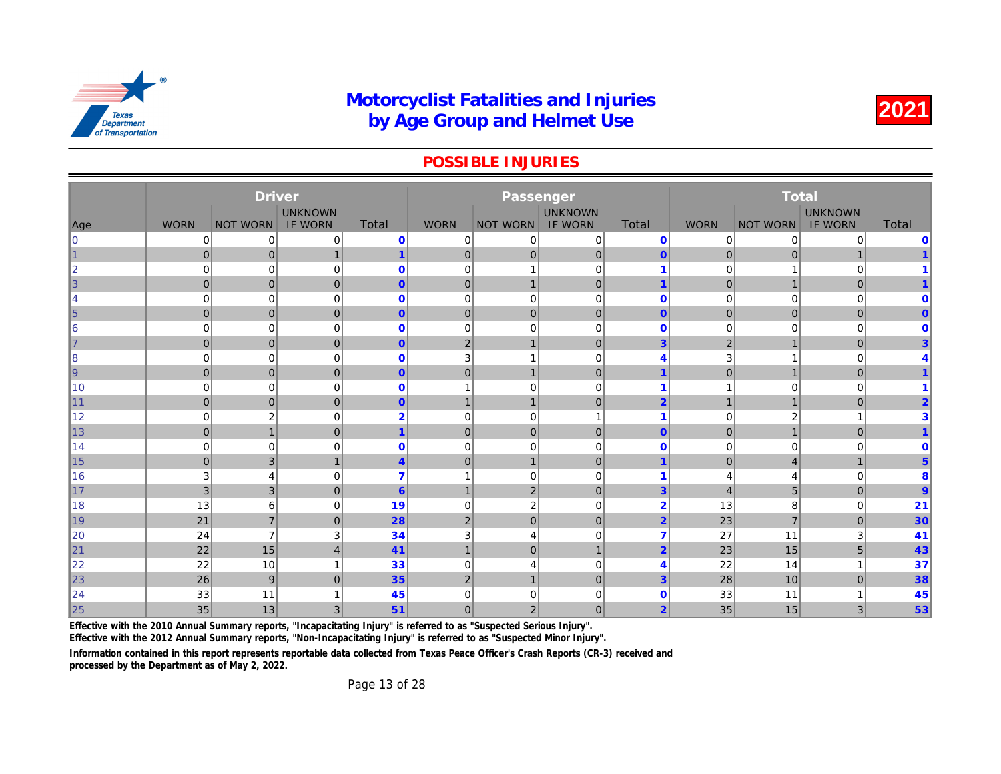#### POSSIBLE INJURIES

|            |              | <b>Driver</b>   |                |                |                | Passenger       |                |                         |                |              |
|------------|--------------|-----------------|----------------|----------------|----------------|-----------------|----------------|-------------------------|----------------|--------------|
|            |              |                 | <b>UNKNOWN</b> |                |                |                 | <b>UNKNOWN</b> |                         |                |              |
| Age        | <b>WORN</b>  | <b>NOT WORN</b> | <b>IF WORN</b> | <b>Total</b>   | <b>WORN</b>    | <b>NOT WORN</b> | <b>IF WORN</b> | <b>Total</b>            | <b>WORN</b>    | <b>NOT W</b> |
| l0         | 0            | 0               | 0              | $\mathbf 0$    | 0              | 0               | $\mathbf 0$    | $\mathbf 0$             | 0              |              |
| $\vert$ 1  | $\mathbf{0}$ | $\mathbf 0$     | $\mathbf 1$    | $\mathbf{1}$   | $\mathbf 0$    | $\overline{0}$  | $\pmb{0}$      | $\mathbf{0}$            | $\mathbf 0$    |              |
| $\ 2\ $    | 0            | $\mathbf 0$     | 0              | $\bf{0}$       | 0              | $\mathbf 1$     | $\mathbf 0$    | $\overline{\mathbf{1}}$ | 0              |              |
| $\vert$ 3  | $\mathbf 0$  | $\mathbf 0$     | $\overline{0}$ | $\mathbf{0}$   | $\mathbf 0$    | $\mathbf{1}$    | $\mathbf 0$    | $\overline{1}$          | $\mathbf{0}$   |              |
| 14         | 0            | $\mathbf 0$     | 0              | $\bf{0}$       | 0              | $\mathbf 0$     | $\mathbf 0$    | $\mathbf 0$             | 0              |              |
| $\vert$ 5  | $\mathbf 0$  | $\mathbf 0$     | $\overline{0}$ | $\mathbf{0}$   | $\mathbf 0$    | $\mathbf 0$     | $\mathbf 0$    | $\mathbf{0}$            | $\mathbf{0}$   |              |
| 6          | $\mathbf 0$  | $\mathbf 0$     | $\mathbf 0$    | $\bf{0}$       | $\mathbf 0$    | $\mathbf 0$     | $\mathbf 0$    | $\mathbf{0}$            | 0              |              |
| $\vert$ 7  | $\mathbf{0}$ | $\mathbf 0$     | $\overline{0}$ | $\mathbf{0}$   | $\overline{2}$ | $\mathbf 1$     | $\mathbf 0$    | 3                       | $\overline{2}$ |              |
| 8          | $\mathbf 0$  | $\mathbf 0$     | $\mathbf 0$    | $\bf{0}$       | 3              |                 | $\mathbf 0$    | 4                       | 3              |              |
| $\vert$ 9  | $\mathbf{0}$ | $\pmb{0}$       | $\overline{0}$ | $\mathbf{0}$   | $\mathbf 0$    | $\mathbf 1$     | $\pmb{0}$      | 1                       | $\mathbf 0$    |              |
| ∥10        | $\mathbf 0$  | $\mathbf 0$     | 0              | $\bf{0}$       | -1             | $\mathbf 0$     | $\mathbf 0$    | $\overline{\mathbf{1}}$ |                |              |
| $\vert$ 11 | $\mathbf{0}$ | $\mathbf 0$     | $\mathbf 0$    | $\mathbf{0}$   | $\overline{1}$ | $\mathbf{1}$    | $\mathbf 0$    | $\overline{2}$          | $\mathbf{1}$   |              |
| ∥12        | $\mathbf 0$  | $\overline{2}$  | $\mathbf 0$    | $\overline{2}$ | $\mathbf 0$    | $\mathbf 0$     | $\mathbf{1}$   | $\overline{\mathbf{1}}$ | 0              |              |
| $\vert$ 13 | $\mathbf{0}$ | $\mathbf{1}$    | $\overline{0}$ | $\mathbf 1$    | $\mathbf 0$    | $\mathbf{0}$    | $\mathbf 0$    | $\overline{0}$          | $\mathbf 0$    |              |
| ∥14        | $\mathbf 0$  | $\mathbf 0$     | $\mathbf 0$    | $\mathbf{0}$   | 0              | $\mathbf 0$     | $\mathbf 0$    | $\mathbf 0$             | 0              |              |
| 15         | $\mathbf{0}$ | 3               | $\overline{1}$ | $\overline{4}$ | $\mathbf 0$    | $\mathbf{1}$    | $\mathbf{0}$   | $\overline{1}$          | $\overline{0}$ |              |
| ∥16        | 3            | $\overline{4}$  | $\Omega$       | $\overline{7}$ |                | $\mathbf 0$     | $\Omega$       | $\overline{\mathbf{1}}$ | 4              |              |
| $\vert$ 17 | 3            | 3               | $\overline{0}$ | $6\phantom{1}$ | $\overline{1}$ | $\overline{2}$  | $\mathbf 0$    | $\overline{3}$          | $\overline{4}$ |              |
| 18         | 13           | 6               | 0              | 19             | $\mathbf 0$    | $\sqrt{2}$      | $\mathbf 0$    | $\overline{2}$          | 13             |              |
| $\vert$ 19 | 21           | $\overline{7}$  | $\overline{0}$ | 28             | 2              | $\mathbf{0}$    | $\overline{0}$ | $\overline{2}$          | 23             |              |
| 20         | 24           | $\overline{7}$  | 3              | 34             | 3              | $\overline{4}$  | $\mathbf 0$    | 7                       | 27             |              |
| 21         | 22           | 15              | $\overline{4}$ | 41             | $\mathbf{1}$   | $\mathbf{0}$    | $\mathbf{1}$   | $\overline{2}$          | 23             |              |
| 22         | 22           | 10              | 1              | 33             | $\mathbf 0$    | 4               | $\mathbf 0$    | 4                       | 22             |              |
| $\vert$ 23 | 26           | 9               | $\overline{0}$ | 35             | $\sqrt{2}$     | $\overline{1}$  | $\mathbf 0$    | $\overline{3}$          | 28             |              |
| 24         | 33           | 11              |                | 45             | 0              | $\Omega$        | $\mathbf 0$    | $\mathbf 0$             | 33             |              |
| $\vert$ 25 | 35           | 13              | 3              | 51             | $\mathbf 0$    | 2 <sub>1</sub>  | $\mathbf 0$    | $\overline{2}$          | 35             |              |

Effective with the 2010 Annual Summary reports, "Incapacitating Injury" is referred to as "Suspected Serious Injury".

Effective with the 2012 Annual Summary reports, "Non-Incapacitating Injury" is referred to as "Suspected Minor Injury".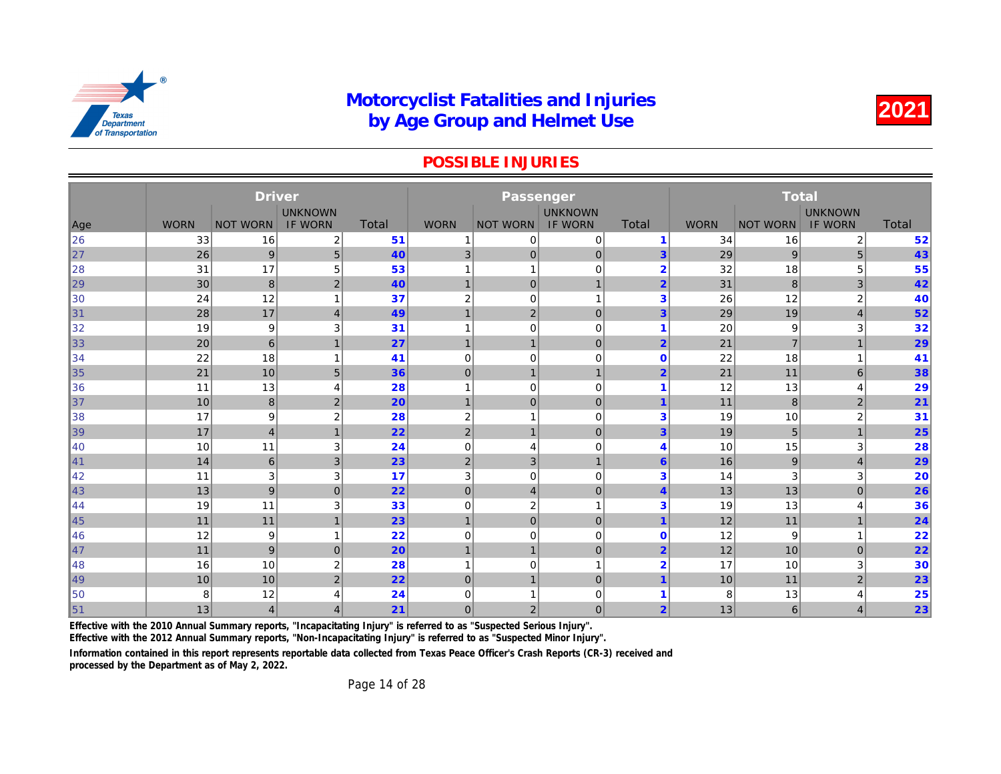#### POSSIBLE INJURIES

|                             |             | <b>Driver</b>   |                |       |                | Passenger        |                |                         |             |              |
|-----------------------------|-------------|-----------------|----------------|-------|----------------|------------------|----------------|-------------------------|-------------|--------------|
|                             |             |                 | <b>UNKNOWN</b> | Total |                |                  | <b>UNKNOWN</b> | <b>Total</b>            |             |              |
| Age                         | <b>WORN</b> | <b>NOT WORN</b> | <b>IF WORN</b> |       | <b>WORN</b>    | <b>NOT WORN</b>  | <b>IF WORN</b> |                         | <b>WORN</b> | <b>NOT W</b> |
| 26<br>$\vert$ <sub>27</sub> | 33          | 16              | 2              | 51    | 1              | 0                | 0              | $\blacktriangleleft$    | 34          |              |
|                             | 26          | 9               | 5 <sup>5</sup> | 40    | 3              | $\overline{0}$   | $\mathbf{0}$   | 3                       | 29          |              |
| ∥28                         | 31          | 17              | 5              | 53    | 1              | $\mathbf 1$      | $\mathbf 0$    | $\overline{2}$          | 32          |              |
| 29                          | 30          | 8               | $\overline{c}$ | 40    | $\overline{1}$ | $\overline{0}$   | $\mathbf{1}$   | $\overline{2}$          | 31          |              |
| ∥30                         | 24          | 12              | 1              | 37    | 2              | 0                | 1              | 3                       | 26          |              |
| 31                          | 28          | 17              | $\overline{4}$ | 49    | 1              | $\mathbf 2$      | $\pmb{0}$      | 3                       | 29          |              |
| 32                          | 19          | 9               | 3              | 31    | 1              | $\overline{0}$   | $\mathbf 0$    | -1                      | 20          |              |
| 33                          | 20          | 6               | $\mathbf{1}$   | 27    | $\mathbf 1$    | $\mathbf{1}$     | $\mathbf 0$    | $\overline{2}$          | 21          |              |
| 34                          | 22          | 18              | $\mathbf{1}$   | 41    | 0              | $\overline{0}$   | $\mathbf 0$    | $\mathbf 0$             | 22          |              |
| $\vert$ 35                  | 21          | 10              | $\overline{5}$ | 36    | $\mathbf 0$    | $\mathbf{1}$     | $\mathbf{1}$   | $\overline{2}$          | 21          |              |
| 36                          | 11          | 13              | $\overline{4}$ | 28    | 1              | $\overline{0}$   | $\mathbf 0$    | 1                       | 12          |              |
| $\parallel$ 37              | 10          | 8               | $\overline{2}$ | 20    | $\mathbf 1$    | $\overline{0}$   | $\mathbf 0$    |                         | 11          |              |
| 38                          | 17          | 9               | $\overline{2}$ | 28    | $\overline{2}$ | 1                | $\mathbf 0$    | 3                       | 19          |              |
| $\vert$ 39                  | 17          | $\overline{4}$  | $\mathbf{1}$   | 22    | 2              | $\mathbf{1}$     | $\mathbf 0$    | 3                       | 19          |              |
| ∥40                         | 10          | 11              | 3              | 24    | $\mathbf 0$    | 4                | $\mathbf 0$    | 4                       | 10          |              |
| $\vert$ 41                  | 14          | 6               | 3              | 23    | 2              | 3 <sub>l</sub>   | $\overline{1}$ | 6                       | 16          |              |
| ∥42                         | 11          | 3               | 3              | 17    | 3              | $\overline{0}$   | $\mathbf 0$    | 3                       | 14          |              |
| 43                          | 13          | 9               | $\overline{0}$ | 22    | $\mathbf{0}$   | 4                | $\mathbf 0$    | $\overline{\mathbf{4}}$ | 13          |              |
| ∥44                         | 19          | 11              | 3              | 33    | $\mathbf 0$    | $\boldsymbol{2}$ | 1              | 3                       | 19          |              |
| $\parallel$ 45              | 11          | 11              | $\mathbf{1}$   | 23    | $\overline{1}$ | $\overline{0}$   | $\mathbf 0$    | $\overline{\mathbf{1}}$ | 12          |              |
| ∥46                         | 12          | 9               |                | 22    | $\mathbf 0$    | $\overline{0}$   | $\mathbf 0$    | $\Omega$                | 12          |              |
| $\vert$ 47                  | 11          | 9               | $\mathbf{0}$   | 20    | $\overline{1}$ | $\mathbf{1}$     | $\mathbf 0$    | $\overline{2}$          | 12          |              |
| ∥48                         | 16          | 10              | $\overline{2}$ | 28    | 1              | 0                | 1              | $\overline{2}$          | 17          |              |
| ∥49                         | 10          | 10              | 2              | 22    | $\mathbf{0}$   | $\mathbf{1}$     | $\mathbf{0}$   | $\overline{\mathbf{1}}$ | 10          |              |
| 50                          | 8           | 12              | 4              | 24    | $\Omega$       | 1                | $\mathbf 0$    |                         | 8           |              |
| $\vert$ 51                  | 13          | $\overline{4}$  | 4              | 21    | $\overline{0}$ | $\overline{2}$   | $\mathbf 0$    | $\overline{2}$          | 13          |              |

Effective with the 2010 Annual Summary reports, "Incapacitating Injury" is referred to as "Suspected Serious Injury".

Effective with the 2012 Annual Summary reports, "Non-Incapacitating Injury" is referred to as "Suspected Minor Injury".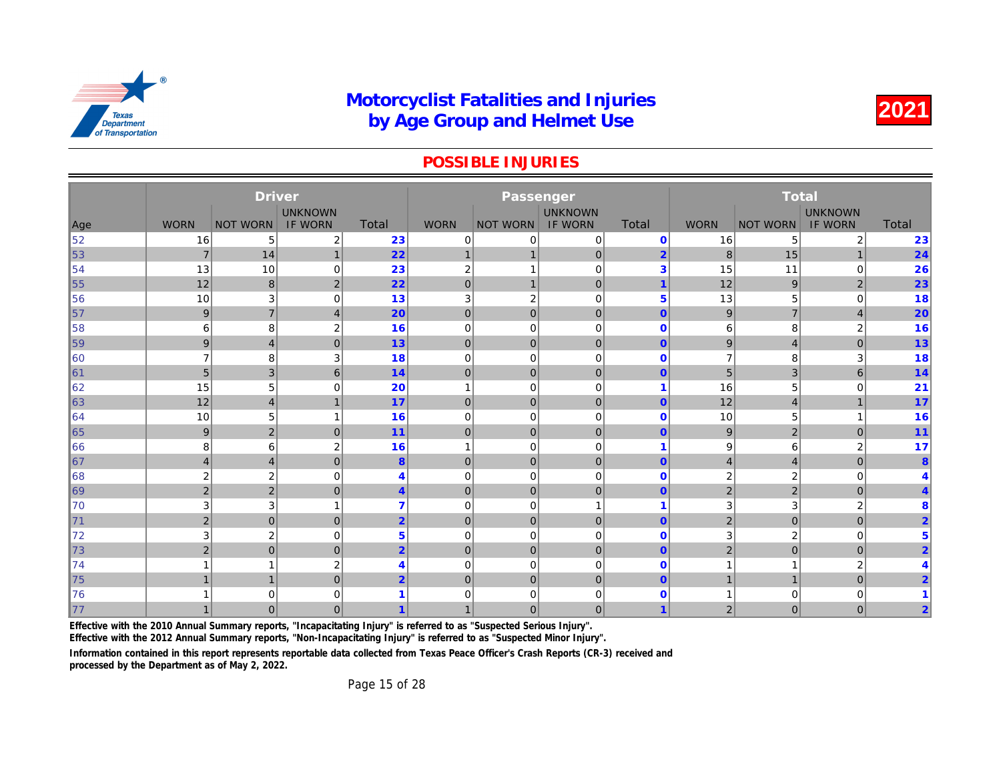#### POSSIBLE INJURIES

|     |                | <b>Driver</b>    |                |                |                | Passenger       |                |                         |                  |              |
|-----|----------------|------------------|----------------|----------------|----------------|-----------------|----------------|-------------------------|------------------|--------------|
|     |                |                  | <b>UNKNOWN</b> |                |                |                 | <b>UNKNOWN</b> |                         |                  |              |
| Age | <b>WORN</b>    | <b>NOT WORN</b>  | <b>IF WORN</b> | Total          | <b>WORN</b>    | <b>NOT WORN</b> | <b>IF WORN</b> | Total                   | <b>WORN</b>      | <b>NOT W</b> |
| 52  | 16             | 5                | 2              | 23             | $\mathbf 0$    | 0               | $\mathbf 0$    | $\mathbf 0$             | 16               |              |
| 53  | $\overline{7}$ | 14               | $\mathbf{1}$   | 22             |                |                 | $\pmb{0}$      | $\overline{2}$          | 8                |              |
| 54  | 13             | 10               | $\mathbf 0$    | 23             | $\overline{c}$ |                 | $\mathbf 0$    | 3                       | 15               |              |
| 55  | 12             | 8                | $\sqrt{2}$     | 22             | $\pmb{0}$      | $\mathbf{1}$    | $\mathbf{0}$   | $\overline{1}$          | 12               |              |
| 56  | 10             | 3                | 0              | 13             | 3              | $\overline{2}$  | $\mathbf 0$    | 5                       | 13               |              |
| 57  | 9              | $\overline{7}$   | $\overline{4}$ | 20             | $\mathbf 0$    | $\mathbf 0$     | $\mathbf 0$    | $\mathbf{0}$            | $\boldsymbol{9}$ |              |
| 58  | 6              | 8                | 2              | 16             | 0              | $\mathbf 0$     | $\mathbf 0$    | $\mathbf 0$             | 6                |              |
| 59  | 9              | $\overline{4}$   | $\mathbf{0}$   | 13             | $\mathbf 0$    | $\mathbf 0$     | $\mathbf 0$    | $\mathbf{0}$            | 9                |              |
| 60  | 7              | 8                | 3              | 18             | $\mathbf 0$    | $\mathbf 0$     | $\mathbf 0$    | $\mathbf 0$             | $\overline{7}$   |              |
| ∥61 | 5              | 3                | 6              | 14             | $\mathbf 0$    | $\mathbf 0$     | $\mathbf 0$    | $\mathbf{0}$            | 5                |              |
| 62  | 15             | 5                | 0              | 20             | -1             | $\mathbf 0$     | $\mathbf 0$    | 1                       | 16               |              |
| 63  | 12             | $\overline{4}$   | $\overline{1}$ | 17             | $\mathbf 0$    | $\mathbf 0$     | $\mathbf 0$    | $\mathbf{0}$            | 12               |              |
| 64  | 10             | 5                | 1              | 16             | $\mathbf 0$    | $\mathbf 0$     | $\mathbf 0$    | $\mathbf 0$             | 10               |              |
| 65  | 9              | $\mathbf 2$      | $\mathbf{0}$   | 11             | $\mathbf 0$    | $\mathbf{0}$    | $\mathbf{0}$   | $\mathbf{0}$            | 9                |              |
| 66  | 8              | 6                | $\overline{2}$ | 16             | $\overline{1}$ | $\mathbf 0$     | $\mathbf 0$    | 1                       | 9                |              |
| 67  | $\overline{4}$ | $\overline{4}$   | $\mathbf{0}$   | 8              | $\overline{0}$ | $\mathbf{0}$    | $\overline{0}$ | $\mathbf{0}$            | 4                |              |
| 68  | $\overline{2}$ | $\boldsymbol{2}$ | $\mathbf{0}$   | $\overline{4}$ | $\mathbf 0$    | $\mathbf 0$     | $\Omega$       | $\mathbf 0$             | 2                |              |
| 69  | 2 <sub>1</sub> | $\mathbf 2$      | $\mathbf{0}$   | $\overline{4}$ | $\overline{0}$ | $\mathbf{0}$    | $\overline{0}$ | $\mathbf{0}$            | $\overline{2}$   |              |
| 70  | 3              | 3                | 1              | 7              | $\mathbf 0$    | $\mathbf 0$     | $\mathbf{1}$   | 1                       | 3                |              |
| 71  | $\overline{2}$ | $\mathbf 0$      | $\overline{0}$ | $\overline{2}$ | $\mathbf 0$    | $\mathbf 0$     | $\mathbf 0$    | $\mathbf{0}$            | $\overline{2}$   |              |
| 72  | 3              | $\overline{2}$   | $\mathbf 0$    | $5\phantom{1}$ | $\mathbf 0$    | $\mathbf 0$     | $\mathbf 0$    | $\mathbf 0$             | 3                |              |
| 73  | $\overline{2}$ | $\overline{0}$   | $\overline{0}$ | $\overline{2}$ | $\mathbf 0$    | $\overline{0}$  | $\mathbf{0}$   | $\overline{0}$          | $\overline{2}$   |              |
| 74  |                | $\overline{1}$   | 2              | 4              | $\overline{0}$ | $\mathbf 0$     | $\mathbf 0$    | $\mathbf 0$             |                  |              |
| 75  | $\overline{1}$ | $\overline{1}$   | $\overline{0}$ | $\overline{2}$ | $\mathbf 0$    | $\overline{0}$  | $\overline{0}$ | $\mathbf{0}$            | $\overline{1}$   |              |
| 76  |                | 0                | 0              |                | 0              | 0               | 0              | $\bf{0}$                |                  |              |
| 77  |                | $\mathbf{0}$     | $\Omega$       |                |                | $\mathbf{0}$    | $\mathbf{0}$   | $\overline{\mathbf{1}}$ | $\overline{2}$   |              |

Effective with the 2010 Annual Summary reports, "Incapacitating Injury" is referred to as "Suspected Serious Injury".

Effective with the 2012 Annual Summary reports, "Non-Incapacitating Injury" is referred to as "Suspected Minor Injury".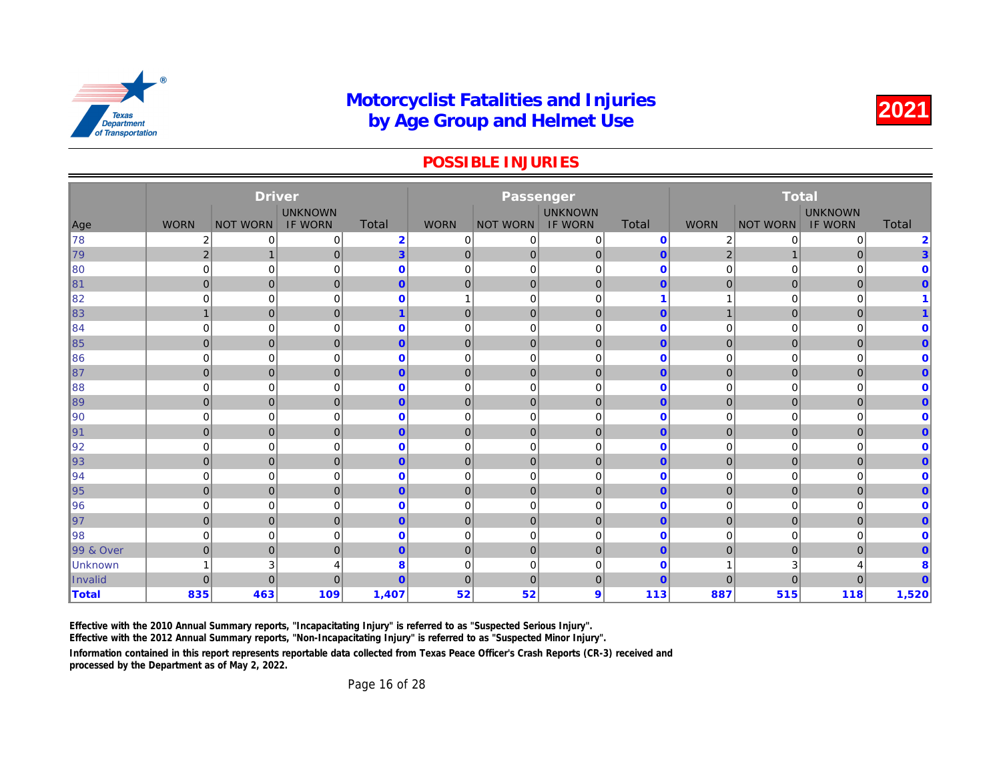#### POSSIBLE INJURIES

| <b>UNKNOWN</b><br><b>UNKNOWN</b><br>Total<br><b>WORN</b><br><b>Total</b><br><b>WORN</b><br><b>IF WORN</b><br><b>WORN</b><br>Age<br><b>NOT WORN</b><br><b>IF WORN</b><br><b>NOT WORN</b><br><b>NOT W</b><br>∦78<br>$\overline{2}$<br>2<br>0<br>$\mathbf{0}$<br>2<br>$\Omega$<br>0<br>0<br>0<br>3<br>$\overline{2}$<br> 79<br> 0 <br>$\mathbf{0}$<br>$\overline{0}$<br>$\mathbf 0$<br>$\mathbf{0}$<br>$\overline{2}$<br>$\mathbf 1$<br>$\mathbf 0$<br>$\mathbf 0$<br>$\mathbf 0$<br>$\mathbf 0$<br>$\parallel$ 80<br>$\mathbf 0$<br>$\mathbf 0$<br>$\mathbf 0$<br>$\mathbf 0$<br>0<br>81<br>$\mathbf 0$<br>$\overline{0}$<br>$\mathbf 0$<br>$\overline{0}$<br>$\overline{0}$<br>$\mathbf{0}$<br>$\overline{0}$<br>$\overline{0}$<br>$\overline{0}$<br>0<br>$\mathbf 0$<br>$\mathbf{0}$<br>$\mathbf 0$<br>$\mathbf 0$<br>0<br>1<br>1<br>83<br>$\mathbf{0}$<br>$\overline{0}$<br>$\mathbf 0$<br>$\overline{1}$<br>$\mathbf 0$<br>$\mathbf 0$<br>$\overline{1}$<br>$\mathbf{0}$<br>1<br>$\bf{0}$<br>$\mathbf 0$<br>0<br>$\mathbf 0$<br>0<br>$\mathbf 0$<br>0<br>0<br>$\mathbf 0$<br>$\overline{0}$<br>$\overline{0}$<br>$\mathbf 0$<br>$\mathbf{0}$<br>$\overline{0}$<br>$\mathbf 0$<br>$\mathbf 0$<br>$\overline{0}$<br>$\mathbf{0}$<br>$\mathbf 0$<br>$\mathbf 0$<br>$\mathbf 0$<br>0<br>0<br>0<br>0<br>$\mathbf 0$<br>0<br>$\overline{0}$<br>$\mathbf 0$<br> 0 <br>$\overline{0}$<br>$\overline{0}$<br>$\mathbf 0$<br>$\mathbf 0$<br>$\mathbf{0}$<br>$\mathbf{0}$<br>$\mathbf 0$<br>0<br>$\mathbf 0$<br>$\mathbf 0$<br>$\mathbf 0$<br>$\mathbf 0$<br>0<br>0<br>$\mathbf 0$<br>$\overline{0}$<br>$\overline{0}$<br>$\overline{0}$<br>$\overline{0}$<br>$\mathbf{0}$<br>$\mathbf{0}$<br>$\mathbf{0}$<br>$\overline{0}$<br>$\mathbf{0}$<br>$\mathbf 0$<br>$\mathbf{0}$<br>$\mathbf 0$<br>$\mathbf 0$<br>0<br>$\mathbf 0$<br>0<br>0<br>$\mathbf{0}$<br>$\overline{0}$<br>$\overline{0}$<br>$\mathbf 0$<br>$\overline{0}$<br>$\mathbf 0$<br>$\mathbf 0$<br>$\mathbf{0}$<br>$\mathbf 0$<br>$\mathbf{0}$<br>$\mathbf 0$<br>$\mathbf 0$<br>$\mathbf{0}$<br>$\mathbf 0$<br>$\mathbf 0$<br>0<br>0<br>$\mathbf 0$<br>0<br>$\overline{0}$<br>$\overline{0}$<br>$\mathbf 0$<br>$\mathbf{0}$<br>$\overline{0}$<br>$\mathbf 0$<br>$\mathbf 0$<br>$\mathbf{0}$<br>$\mathbf{0}$<br>0<br>$\mathbf 0$<br>$\mathbf{0}$<br>$\mathbf 0$<br>$\mathbf 0$<br>0<br>0<br>0<br>$\mathbf 0$<br>$\overline{0}$<br>$\mathbf 0$<br>$\mathbf{0}$<br>$\mathbf{0}$<br>$\overline{0}$<br>$\mathbf 0$<br>$\mathbf 0$<br>$\mathbf{0}$<br>$\mathbf{0}$<br>$\mathbf 0$<br>$\mathbf 0$<br>0<br>$\mathbf 0$<br>$\mathbf 0$<br>$\mathbf 0$<br>$\mathbf 0$<br>$\mathbf 0$<br>$\mathbf 0$<br>$\pmb{0}$<br>$\overline{0}$<br>$\mathbf 0$<br>$\mathbf{0}$<br>$\overline{0}$<br>$\mathbf 0$<br>$\mathbf 0$<br>$\overline{0}$<br>$\mathbf{0}$<br>$\mathbf 0$<br>0<br>$\mathbf 0$<br>$\mathbf 0$<br>$\mathbf 0$<br>$\mathbf 0$<br>$\mathbf 0$<br>0<br>0<br>$\overline{0}$<br>$\overline{0}$<br>$\mathbf 0$<br>$\mathbf{0}$<br>$\overline{0}$<br>$\mathbf 0$<br>$\mathbf 0$<br>$\mathbf{0}$<br>$\mathbf{0}$<br>3<br>8<br>$\mathbf 0$<br>$\mathbf 0$<br>0<br>$\mathbf 0$<br>1<br>4<br>$\Omega$<br>$\overline{0}$<br>$\mathbf{0}$<br>$\mathbf 0$<br>$\overline{0}$<br>$\overline{0}$<br>$\Omega$<br>$\overline{0}$<br>$\mathbf{0}$<br>463<br>109<br>1,407<br>52<br>52<br>9<br>887<br>835<br>113 |                      | <b>Driver</b> |  | Passenger |  |  |
|------------------------------------------------------------------------------------------------------------------------------------------------------------------------------------------------------------------------------------------------------------------------------------------------------------------------------------------------------------------------------------------------------------------------------------------------------------------------------------------------------------------------------------------------------------------------------------------------------------------------------------------------------------------------------------------------------------------------------------------------------------------------------------------------------------------------------------------------------------------------------------------------------------------------------------------------------------------------------------------------------------------------------------------------------------------------------------------------------------------------------------------------------------------------------------------------------------------------------------------------------------------------------------------------------------------------------------------------------------------------------------------------------------------------------------------------------------------------------------------------------------------------------------------------------------------------------------------------------------------------------------------------------------------------------------------------------------------------------------------------------------------------------------------------------------------------------------------------------------------------------------------------------------------------------------------------------------------------------------------------------------------------------------------------------------------------------------------------------------------------------------------------------------------------------------------------------------------------------------------------------------------------------------------------------------------------------------------------------------------------------------------------------------------------------------------------------------------------------------------------------------------------------------------------------------------------------------------------------------------------------------------------------------------------------------------------------------------------------------------------------------------------------------------------------------------------------------------------------------------------------------------------------------------------------------------------------------------------------------------------------------------------------------------------------------------------------------------------------------------------------------------------------------------------------------------------------------------------------------------------------------------------------------------------------------------------------------------|----------------------|---------------|--|-----------|--|--|
|                                                                                                                                                                                                                                                                                                                                                                                                                                                                                                                                                                                                                                                                                                                                                                                                                                                                                                                                                                                                                                                                                                                                                                                                                                                                                                                                                                                                                                                                                                                                                                                                                                                                                                                                                                                                                                                                                                                                                                                                                                                                                                                                                                                                                                                                                                                                                                                                                                                                                                                                                                                                                                                                                                                                                                                                                                                                                                                                                                                                                                                                                                                                                                                                                                                                                                                                          |                      |               |  |           |  |  |
|                                                                                                                                                                                                                                                                                                                                                                                                                                                                                                                                                                                                                                                                                                                                                                                                                                                                                                                                                                                                                                                                                                                                                                                                                                                                                                                                                                                                                                                                                                                                                                                                                                                                                                                                                                                                                                                                                                                                                                                                                                                                                                                                                                                                                                                                                                                                                                                                                                                                                                                                                                                                                                                                                                                                                                                                                                                                                                                                                                                                                                                                                                                                                                                                                                                                                                                                          |                      |               |  |           |  |  |
|                                                                                                                                                                                                                                                                                                                                                                                                                                                                                                                                                                                                                                                                                                                                                                                                                                                                                                                                                                                                                                                                                                                                                                                                                                                                                                                                                                                                                                                                                                                                                                                                                                                                                                                                                                                                                                                                                                                                                                                                                                                                                                                                                                                                                                                                                                                                                                                                                                                                                                                                                                                                                                                                                                                                                                                                                                                                                                                                                                                                                                                                                                                                                                                                                                                                                                                                          |                      |               |  |           |  |  |
|                                                                                                                                                                                                                                                                                                                                                                                                                                                                                                                                                                                                                                                                                                                                                                                                                                                                                                                                                                                                                                                                                                                                                                                                                                                                                                                                                                                                                                                                                                                                                                                                                                                                                                                                                                                                                                                                                                                                                                                                                                                                                                                                                                                                                                                                                                                                                                                                                                                                                                                                                                                                                                                                                                                                                                                                                                                                                                                                                                                                                                                                                                                                                                                                                                                                                                                                          |                      |               |  |           |  |  |
|                                                                                                                                                                                                                                                                                                                                                                                                                                                                                                                                                                                                                                                                                                                                                                                                                                                                                                                                                                                                                                                                                                                                                                                                                                                                                                                                                                                                                                                                                                                                                                                                                                                                                                                                                                                                                                                                                                                                                                                                                                                                                                                                                                                                                                                                                                                                                                                                                                                                                                                                                                                                                                                                                                                                                                                                                                                                                                                                                                                                                                                                                                                                                                                                                                                                                                                                          |                      |               |  |           |  |  |
|                                                                                                                                                                                                                                                                                                                                                                                                                                                                                                                                                                                                                                                                                                                                                                                                                                                                                                                                                                                                                                                                                                                                                                                                                                                                                                                                                                                                                                                                                                                                                                                                                                                                                                                                                                                                                                                                                                                                                                                                                                                                                                                                                                                                                                                                                                                                                                                                                                                                                                                                                                                                                                                                                                                                                                                                                                                                                                                                                                                                                                                                                                                                                                                                                                                                                                                                          |                      |               |  |           |  |  |
|                                                                                                                                                                                                                                                                                                                                                                                                                                                                                                                                                                                                                                                                                                                                                                                                                                                                                                                                                                                                                                                                                                                                                                                                                                                                                                                                                                                                                                                                                                                                                                                                                                                                                                                                                                                                                                                                                                                                                                                                                                                                                                                                                                                                                                                                                                                                                                                                                                                                                                                                                                                                                                                                                                                                                                                                                                                                                                                                                                                                                                                                                                                                                                                                                                                                                                                                          | 82                   |               |  |           |  |  |
|                                                                                                                                                                                                                                                                                                                                                                                                                                                                                                                                                                                                                                                                                                                                                                                                                                                                                                                                                                                                                                                                                                                                                                                                                                                                                                                                                                                                                                                                                                                                                                                                                                                                                                                                                                                                                                                                                                                                                                                                                                                                                                                                                                                                                                                                                                                                                                                                                                                                                                                                                                                                                                                                                                                                                                                                                                                                                                                                                                                                                                                                                                                                                                                                                                                                                                                                          |                      |               |  |           |  |  |
|                                                                                                                                                                                                                                                                                                                                                                                                                                                                                                                                                                                                                                                                                                                                                                                                                                                                                                                                                                                                                                                                                                                                                                                                                                                                                                                                                                                                                                                                                                                                                                                                                                                                                                                                                                                                                                                                                                                                                                                                                                                                                                                                                                                                                                                                                                                                                                                                                                                                                                                                                                                                                                                                                                                                                                                                                                                                                                                                                                                                                                                                                                                                                                                                                                                                                                                                          | ∥84                  |               |  |           |  |  |
|                                                                                                                                                                                                                                                                                                                                                                                                                                                                                                                                                                                                                                                                                                                                                                                                                                                                                                                                                                                                                                                                                                                                                                                                                                                                                                                                                                                                                                                                                                                                                                                                                                                                                                                                                                                                                                                                                                                                                                                                                                                                                                                                                                                                                                                                                                                                                                                                                                                                                                                                                                                                                                                                                                                                                                                                                                                                                                                                                                                                                                                                                                                                                                                                                                                                                                                                          | ∥85                  |               |  |           |  |  |
|                                                                                                                                                                                                                                                                                                                                                                                                                                                                                                                                                                                                                                                                                                                                                                                                                                                                                                                                                                                                                                                                                                                                                                                                                                                                                                                                                                                                                                                                                                                                                                                                                                                                                                                                                                                                                                                                                                                                                                                                                                                                                                                                                                                                                                                                                                                                                                                                                                                                                                                                                                                                                                                                                                                                                                                                                                                                                                                                                                                                                                                                                                                                                                                                                                                                                                                                          | 86                   |               |  |           |  |  |
|                                                                                                                                                                                                                                                                                                                                                                                                                                                                                                                                                                                                                                                                                                                                                                                                                                                                                                                                                                                                                                                                                                                                                                                                                                                                                                                                                                                                                                                                                                                                                                                                                                                                                                                                                                                                                                                                                                                                                                                                                                                                                                                                                                                                                                                                                                                                                                                                                                                                                                                                                                                                                                                                                                                                                                                                                                                                                                                                                                                                                                                                                                                                                                                                                                                                                                                                          | ∥87                  |               |  |           |  |  |
|                                                                                                                                                                                                                                                                                                                                                                                                                                                                                                                                                                                                                                                                                                                                                                                                                                                                                                                                                                                                                                                                                                                                                                                                                                                                                                                                                                                                                                                                                                                                                                                                                                                                                                                                                                                                                                                                                                                                                                                                                                                                                                                                                                                                                                                                                                                                                                                                                                                                                                                                                                                                                                                                                                                                                                                                                                                                                                                                                                                                                                                                                                                                                                                                                                                                                                                                          | 88                   |               |  |           |  |  |
|                                                                                                                                                                                                                                                                                                                                                                                                                                                                                                                                                                                                                                                                                                                                                                                                                                                                                                                                                                                                                                                                                                                                                                                                                                                                                                                                                                                                                                                                                                                                                                                                                                                                                                                                                                                                                                                                                                                                                                                                                                                                                                                                                                                                                                                                                                                                                                                                                                                                                                                                                                                                                                                                                                                                                                                                                                                                                                                                                                                                                                                                                                                                                                                                                                                                                                                                          | ∥89                  |               |  |           |  |  |
|                                                                                                                                                                                                                                                                                                                                                                                                                                                                                                                                                                                                                                                                                                                                                                                                                                                                                                                                                                                                                                                                                                                                                                                                                                                                                                                                                                                                                                                                                                                                                                                                                                                                                                                                                                                                                                                                                                                                                                                                                                                                                                                                                                                                                                                                                                                                                                                                                                                                                                                                                                                                                                                                                                                                                                                                                                                                                                                                                                                                                                                                                                                                                                                                                                                                                                                                          | $\parallel$ 90       |               |  |           |  |  |
|                                                                                                                                                                                                                                                                                                                                                                                                                                                                                                                                                                                                                                                                                                                                                                                                                                                                                                                                                                                                                                                                                                                                                                                                                                                                                                                                                                                                                                                                                                                                                                                                                                                                                                                                                                                                                                                                                                                                                                                                                                                                                                                                                                                                                                                                                                                                                                                                                                                                                                                                                                                                                                                                                                                                                                                                                                                                                                                                                                                                                                                                                                                                                                                                                                                                                                                                          | ∥91                  |               |  |           |  |  |
|                                                                                                                                                                                                                                                                                                                                                                                                                                                                                                                                                                                                                                                                                                                                                                                                                                                                                                                                                                                                                                                                                                                                                                                                                                                                                                                                                                                                                                                                                                                                                                                                                                                                                                                                                                                                                                                                                                                                                                                                                                                                                                                                                                                                                                                                                                                                                                                                                                                                                                                                                                                                                                                                                                                                                                                                                                                                                                                                                                                                                                                                                                                                                                                                                                                                                                                                          | ∥92                  |               |  |           |  |  |
|                                                                                                                                                                                                                                                                                                                                                                                                                                                                                                                                                                                                                                                                                                                                                                                                                                                                                                                                                                                                                                                                                                                                                                                                                                                                                                                                                                                                                                                                                                                                                                                                                                                                                                                                                                                                                                                                                                                                                                                                                                                                                                                                                                                                                                                                                                                                                                                                                                                                                                                                                                                                                                                                                                                                                                                                                                                                                                                                                                                                                                                                                                                                                                                                                                                                                                                                          | 93                   |               |  |           |  |  |
|                                                                                                                                                                                                                                                                                                                                                                                                                                                                                                                                                                                                                                                                                                                                                                                                                                                                                                                                                                                                                                                                                                                                                                                                                                                                                                                                                                                                                                                                                                                                                                                                                                                                                                                                                                                                                                                                                                                                                                                                                                                                                                                                                                                                                                                                                                                                                                                                                                                                                                                                                                                                                                                                                                                                                                                                                                                                                                                                                                                                                                                                                                                                                                                                                                                                                                                                          | ∥94                  |               |  |           |  |  |
|                                                                                                                                                                                                                                                                                                                                                                                                                                                                                                                                                                                                                                                                                                                                                                                                                                                                                                                                                                                                                                                                                                                                                                                                                                                                                                                                                                                                                                                                                                                                                                                                                                                                                                                                                                                                                                                                                                                                                                                                                                                                                                                                                                                                                                                                                                                                                                                                                                                                                                                                                                                                                                                                                                                                                                                                                                                                                                                                                                                                                                                                                                                                                                                                                                                                                                                                          | ∥95                  |               |  |           |  |  |
|                                                                                                                                                                                                                                                                                                                                                                                                                                                                                                                                                                                                                                                                                                                                                                                                                                                                                                                                                                                                                                                                                                                                                                                                                                                                                                                                                                                                                                                                                                                                                                                                                                                                                                                                                                                                                                                                                                                                                                                                                                                                                                                                                                                                                                                                                                                                                                                                                                                                                                                                                                                                                                                                                                                                                                                                                                                                                                                                                                                                                                                                                                                                                                                                                                                                                                                                          | 96                   |               |  |           |  |  |
|                                                                                                                                                                                                                                                                                                                                                                                                                                                                                                                                                                                                                                                                                                                                                                                                                                                                                                                                                                                                                                                                                                                                                                                                                                                                                                                                                                                                                                                                                                                                                                                                                                                                                                                                                                                                                                                                                                                                                                                                                                                                                                                                                                                                                                                                                                                                                                                                                                                                                                                                                                                                                                                                                                                                                                                                                                                                                                                                                                                                                                                                                                                                                                                                                                                                                                                                          | ∥97                  |               |  |           |  |  |
|                                                                                                                                                                                                                                                                                                                                                                                                                                                                                                                                                                                                                                                                                                                                                                                                                                                                                                                                                                                                                                                                                                                                                                                                                                                                                                                                                                                                                                                                                                                                                                                                                                                                                                                                                                                                                                                                                                                                                                                                                                                                                                                                                                                                                                                                                                                                                                                                                                                                                                                                                                                                                                                                                                                                                                                                                                                                                                                                                                                                                                                                                                                                                                                                                                                                                                                                          | ∥98                  |               |  |           |  |  |
|                                                                                                                                                                                                                                                                                                                                                                                                                                                                                                                                                                                                                                                                                                                                                                                                                                                                                                                                                                                                                                                                                                                                                                                                                                                                                                                                                                                                                                                                                                                                                                                                                                                                                                                                                                                                                                                                                                                                                                                                                                                                                                                                                                                                                                                                                                                                                                                                                                                                                                                                                                                                                                                                                                                                                                                                                                                                                                                                                                                                                                                                                                                                                                                                                                                                                                                                          | <b>99 &amp; Over</b> |               |  |           |  |  |
|                                                                                                                                                                                                                                                                                                                                                                                                                                                                                                                                                                                                                                                                                                                                                                                                                                                                                                                                                                                                                                                                                                                                                                                                                                                                                                                                                                                                                                                                                                                                                                                                                                                                                                                                                                                                                                                                                                                                                                                                                                                                                                                                                                                                                                                                                                                                                                                                                                                                                                                                                                                                                                                                                                                                                                                                                                                                                                                                                                                                                                                                                                                                                                                                                                                                                                                                          | Unknown              |               |  |           |  |  |
|                                                                                                                                                                                                                                                                                                                                                                                                                                                                                                                                                                                                                                                                                                                                                                                                                                                                                                                                                                                                                                                                                                                                                                                                                                                                                                                                                                                                                                                                                                                                                                                                                                                                                                                                                                                                                                                                                                                                                                                                                                                                                                                                                                                                                                                                                                                                                                                                                                                                                                                                                                                                                                                                                                                                                                                                                                                                                                                                                                                                                                                                                                                                                                                                                                                                                                                                          | Invalid              |               |  |           |  |  |
|                                                                                                                                                                                                                                                                                                                                                                                                                                                                                                                                                                                                                                                                                                                                                                                                                                                                                                                                                                                                                                                                                                                                                                                                                                                                                                                                                                                                                                                                                                                                                                                                                                                                                                                                                                                                                                                                                                                                                                                                                                                                                                                                                                                                                                                                                                                                                                                                                                                                                                                                                                                                                                                                                                                                                                                                                                                                                                                                                                                                                                                                                                                                                                                                                                                                                                                                          | <b>Total</b>         |               |  |           |  |  |

Effective with the 2010 Annual Summary reports, "Incapacitating Injury" is referred to as "Suspected Serious Injury".

Effective with the 2012 Annual Summary reports, "Non-Incapacitating Injury" is referred to as "Suspected Minor Injury".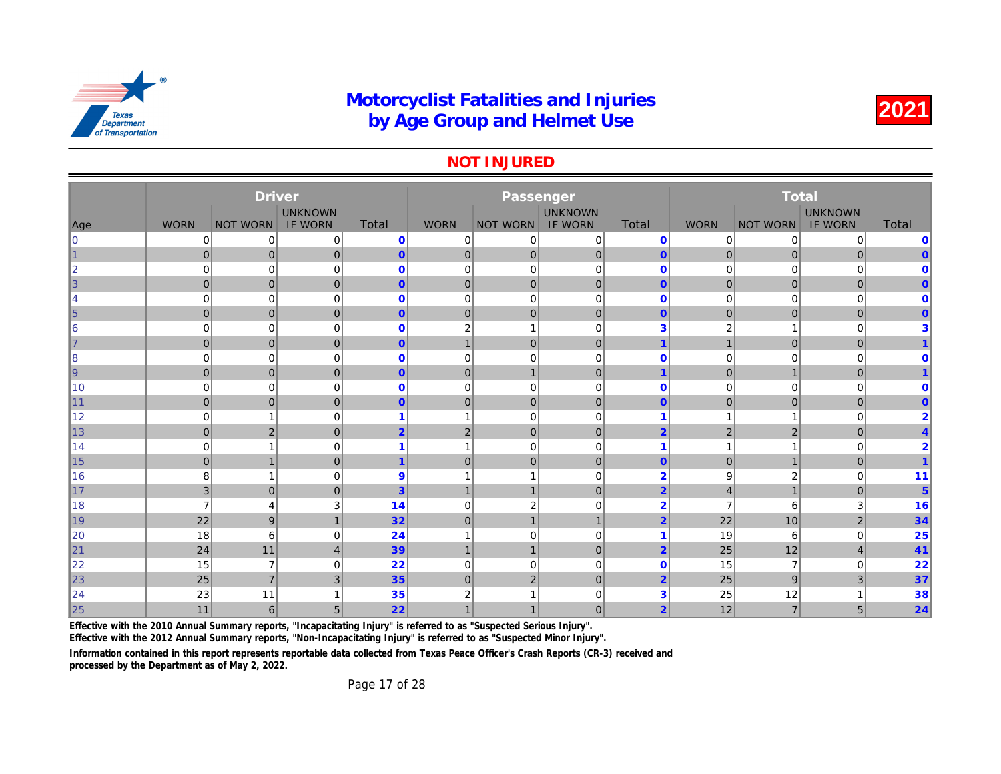#### NOT INJURED

|                |                | <b>Driver</b>   |                |                |                         | Passenger       |                |                |                |              |
|----------------|----------------|-----------------|----------------|----------------|-------------------------|-----------------|----------------|----------------|----------------|--------------|
|                |                |                 | <b>UNKNOWN</b> |                |                         |                 | <b>UNKNOWN</b> |                |                |              |
| Age            | <b>WORN</b>    | <b>NOT WORN</b> | <b>IF WORN</b> | Total          | <b>WORN</b>             | <b>NOT WORN</b> | <b>IF WORN</b> | <b>Total</b>   | <b>WORN</b>    | <b>NOT W</b> |
| $\overline{0}$ | 0              | 0               | 0              | $\mathbf 0$    | $\mathbf 0$             | 0               | $\mathbf 0$    | $\mathbf 0$    | 0              |              |
| 1              | $\overline{0}$ | $\mathbf 0$     | $\overline{0}$ | $\overline{0}$ | $\overline{0}$          | 0               | $\mathbf 0$    | $\overline{0}$ | $\overline{0}$ |              |
| $\overline{2}$ | $\mathbf 0$    | $\mathbf 0$     | $\mathbf 0$    | $\mathbf 0$    | $\mathbf 0$             | $\mathbf 0$     | $\mathbf 0$    | $\mathbf 0$    | $\mathbf 0$    |              |
| 3              | $\overline{0}$ | $\mathbf 0$     | $\mathbf{0}$   | $\overline{0}$ | $\mathbf 0$             | 0               | $\mathbf{0}$   | $\mathbf{0}$   | $\mathbf 0$    |              |
| 4              | $\mathbf 0$    | $\mathbf 0$     | 0              | $\mathbf 0$    | 0                       | $\mathbf 0$     | $\mathbf 0$    | $\mathbf 0$    | 0              |              |
| $\overline{5}$ | $\overline{0}$ | $\mathbf 0$     | $\mathbf{0}$   | $\overline{0}$ | $\mathbf 0$             | $\mathbf 0$     | $\mathbf{0}$   | $\mathbf{0}$   | $\mathbf 0$    |              |
| 6              | $\mathbf 0$    | 0               | 0              | $\mathbf{0}$   | $\overline{2}$          |                 | $\mathbf 0$    | 3              | 2              |              |
| 7              | $\overline{0}$ | $\mathbf 0$     | $\mathbf{0}$   | $\overline{0}$ | $\overline{1}$          | $\mathbf{0}$    | $\mathbf{0}$   | $\overline{1}$ | $\mathbf{1}$   |              |
| 8              | $\Omega$       | $\mathbf 0$     | 0              | $\mathbf{0}$   | $\mathbf 0$             | $\mathbf 0$     | $\mathbf 0$    | $\mathbf 0$    | 0              |              |
| 9              | $\overline{0}$ | $\pmb{0}$       | $\mathbf{0}$   | $\overline{0}$ | $\mathbf 0$             | $\mathbf{1}$    | $\mathbf 0$    | $\mathbf 1$    | $\mathbf 0$    |              |
| 10             | $\mathbf 0$    | $\mathbf 0$     | 0              | $\mathbf 0$    | $\mathbf 0$             | $\mathbf 0$     | $\mathbf 0$    | $\mathbf 0$    | 0              |              |
| 11             | $\overline{0}$ | $\mathbf 0$     | $\mathbf{0}$   | $\overline{0}$ | $\mathbf 0$             | $\mathbf{0}$    | $\mathbf 0$    | $\mathbf{0}$   | $\mathbf 0$    |              |
| 12             | $\mathbf 0$    | $\overline{1}$  | 0              | 1              |                         | $\mathbf 0$     | $\mathbf 0$    | 1              |                |              |
| 13             | $\overline{0}$ | $\overline{2}$  | $\mathbf{0}$   | $\overline{2}$ | $\overline{2}$          | $\mathbf{0}$    | $\mathbf{0}$   | $\overline{2}$ | $\overline{2}$ |              |
| 14             | $\mathbf 0$    | 1               | 0              | 1              | $\overline{\mathbf{1}}$ | $\mathbf 0$     | $\mathbf 0$    | 1              |                |              |
| 15             | $\Omega$       | $\mathbf{1}$    | $\mathbf{0}$   | $\overline{1}$ | $\overline{0}$          | $\mathbf{0}$    | $\mathbf{0}$   | $\mathbf{0}$   | $\overline{0}$ |              |
| 16             | 8              | 1               | 0              | 9              |                         |                 | $\Omega$       | $\overline{2}$ | 9              |              |
| 17             | $\overline{3}$ | $\mathbf 0$     | $\mathbf{0}$   | $\overline{3}$ | $\mathbf{1}$            | $\mathbf{1}$    | $\mathbf 0$    | $\overline{2}$ | $\overline{4}$ |              |
| 18             |                | 4               | 3              | 14             | $\mathbf 0$             | $\overline{2}$  | $\mathbf 0$    | $\overline{2}$ | $\overline{7}$ |              |
| 19             | 22             | 9               | $\mathbf{1}$   | 32             | $\overline{0}$          | $\overline{1}$  | $\mathbf{1}$   | $\overline{2}$ | 22             |              |
| 20             | 18             | 6               | $\mathbf 0$    | 24             |                         | $\Omega$        | $\mathbf 0$    | 1              | 19             |              |
| 21             | 24             | 11              | $\overline{4}$ | 39             | $\overline{1}$          | $\mathbf{1}$    | $\overline{0}$ | $\overline{2}$ | 25             |              |
| 22             | 15             | $\overline{7}$  | $\mathbf 0$    | 22             | $\overline{0}$          | $\mathbf 0$     | $\mathbf 0$    | $\mathbf 0$    | 15             |              |
| 23             | 25             | $\overline{7}$  | 3              | 35             | $\mathbf{0}$            | $\overline{2}$  | $\mathbf{0}$   | $\overline{2}$ | 25             |              |
| 24             | 23             | 11              |                | 35             | $\overline{2}$          |                 | $\mathbf 0$    | 3              | 25             |              |
| 25             | 11             | $6\phantom{1}$  | 5              | 22             |                         |                 | $\mathbf 0$    | $\overline{2}$ | 12             |              |

Effective with the 2010 Annual Summary reports, "Incapacitating Injury" is referred to as "Suspected Serious Injury".

Effective with the 2012 Annual Summary reports, "Non-Incapacitating Injury" is referred to as "Suspected Minor Injury".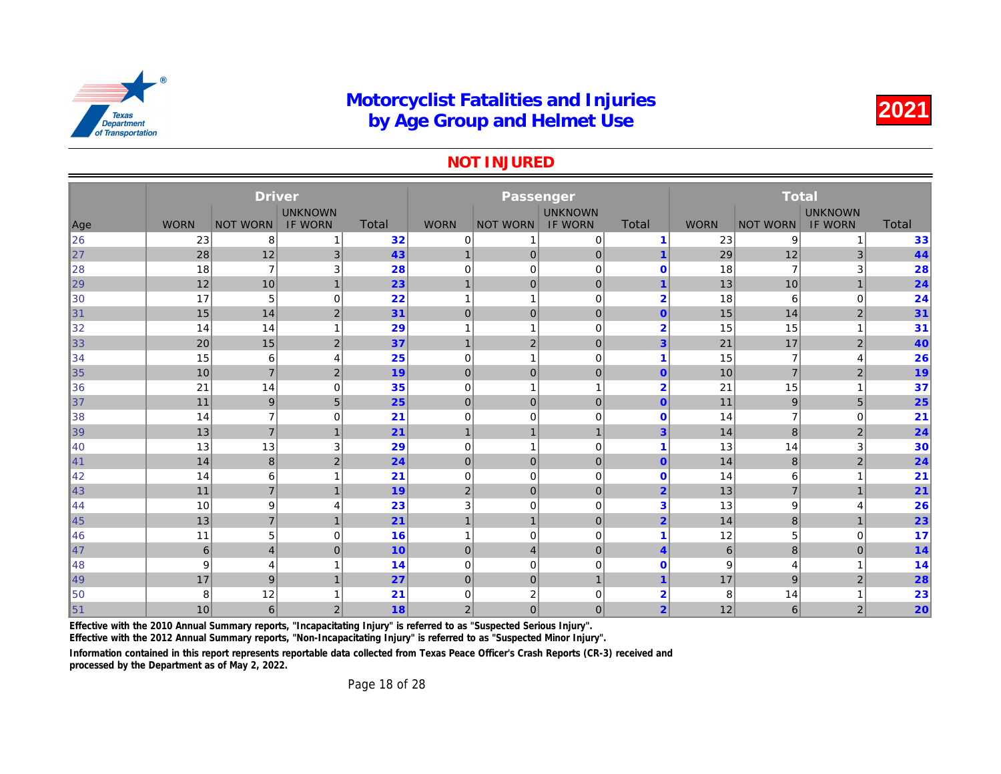#### NOT INJURED

|     |             | <b>Driver</b>   |                |              |                | Passenger        |                |                |                 |              |
|-----|-------------|-----------------|----------------|--------------|----------------|------------------|----------------|----------------|-----------------|--------------|
|     |             |                 | <b>UNKNOWN</b> |              |                |                  | <b>UNKNOWN</b> |                |                 |              |
| Age | <b>WORN</b> | <b>NOT WORN</b> | <b>IF WORN</b> | <b>Total</b> | <b>WORN</b>    | <b>NOT WORN</b>  | <b>IF WORN</b> | <b>Total</b>   | <b>WORN</b>     | <b>NOT W</b> |
| 26  | 23          | 8               |                | 32           | 0              | 1                | 0              | -1             | 23              |              |
| 27  | 28          | 12              | 3 <sup>2</sup> | 43           | $\overline{1}$ | $\overline{0}$   | $\mathbf 0$    |                | 29              |              |
| 28  | 18          | $\overline{7}$  | 3              | 28           | 0              | 0                | $\mathbf 0$    | $\Omega$       | 18              |              |
| 29  | 12          | 10              | $\overline{1}$ | 23           | $\overline{1}$ | $\overline{0}$   | $\mathbf 0$    |                | 13              |              |
| 30  | 17          | 5               | $\mathbf 0$    | 22           | 1              | 1                | $\mathbf 0$    | $\overline{2}$ | 18              |              |
| 31  | 15          | 14              | $\overline{2}$ | 31           | $\mathbf 0$    | $\overline{0}$   | $\mathbf 0$    | $\mathbf{0}$   | 15              |              |
| 32  | 14          | 14              | 1              | 29           | 1              | $\mathbf{1}$     | $\mathbf 0$    | $\overline{2}$ | 15              |              |
| 33  | 20          | 15              | $\overline{2}$ | 37           | $\mathbf{1}$   | $\overline{2}$   | $\pmb{0}$      | 3              | 21              |              |
| 34  | 15          | 6               | 4              | 25           | 0              | 1                | $\mathbf 0$    | 1              | 15              |              |
| 35  | 10          | $\overline{7}$  | $\overline{2}$ | 19           | $\mathbf 0$    | $\overline{0}$   | $\mathbf 0$    | $\mathbf{0}$   | 10              |              |
| 36  | 21          | 14              | $\mathbf 0$    | 35           | $\mathbf 0$    | $\mathbf{1}$     |                | $\overline{2}$ | 21              |              |
| 37  | 11          | 9               | 5              | 25           | $\mathbf 0$    | $\overline{0}$   | $\mathbf 0$    | $\mathbf{0}$   | 11              |              |
| 38  | 14          | $\overline{7}$  | 0              | 21           | 0              | 0                | $\mathbf 0$    | $\mathbf 0$    | 14              |              |
| 39  | 13          | $\overline{7}$  | $\overline{1}$ | 21           | $\mathbf 1$    | $\mathbf{1}$     | $\mathbf{1}$   | 3              | 14              |              |
| 40  | 13          | 13              | 3              | 29           | $\mathbf 0$    | 1                | $\mathbf 0$    | -1             | 13              |              |
| 41  | 14          | 8               | 2              | 24           | $\mathbf 0$    | $\overline{0}$   | $\mathbf 0$    | $\mathbf 0$    | 14              |              |
| 42  | 14          | 6               |                | 21           | $\mathbf 0$    | $\mathbf 0$      | $\mathbf 0$    | $\Omega$       | 14              |              |
| 43  | 11          | $\overline{7}$  | 1              | 19           | $\overline{2}$ | $\overline{0}$   | $\mathbf 0$    | $\overline{2}$ | 13              |              |
| 44  | 10          | 9               | 4              | 23           | 3              | 0                | $\mathbf 0$    | 3              | 13              |              |
| 45  | 13          | $\overline{7}$  | $\overline{1}$ | 21           | $\mathbf{1}$   | $\mathbf{1}$     | $\mathbf 0$    | $\overline{2}$ | 14              |              |
| 46  | 11          | 5               | $\mathbf 0$    | 16           | 1              | $\mathbf 0$      | $\mathbf 0$    | 1              | 12              |              |
| 47  | 6           | $\overline{4}$  | $\mathbf{0}$   | 10           | $\mathbf 0$    | 4                | $\mathbf 0$    | $\overline{4}$ | $6\phantom{1}6$ |              |
| 48  | 9           | $\overline{4}$  |                | 14           | 0              | 0                | $\mathbf 0$    | $\Omega$       | 9               |              |
| 49  | 17          | 9               | $\overline{1}$ | 27           | $\overline{0}$ | $\overline{0}$   | $\overline{1}$ | $\overline{4}$ | 17              |              |
| 50  | 8           | 12              |                | 21           | 0              | $\boldsymbol{2}$ | $\mathbf 0$    | റ<br>∠         | 8               |              |
| 51  | 10          | $6\phantom{1}6$ | $\overline{2}$ | 18           | $\overline{2}$ | $\overline{0}$   | $\mathbf 0$    | $\overline{2}$ | 12              |              |

Effective with the 2010 Annual Summary reports, "Incapacitating Injury" is referred to as "Suspected Serious Injury".

Effective with the 2012 Annual Summary reports, "Non-Incapacitating Injury" is referred to as "Suspected Minor Injury".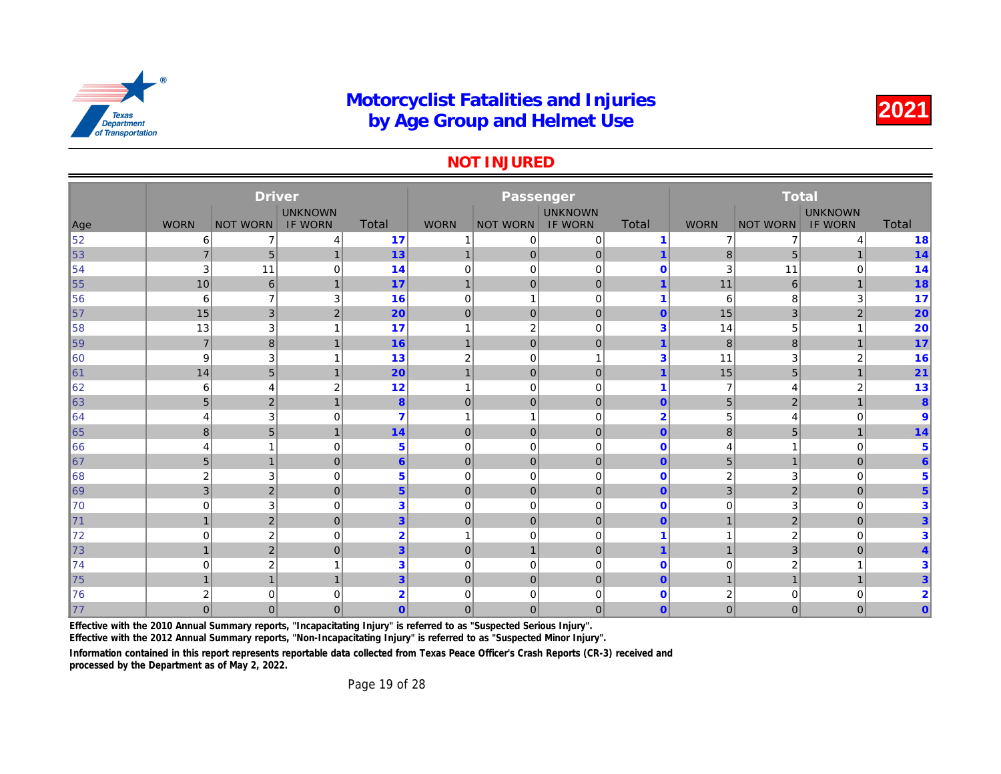#### NOT INJURED

|     |                | <b>Driver</b>    |                |                |                | Passenger       |                |                         |                |              |
|-----|----------------|------------------|----------------|----------------|----------------|-----------------|----------------|-------------------------|----------------|--------------|
|     |                |                  | <b>UNKNOWN</b> |                |                |                 | <b>UNKNOWN</b> |                         |                |              |
| Age | <b>WORN</b>    | <b>NOT WORN</b>  | <b>IF WORN</b> | Total          | <b>WORN</b>    | <b>NOT WORN</b> | <b>IF WORN</b> | Total                   | <b>WORN</b>    | <b>NOT W</b> |
| 52  | 6              | $\overline{7}$   | 4              | 17             |                | 0               | $\mathbf 0$    | $\overline{1}$          | $\overline{7}$ |              |
| 53  | $\overline{7}$ | 5                | $\mathbf{1}$   | 13             | $\mathbf{1}$   | $\mathbf{0}$    | $\mathbf 0$    | 1                       | 8              |              |
| 54  | 3              | 11               | $\mathbf 0$    | 14             | $\mathbf 0$    | 0               | $\mathbf 0$    | $\mathbf 0$             | 3              |              |
| 55  | 10             | 6                | $\overline{1}$ | 17             | $\overline{1}$ | $\mathbf{0}$    | $\mathbf 0$    | $\overline{1}$          | 11             |              |
| 56  | 6              | $\overline{7}$   | 3              | 16             | $\mathbf 0$    |                 | $\mathbf 0$    | 1                       | 6              |              |
| 57  | 15             | $\mathbf{3}$     | $\overline{2}$ | 20             | $\mathbf 0$    | $\mathbf 0$     | $\mathbf 0$    | $\mathbf{0}$            | 15             |              |
| 58  | 13             | 3                | 1              | 17             | $\mathbf{1}$   | $\sqrt{2}$      | $\mathbf 0$    | 3                       | 14             |              |
| 59  | $\overline{7}$ | 8                | 1              | 16             | $\overline{1}$ | $\mathbf{0}$    | $\mathbf 0$    | 1                       | 8              |              |
| 60  | 9              | 3                | 1              | 13             | $\overline{2}$ | $\mathbf 0$     | $\mathbf{1}$   | 3                       | 11             |              |
| ∥61 | 14             | $\sqrt{5}$       | 1              | 20             | $\mathbf{1}$   | $\mathbf 0$     | $\mathbf{0}$   | 1                       | 15             |              |
| 62  | 6              | $\overline{4}$   | $\overline{2}$ | 12             | $\mathbf{1}$   | $\mathbf 0$     | $\mathbf 0$    | $\overline{\mathbf{1}}$ | $\overline{7}$ |              |
| 63  | 5              | $\mathbf 2$      | $\mathbf 1$    | $\pmb{8}$      | $\mathbf 0$    | $\mathbf{0}$    | $\pmb{0}$      | $\mathbf{0}$            | 5              |              |
| 64  | 4              | 3                | $\Omega$       | $\overline{7}$ | 1              |                 | $\mathbf 0$    | $\overline{2}$          | 5              |              |
| 65  | 8              | 5                | $\overline{1}$ | 14             | $\mathbf 0$    | $\mathbf{0}$    | $\mathbf 0$    | $\mathbf{0}$            | 8              |              |
| 66  | $\overline{4}$ | 1                | 0              | 5              | $\mathbf 0$    | $\mathbf 0$     | $\mathbf 0$    | $\mathbf 0$             | 4              |              |
| 67  | 5              | $\mathbf{1}$     | $\mathbf{0}$   | $6\phantom{1}$ | $\mathbf 0$    | $\mathbf{0}$    | $\mathbf{0}$   | $\mathbf{0}$            | 5              |              |
| 68  | $\overline{2}$ | 3                | 0              | $\overline{5}$ | $\overline{0}$ | $\mathbf 0$     | $\mathbf 0$    | $\mathbf 0$             | 2              |              |
| 69  | 3              | $\mathbf 2$      | $\mathbf{0}$   | 5 <sup>5</sup> | $\overline{0}$ | $\mathbf{0}$    | $\overline{0}$ | $\mathbf{0}$            | 3              |              |
| 70  | $\Omega$       | 3                | 0              | 3              | $\mathbf 0$    | $\mathbf 0$     | $\mathbf 0$    | $\mathbf 0$             | 0              |              |
| 71  | $\mathbf{1}$   | $\overline{2}$   | $\mathbf{0}$   | $\overline{3}$ | $\mathbf 0$    | $\mathbf{0}$    | $\overline{0}$ | $\mathbf{0}$            | $\mathbf{1}$   |              |
| 72  | $\Omega$       | $\boldsymbol{2}$ | $\mathbf 0$    | $\overline{2}$ | -1             | $\mathbf 0$     | $\mathbf 0$    | 1                       |                |              |
| 73  | $\mathbf{1}$   | $\mathbf 2$      | $\overline{0}$ | $\overline{3}$ | $\overline{0}$ | $\mathbf{1}$    | $\mathbf 0$    | $\overline{1}$          | $\overline{1}$ |              |
| 74  | $\Omega$       | $\boldsymbol{2}$ |                | 3              | $\mathbf 0$    | 0               | $\mathbf 0$    | $\mathbf 0$             | 0              |              |
| 75  |                | $\overline{1}$   | $\overline{1}$ | $\overline{3}$ | $\mathbf 0$    | $\overline{0}$  | $\overline{0}$ | $\mathbf{0}$            | $\overline{1}$ |              |
| 76  | $\overline{2}$ | 0                | 0              | $\overline{2}$ | 0              | 0               | 0              | $\bf{0}$                | 2              |              |
| 177 | $\overline{0}$ | $\mathbf{0}$     | $\Omega$       | $\overline{0}$ | $\overline{0}$ | $\mathbf{0}$    | $\mathbf{0}$   | $\mathbf{0}$            | $\overline{0}$ |              |

Effective with the 2010 Annual Summary reports, "Incapacitating Injury" is referred to as "Suspected Serious Injury".

Effective with the 2012 Annual Summary reports, "Non-Incapacitating Injury" is referred to as "Suspected Minor Injury".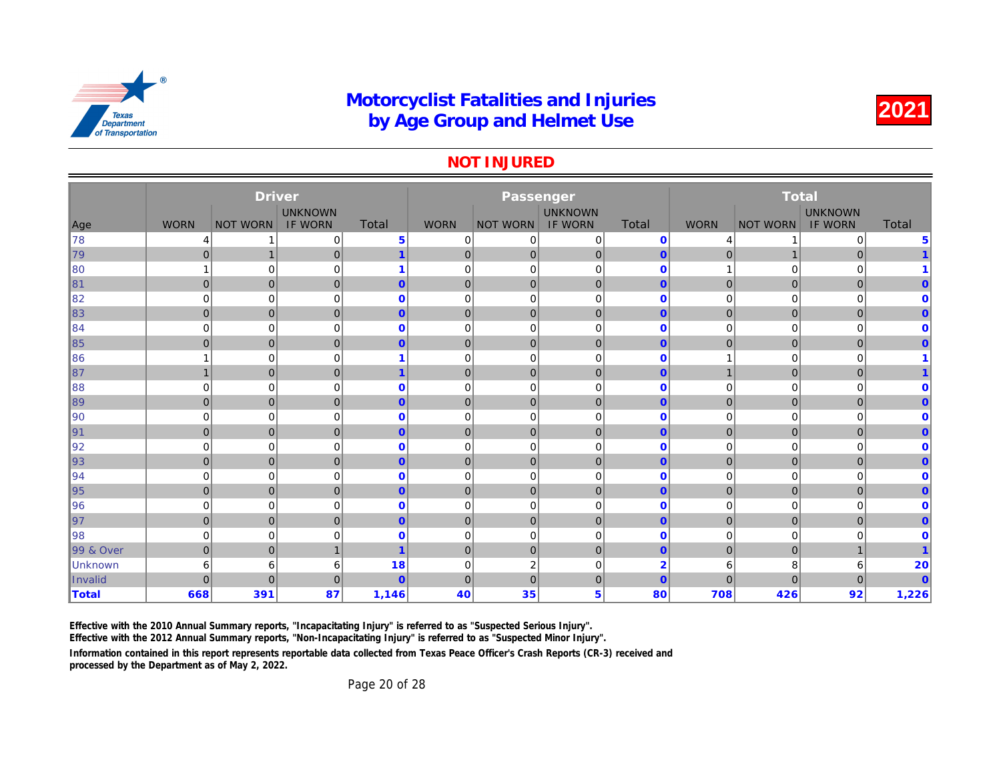#### NOT INJURED

|                |                | <b>Driver</b>   |                |                |              | Passenger       |                |                |                |              |
|----------------|----------------|-----------------|----------------|----------------|--------------|-----------------|----------------|----------------|----------------|--------------|
|                |                |                 | <b>UNKNOWN</b> |                |              |                 | <b>UNKNOWN</b> |                |                |              |
| Age            | <b>WORN</b>    | <b>NOT WORN</b> | <b>IF WORN</b> | <b>Total</b>   | <b>WORN</b>  | <b>NOT WORN</b> | IF WORN        | Total          | <b>WORN</b>    | <b>NOT W</b> |
| ∥78            | 4              |                 | 0              | $\overline{5}$ | 0            | 0               | 0              | $\mathbf{0}$   | 4              |              |
| 79             | $\mathbf 0$    | $\mathbf 1$     | $\overline{0}$ | $\mathbf{1}$   | $\mathbf 0$  | $\overline{0}$  | $\mathbf 0$    | $\mathbf{0}$   | $\mathbf{0}$   |              |
| ∥80            |                | $\mathbf 0$     | $\mathbf 0$    |                | $\mathbf 0$  | $\mathbf 0$     | $\mathbf 0$    | $\mathbf 0$    |                |              |
| $\ 81$         | $\mathbf{0}$   | $\mathbf 0$     | $\mathbf{0}$   | $\overline{0}$ | $\mathbf 0$  | $\mathbf{0}$    | $\mathbf 0$    | $\overline{0}$ | $\overline{0}$ |              |
| ∥82            | $\mathbf 0$    | 0               | $\mathbf 0$    | $\mathbf 0$    | 0            | 0               | $\mathbf 0$    | $\mathbf 0$    | 0              |              |
| 83             | $\mathbf 0$    | $\mathbf 0$     | $\mathbf 0$    | $\mathbf{0}$   | $\mathbf 0$  | $\mathbf 0$     | $\mathbf 0$    | $\mathbf{0}$   | $\mathbf 0$    |              |
| ∥84            | $\mathbf 0$    | $\mathbf 0$     | $\mathbf 0$    | $\mathbf{0}$   | $\mathbf 0$  | $\mathbf 0$     | $\mathbf 0$    | $\mathbf 0$    | 0              |              |
| $\vert$ 85     | $\mathbf 0$    | $\mathbf 0$     | $\mathbf 0$    | $\mathbf{0}$   | $\mathbf 0$  | $\mathbf 0$     | $\mathbf 0$    | $\mathbf{0}$   | $\overline{0}$ |              |
| 86             |                | $\mathbf 0$     | $\mathbf 0$    |                | $\mathbf 0$  | $\mathbf 0$     | $\mathbf 0$    | $\mathbf{0}$   | 1              |              |
| $\parallel$ 87 |                | $\pmb{0}$       | $\overline{0}$ | 1              | $\mathbf 0$  | $\mathbf{0}$    | $\pmb{0}$      | $\overline{0}$ | $\mathbf{1}$   |              |
| ∥88            | $\mathbf 0$    | $\mathbf 0$     | $\mathbf 0$    | $\mathbf 0$    | 0            | $\mathbf 0$     | $\mathbf 0$    | $\mathbf 0$    | 0              |              |
| $\ 89\ $       | $\mathbf 0$    | $\mathbf{0}$    | $\overline{0}$ | $\mathbf{0}$   | $\mathbf 0$  | $\mathbf{0}$    | $\mathbf 0$    | $\mathbf{0}$   | $\mathbf 0$    |              |
| ∥90            | $\mathbf 0$    | $\mathbf 0$     | $\mathbf 0$    | $\mathbf{0}$   | $\mathbf 0$  | $\mathbf 0$     | $\mathbf 0$    | $\mathbf 0$    | 0              |              |
| 91             | $\mathbf{0}$   | $\mathbf 0$     | $\mathbf{0}$   | $\mathbf{0}$   | $\mathbf 0$  | $\mathbf{0}$    | $\mathbf 0$    | $\overline{0}$ | $\mathbf 0$    |              |
| 92             | $\mathbf 0$    | $\mathbf 0$     | $\mathbf 0$    | $\mathbf{0}$   | 0            | $\mathbf 0$     | $\mathbf 0$    | $\mathbf 0$    | 0              |              |
| $\vert$ 93     | $\mathbf 0$    | $\mathbf 0$     | $\mathbf 0$    | $\mathbf{0}$   | $\mathbf 0$  | $\mathbf 0$     | $\mathbf 0$    | $\overline{0}$ | $\mathbf 0$    |              |
| ∥94            | $\mathbf 0$    | $\mathbf 0$     | 0              | $\mathbf 0$    | $\mathbf 0$  | $\mathbf 0$     | $\mathbf 0$    | $\mathbf{0}$   | 0              |              |
| $\vert$ 95     | $\overline{0}$ | $\overline{0}$  | $\mathbf{0}$   | $\mathbf{0}$   | $\mathbf{0}$ | $\mathbf 0$     | $\overline{0}$ | $\mathbf{0}$   | $\overline{0}$ |              |
| $\parallel$ 96 | 0              | $\mathbf 0$     | 0              | $\mathbf 0$    | 0            | $\mathbf 0$     | $\mathbf 0$    | $\mathbf 0$    | 0              |              |
| 97             | $\mathbf{0}$   | $\mathbf 0$     | $\overline{0}$ | $\mathbf{0}$   | $\mathbf 0$  | $\mathbf{0}$    | $\mathbf 0$    | $\overline{0}$ | $\mathbf{0}$   |              |
| 98             | 0              | $\mathbf 0$     | $\mathbf 0$    | $\mathbf 0$    | 0            | $\mathbf 0$     | $\mathbf 0$    | $\mathbf 0$    | 0              |              |
| 99 & Over      | $\mathbf 0$    | $\pmb{0}$       | 1              |                | $\mathbf 0$  | $\pmb{0}$       | $\pmb{0}$      | $\mathbf{0}$   | $\mathbf{0}$   |              |
| Unknown        | 6              | 6               | 6              | 18             | $\mathbf 0$  | $\overline{2}$  | $\mathbf 0$    | $\overline{2}$ | 6              |              |
| Invalid        | $\Omega$       | $\overline{0}$  | $\mathbf{0}$   | $\mathbf{0}$   | $\mathbf 0$  | $\overline{0}$  | $\mathbf 0$    | $\overline{0}$ | $\overline{0}$ |              |
| <b>Total</b>   | 668            | 391             | 87             | 1,146          | 40           | 35              | 5              | 80             | 708            |              |
|                |                |                 |                |                |              |                 |                |                |                |              |

Effective with the 2010 Annual Summary reports, "Incapacitating Injury" is referred to as "Suspected Serious Injury".

Effective with the 2012 Annual Summary reports, "Non-Incapacitating Injury" is referred to as "Suspected Minor Injury".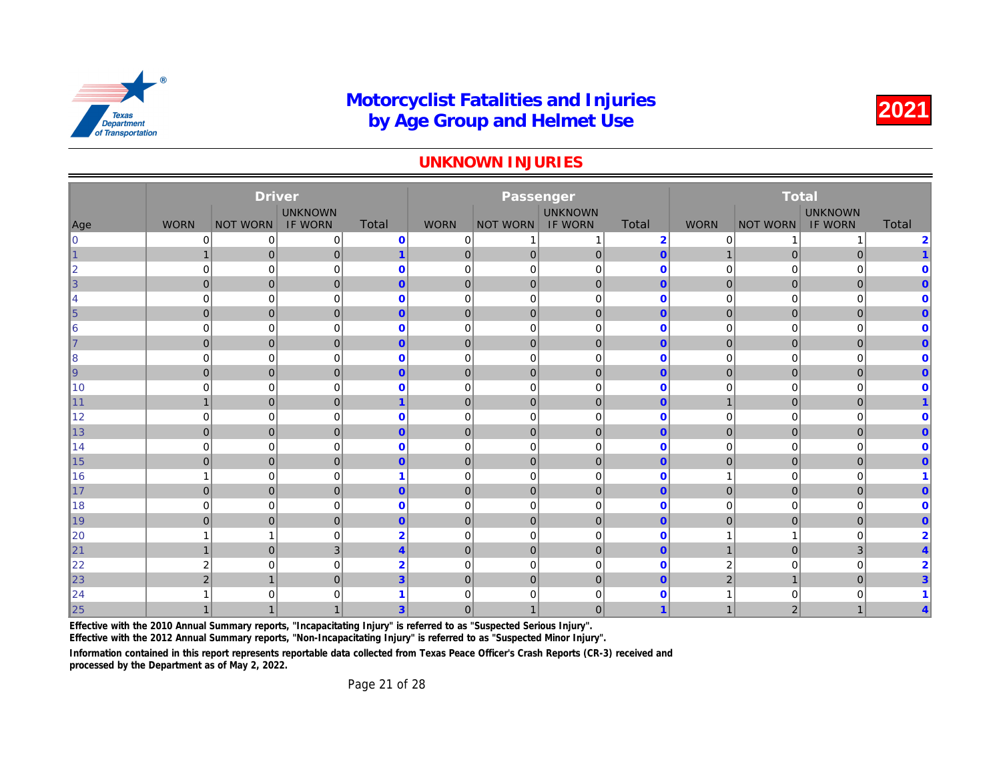#### UNKNOWN INJURIES

|            |                | <b>Driver</b>   |                |                         |                | Passenger       |                |                |                |              |
|------------|----------------|-----------------|----------------|-------------------------|----------------|-----------------|----------------|----------------|----------------|--------------|
|            |                |                 | <b>UNKNOWN</b> |                         |                |                 | <b>UNKNOWN</b> |                |                |              |
| Age        | <b>WORN</b>    | <b>NOT WORN</b> | <b>IF WORN</b> | Total                   | <b>WORN</b>    | <b>NOT WORN</b> | <b>IF WORN</b> | <b>Total</b>   | <b>WORN</b>    | <b>NOT W</b> |
| lo         | 0              | 0               | 0              | $\mathbf 0$             | 0              |                 | 1              | $\overline{2}$ | 0              |              |
| $\vert$ 1  |                | $\mathbf 0$     | 0              | $\mathbf{1}$            | $\mathbf 0$    | $\overline{0}$  | $\pmb{0}$      | $\mathbf{0}$   | 1              |              |
| 2          | $\mathbf 0$    | $\mathbf 0$     | 0              | $\bf{0}$                | 0              | $\mathbf 0$     | $\mathbf 0$    | $\mathbf 0$    | 0              |              |
| $\vert$ 3  | $\mathbf{0}$   | $\mathbf{0}$    | $\overline{0}$ | $\mathbf{0}$            | $\mathbf 0$    | $\overline{0}$  | $\mathbf 0$    | $\overline{0}$ | $\mathbf{0}$   |              |
| 14         | $\mathbf 0$    | $\mathbf 0$     | $\mathbf 0$    | $\mathbf 0$             | $\mathbf 0$    | $\mathbf 0$     | $\mathbf 0$    | $\mathbf{0}$   | 0              |              |
| $\vert$ 5  | $\mathbf 0$    | $\pmb{0}$       | $\overline{0}$ | $\mathbf{0}$            | $\mathbf 0$    | $\mathbf{0}$    | $\pmb{0}$      | $\overline{0}$ | $\mathbf 0$    |              |
| 6          | $\mathbf 0$    | $\mathbf 0$     | $\mathbf 0$    | $\mathbf 0$             | $\mathbf 0$    | $\mathbf 0$     | $\mathbf 0$    | $\mathbf{0}$   | 0              |              |
| $\vert$ 7  | $\mathbf 0$    | $\mathbf 0$     | $\overline{0}$ | $\overline{0}$          | $\mathbf 0$    | $\mathbf 0$     | $\pmb{0}$      | $\overline{0}$ | $\mathbf 0$    |              |
| 8          | $\mathbf 0$    | $\mathbf 0$     | 0              | $\mathbf 0$             | 0              | $\mathbf 0$     | $\mathbf 0$    | $\mathbf 0$    | 0              |              |
| $\vert$ 9  | $\mathbf{0}$   | $\mathbf{0}$    | $\overline{0}$ | $\mathbf{0}$            | $\mathbf 0$    | $\mathbf{0}$    | $\mathbf 0$    | $\mathbf{0}$   | $\mathbf 0$    |              |
| ∥10        | $\mathbf 0$    | $\mathbf 0$     | 0              | $\bf{0}$                | $\mathbf 0$    | $\mathbf 0$     | $\mathbf 0$    | $\mathbf 0$    | 0              |              |
| $\vert$ 11 | $\mathbf{1}$   | $\overline{0}$  | $\overline{0}$ | $\mathbf{1}$            | $\overline{0}$ | $\mathbf{0}$    | $\mathbf{0}$   | $\overline{0}$ | $\mathbf{1}$   |              |
| ∥12        | $\mathbf 0$    | $\mathbf 0$     | $\mathbf 0$    | $\mathbf 0$             | $\overline{0}$ | $\mathbf 0$     | $\mathbf 0$    | $\mathbf 0$    | 0              |              |
| $\vert$ 13 | $\mathbf{0}$   | $\mathbf 0$     | $\overline{0}$ | $\mathbf{0}$            | $\overline{0}$ | $\mathbf{0}$    | $\mathbf 0$    | $\overline{0}$ | $\mathbf{0}$   |              |
| 14         | $\mathbf 0$    | $\mathbf 0$     | $\mathbf 0$    | $\mathbf 0$             | $\mathbf 0$    | $\mathbf 0$     | $\mathbf 0$    | $\mathbf{0}$   | 0              |              |
| 15         | $\mathbf{0}$   | $\mathbf 0$     | $\overline{0}$ | $\overline{0}$          | $\mathbf 0$    | $\mathbf{0}$    | $\mathbf 0$    | $\overline{0}$ | $\overline{0}$ |              |
| 16         |                | $\mathbf 0$     | 0              |                         | $\mathbf 0$    | $\mathbf 0$     | $\mathbf 0$    | $\mathbf 0$    | 1              |              |
| $\vert$ 17 | $\overline{0}$ | $\mathbf 0$     | $\overline{0}$ | $\overline{0}$          | $\mathbf 0$    | $\mathbf{0}$    | $\mathbf 0$    | $\overline{0}$ | $\overline{0}$ |              |
| 18         | $\mathbf 0$    | $\mathbf 0$     | $\mathbf 0$    | $\mathbf 0$             | $\mathbf 0$    | $\mathbf 0$     | $\mathbf 0$    | $\mathbf{0}$   | 0              |              |
| $\vert$ 19 | $\mathbf{0}$   | $\overline{0}$  | $\overline{0}$ | $\overline{0}$          | $\mathbf 0$    | $\mathbf{0}$    | $\mathbf 0$    | $\overline{0}$ | $\overline{0}$ |              |
| 20         |                | $\mathbf{1}$    | $\mathbf 0$    | $\overline{2}$          | $\mathbf 0$    | $\mathbf 0$     | $\mathbf 0$    | $\mathbf{0}$   |                |              |
| $\vert$ 21 | $\mathbf 1$    | $\mathbf 0$     | 3              | $\overline{\mathbf{4}}$ | $\mathbf 0$    | $\mathbf 0$     | $\mathbf 0$    | $\overline{0}$ | $\overline{1}$ |              |
| 22         | $\overline{2}$ | $\mathbf 0$     | $\mathbf 0$    | $\overline{2}$          | 0              | $\mathbf 0$     | $\mathbf 0$    | $\mathbf 0$    | 2              |              |
| $\vert$ 23 | $\overline{2}$ | $\mathbf{1}$    | $\overline{0}$ | $\overline{3}$          | $\mathbf 0$    | $\mathbf{0}$    | $\mathbf 0$    | $\mathbf{0}$   | $\overline{c}$ |              |
| 24         |                | $\mathbf 0$     | $\mathbf 0$    |                         | $\mathbf 0$    | $\Omega$        | $\mathbf 0$    | $\mathbf 0$    |                |              |
| 25         |                | $\mathbf{1}$    |                | 3                       | 0              |                 | $\mathbf{0}$   | 1              | 1              |              |

Effective with the 2010 Annual Summary reports, "Incapacitating Injury" is referred to as "Suspected Serious Injury".

Effective with the 2012 Annual Summary reports, "Non-Incapacitating Injury" is referred to as "Suspected Minor Injury".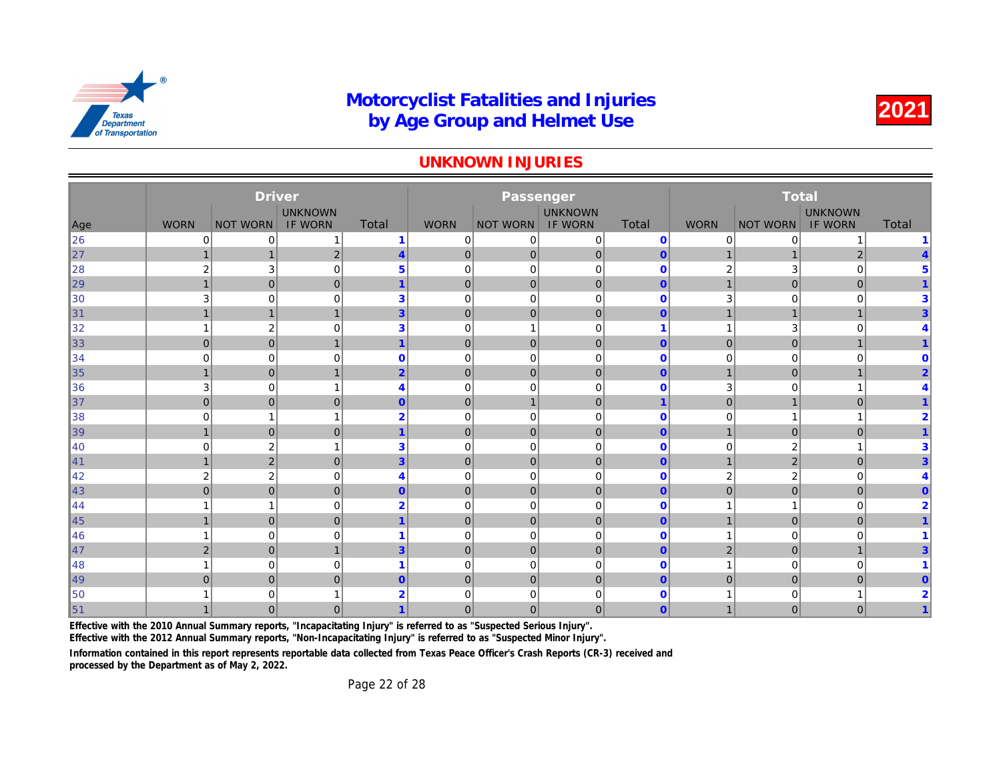#### UNKNOWN INJURIES

|                       |                | <b>Driver</b>           |                |                |                | Passenger       |                |                |                |              |
|-----------------------|----------------|-------------------------|----------------|----------------|----------------|-----------------|----------------|----------------|----------------|--------------|
|                       |                |                         | <b>UNKNOWN</b> |                |                |                 | <b>UNKNOWN</b> |                |                |              |
| Age                   | <b>WORN</b>    | <b>NOT WORN</b>         | <b>IF WORN</b> | <b>Total</b>   | <b>WORN</b>    | <b>NOT WORN</b> | <b>IF WORN</b> | <b>Total</b>   | <b>WORN</b>    | <b>NOT W</b> |
| 26                    | $\mathbf 0$    | 0                       | 1              | $\mathbf 1$    | 0              | 0               | $\mathbf 0$    | $\mathbf 0$    | 0              |              |
| $\vert$ <sub>27</sub> |                | $\mathbf 1$             | $\mathbf 2$    | $\overline{4}$ | $\mathbf 0$    | $\overline{0}$  | $\pmb{0}$      | $\mathbf{0}$   |                |              |
| 28                    | $\overline{2}$ | 3                       | 0              | $\overline{5}$ | $\mathbf 0$    | $\mathbf 0$     | $\mathbf 0$    | $\mathbf 0$    | 2              |              |
| $\vert$ 29            | $\mathbf{1}$   | $\mathbf 0$             | $\overline{0}$ | $\mathbf 1$    | $\mathbf 0$    | $\mathbf{0}$    | $\mathbf 0$    | $\overline{0}$ | $\mathbf{1}$   |              |
| $\parallel$ 30        | 3              | $\mathbf 0$             | $\mathbf 0$    | 3              | 0              | $\mathbf 0$     | $\mathbf 0$    | $\mathbf 0$    | 3              |              |
| $\vert$ 31            |                | $\mathbf{1}$            | $\mathbf{1}$   | 3              | $\mathbf 0$    | $\mathbf 0$     | $\mathbf 0$    | $\mathbf{0}$   | 1              |              |
| 32                    |                | $\overline{2}$          | $\mathbf 0$    | 3              | $\mathbf 0$    | 1               | $\mathbf 0$    | 1              | 1              |              |
| $\vert$ 33            | $\overline{0}$ | $\mathbf 0$             | $\mathbf{1}$   | 1              | $\mathbf 0$    | $\mathbf{0}$    | $\mathbf 0$    | $\overline{0}$ | $\mathbf{0}$   |              |
| 34                    | $\mathbf 0$    | $\mathbf 0$             | $\mathbf 0$    | $\mathbf 0$    | $\mathbf 0$    | $\mathbf 0$     | $\mathbf 0$    | $\mathbf 0$    | 0              |              |
| $\vert$ 35            | $\mathbf 1$    | $\pmb{0}$               | 1              | $\overline{2}$ | $\mathbf 0$    | $\pmb{0}$       | $\pmb{0}$      | $\mathbf{0}$   | $\mathbf{1}$   |              |
| 36                    | 3              | $\mathbf 0$             | 1              | 4              | $\mathbf 0$    | $\mathbf 0$     | $\mathbf 0$    | $\mathbf{0}$   | 3              |              |
| $\vert$ 37            | $\mathbf 0$    | $\mathbf 0$             | $\mathbf 0$    | $\mathbf{0}$   | $\mathbf 0$    | $\mathbf{1}$    | $\mathbf 0$    | $\overline{1}$ | $\mathbf 0$    |              |
| 38                    | $\mathbf 0$    | $\mathbf{1}$            | 1              | $\overline{2}$ | $\mathbf 0$    | $\mathbf 0$     | $\mathbf 0$    | $\mathbf 0$    | 0              |              |
| $\vert$ 39            | $\mathbf{1}$   | $\overline{0}$          | $\mathbf{0}$   | $\mathbf 1$    | $\mathbf 0$    | $\mathbf{0}$    | $\mathbf 0$    | $\mathbf{0}$   | $\mathbf{1}$   |              |
| ∥40                   | $\mathbf 0$    | $\overline{\mathbf{c}}$ | 1              | 3              | $\mathbf 0$    | $\mathbf 0$     | $\mathbf 0$    | $\mathbf 0$    | 0              |              |
| $\vert$ 41            | $\mathbf{1}$   | $\overline{2}$          | $\Omega$       | $\overline{3}$ | $\overline{0}$ | $\mathbf{0}$    | $\mathbf{0}$   | $\mathbf{0}$   | $\mathbf{1}$   |              |
| ∥42                   | $\overline{2}$ | $\overline{2}$          | $\Omega$       | 4              | $\mathbf 0$    | $\mathbf 0$     | $\Omega$       | $\Omega$       | 2              |              |
| $\vert$ 43            | $\mathbf{0}$   | $\overline{0}$          | $\overline{0}$ | $\mathbf{0}$   | $\overline{0}$ | $\mathbf 0$     | $\mathbf{0}$   | $\mathbf{0}$   | $\overline{0}$ |              |
| ∥44                   |                | $\mathbf{1}$            | $\mathbf 0$    | $\overline{2}$ | $\mathbf 0$    | $\mathbf 0$     | $\mathbf 0$    | $\mathbf{0}$   |                |              |
| $\vert$ 45            | $\overline{1}$ | $\overline{0}$          | $\mathbf{0}$   | $\mathbf{1}$   | $\mathbf 0$    | $\mathbf{0}$    | $\overline{0}$ | $\overline{0}$ | $\mathbf{1}$   |              |
| ∥46                   |                | $\mathbf 0$             | $\mathbf 0$    |                | $\overline{0}$ | $\mathbf 0$     | $\mathbf 0$    | $\mathbf 0$    | 1              |              |
| $\vert$ 47            | 2              | $\mathbf 0$             | $\overline{1}$ | $\overline{3}$ | $\mathbf 0$    | $\mathbf{0}$    | $\mathbf 0$    | $\overline{0}$ | $\overline{2}$ |              |
| ∥48                   |                | $\mathbf 0$             | $\mathbf 0$    |                | $\mathbf 0$    | $\mathbf 0$     | $\mathbf 0$    | $\mathbf 0$    |                |              |
| ∥49                   | $\mathbf{0}$   | $\mathbf 0$             | $\overline{0}$ | $\mathbf{0}$   | $\mathbf 0$    | $\mathbf 0$     | $\mathbf 0$    | $\overline{0}$ | $\overline{0}$ |              |
| 50                    |                | 0                       |                | 2              | $\mathbf 0$    | 0               | $\mathbf 0$    | $\mathbf 0$    |                |              |
| $\vert$ 51            |                | $\mathbf{0}$            | $\overline{0}$ |                | $\mathbf 0$    | $\mathbf 0$     | $\mathbf 0$    | $\overline{0}$ | $\mathbf 1$    |              |

Effective with the 2010 Annual Summary reports, "Incapacitating Injury" is referred to as "Suspected Serious Injury".

Effective with the 2012 Annual Summary reports, "Non-Incapacitating Injury" is referred to as "Suspected Minor Injury".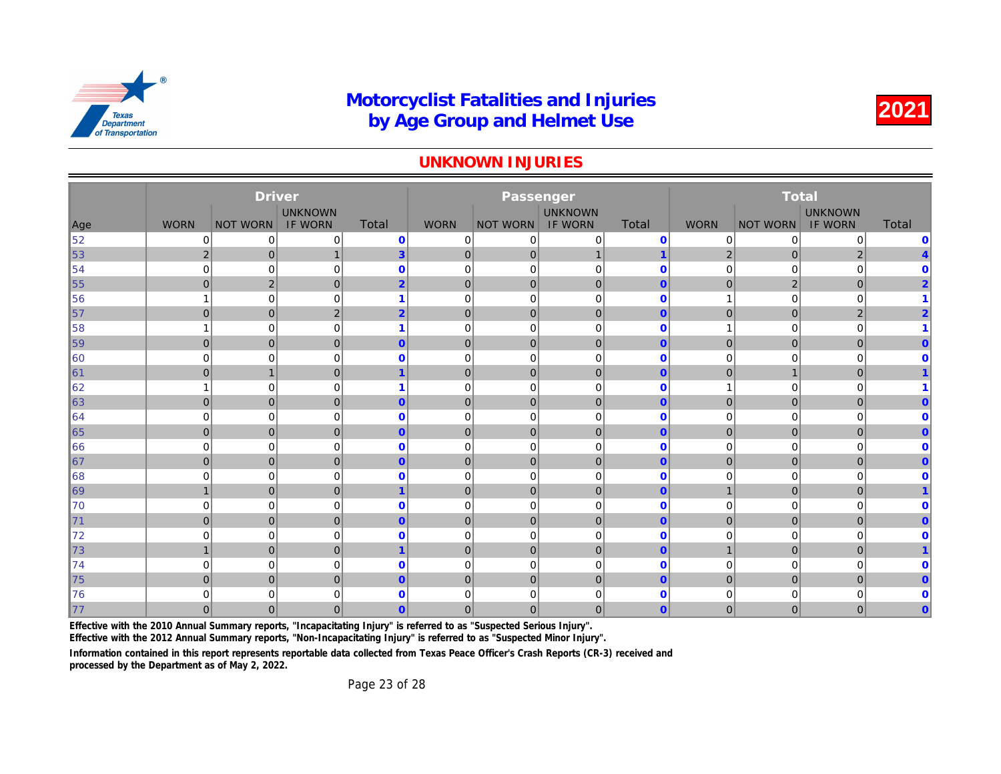#### UNKNOWN INJURIES

|     |                | <b>Driver</b>   |                |                         |                | Passenger       |                |                |                |              |
|-----|----------------|-----------------|----------------|-------------------------|----------------|-----------------|----------------|----------------|----------------|--------------|
|     |                |                 | <b>UNKNOWN</b> |                         |                |                 | <b>UNKNOWN</b> |                |                |              |
| Age | <b>WORN</b>    | <b>NOT WORN</b> | <b>IF WORN</b> | Total                   | <b>WORN</b>    | <b>NOT WORN</b> | <b>IF WORN</b> | Total          | <b>WORN</b>    | <b>NOT W</b> |
| 52  | 0              | 0               | 0              | $\bf{0}$                | 0              | 0               | 0              | $\mathbf 0$    | 0              |              |
| 53  | $\overline{2}$ | $\mathbf 0$     | $\mathbf{1}$   | 3 <sup>1</sup>          | $\mathbf 0$    | 0               | $\mathbf{1}$   | 1              | $\overline{2}$ |              |
| 54  | $\mathbf 0$    | $\mathbf 0$     | 0              | $\mathbf 0$             | 0              | $\mathbf 0$     | $\mathbf 0$    | $\mathbf 0$    | 0              |              |
| 55  | $\overline{0}$ | $\overline{2}$  | $\mathbf{0}$   | $\overline{2}$          | $\mathbf 0$    | 0               | $\mathbf{0}$   | $\mathbf{0}$   | $\mathbf{0}$   |              |
| 56  |                | $\mathbf 0$     | 0              | 1                       | $\mathbf 0$    | $\mathbf 0$     | $\mathbf 0$    | $\mathbf 0$    | 1              |              |
| 57  | $\overline{0}$ | $\pmb{0}$       | 2              | $\overline{2}$          | $\mathbf 0$    | $\mathbf{0}$    | $\mathbf{0}$   | $\mathbf{0}$   | $\mathbf 0$    |              |
| 58  |                | $\mathbf 0$     | 0              | $\overline{\mathbf{1}}$ | $\mathbf 0$    | $\mathbf 0$     | $\mathbf 0$    | $\mathbf 0$    | 1              |              |
| 59  | $\overline{0}$ | $\mathbf 0$     | $\mathbf{0}$   | $\overline{0}$          | $\mathbf 0$    | $\mathbf 0$     | $\mathbf 0$    | $\mathbf{0}$   | $\mathbf 0$    |              |
| 60  | $\Omega$       | $\mathbf 0$     | 0              | $\mathbf{0}$            | $\mathbf 0$    | $\mathbf 0$     | $\mathbf 0$    | $\mathbf 0$    | 0              |              |
| ∥61 | $\overline{0}$ | $\mathbf{1}$    | $\mathbf{0}$   | 1                       | $\mathbf 0$    | $\mathbf 0$     | $\mathbf{0}$   | $\mathbf{0}$   | 0              |              |
| 62  |                | $\mathbf 0$     | 0              | 1                       | $\mathbf 0$    | $\mathbf 0$     | $\mathbf 0$    | $\mathbf 0$    | 4              |              |
| 63  | $\overline{0}$ | $\overline{0}$  | $\mathbf{0}$   | $\overline{0}$          | $\overline{0}$ | $\mathbf{0}$    | $\mathbf{0}$   | $\mathbf{0}$   | $\overline{0}$ |              |
| 64  | $\Omega$       | $\mathbf 0$     | $\mathbf 0$    | $\mathbf{0}$            | $\overline{0}$ | $\mathbf 0$     | $\mathbf 0$    | $\mathbf 0$    | 0              |              |
| 65  | $\mathbf{0}$   | $\mathbf 0$     | $\mathbf{0}$   | $\overline{0}$          | $\overline{0}$ | $\mathbf 0$     | $\mathbf{0}$   | $\mathbf{0}$   | $\mathbf{0}$   |              |
| 66  | $\Omega$       | $\mathbf 0$     | $\mathbf 0$    | $\mathbf{0}$            | $\mathbf 0$    | $\mathbf 0$     | $\mathbf 0$    | $\mathbf 0$    | 0              |              |
| 67  | $\Omega$       | $\mathbf 0$     | $\mathbf{0}$   | $\overline{0}$          | $\overline{0}$ | $\mathbf 0$     | $\overline{0}$ | $\mathbf{0}$   | $\overline{0}$ |              |
| 68  | $\Omega$       | 0               | $\Omega$       | $\Omega$                | $\overline{0}$ | $\mathbf 0$     | $\Omega$       | $\mathbf 0$    | $\Omega$       |              |
| 69  | $\mathbf{1}$   | $\mathbf 0$     | $\mathbf{0}$   | $\overline{1}$          | $\overline{0}$ | $\mathbf 0$     | $\mathbf 0$    | $\mathbf{0}$   | $\mathbf{1}$   |              |
| 70  | $\mathbf 0$    | $\mathbf 0$     | $\mathbf 0$    | $\mathbf{0}$            | $\overline{0}$ | $\mathbf 0$     | $\mathbf 0$    | $\mathbf 0$    | 0              |              |
| 71  | $\Omega$       | $\overline{0}$  | $\mathbf{0}$   | $\overline{0}$          | $\mathbf 0$    | $\mathbf{0}$    | $\mathbf{0}$   | $\overline{0}$ | $\overline{0}$ |              |
| 72  | $\Omega$       | $\mathbf 0$     | $\mathbf 0$    | $\mathbf{0}$            | $\overline{0}$ | $\mathbf 0$     | $\Omega$       | $\Omega$       | 0              |              |
| 73  | $\mathbf{1}$   | $\mathbf 0$     | $\mathbf{0}$   | $\overline{1}$          | $\mathbf 0$    | 0               | $\mathbf 0$    | $\overline{0}$ | $\overline{1}$ |              |
| 74  | $\Omega$       | 0               | $\mathbf 0$    | $\mathbf{0}$            | $\mathbf 0$    | $\mathbf 0$     | $\mathbf 0$    | $\mathbf 0$    | 0              |              |
| 75  | $\Omega$       | $\mathbf 0$     | $\mathbf{0}$   | $\overline{0}$          | $\mathbf 0$    | $\mathbf{0}$    | $\mathbf 0$    | $\mathbf{0}$   | $\overline{0}$ |              |
| 76  | $\mathbf 0$    | $\mathbf 0$     | 0              | $\mathbf{0}$            | $\mathbf 0$    | 0               | $\mathbf 0$    | $\mathbf 0$    | 0              |              |
| 177 | $\Omega$       | $\mathbf{0}$    | $\Omega$       | $\overline{0}$          | $\overline{0}$ | $\mathbf{0}$    | $\mathbf{0}$   | $\mathbf{0}$   | $\overline{0}$ |              |

Effective with the 2010 Annual Summary reports, "Incapacitating Injury" is referred to as "Suspected Serious Injury".

Effective with the 2012 Annual Summary reports, "Non-Incapacitating Injury" is referred to as "Suspected Minor Injury".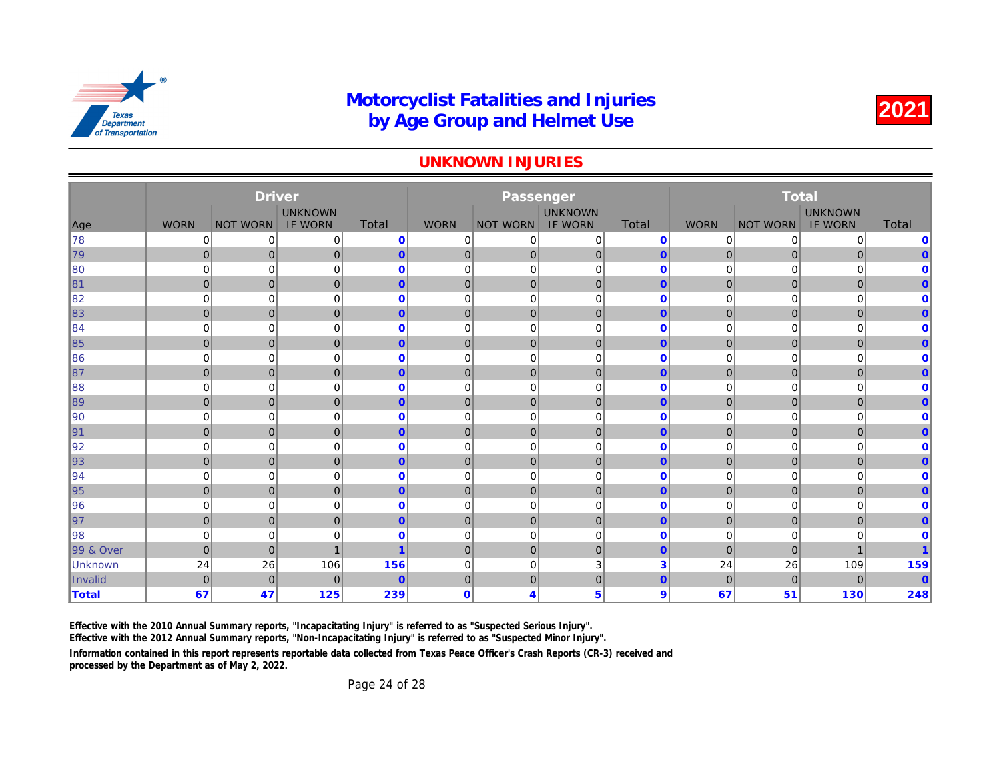#### UNKNOWN INJURIES

|                      |                | <b>Driver</b>   |                |                |                | Passenger             |                |                |                |              |
|----------------------|----------------|-----------------|----------------|----------------|----------------|-----------------------|----------------|----------------|----------------|--------------|
|                      |                |                 | <b>UNKNOWN</b> |                |                |                       | <b>UNKNOWN</b> |                |                |              |
| Age                  | <b>WORN</b>    | <b>NOT WORN</b> | <b>IF WORN</b> | <b>Total</b>   | <b>WORN</b>    | <b>NOT WORN</b>       | <b>IF WORN</b> | Total          | <b>WORN</b>    | <b>NOT W</b> |
| ∥78                  | 0              | $\mathbf 0$     | 0              | $\mathbf 0$    | 0              | 0                     | 0              | $\mathbf{0}$   | 0              |              |
| 79                   | $\overline{0}$ | $\mathbf 0$     | 0              | $\overline{0}$ | $\mathbf{0}$   | $\overline{0}$        | $\mathbf 0$    | $\mathbf{0}$   | $\overline{0}$ |              |
| 80                   | $\mathbf 0$    | $\mathbf 0$     | 0              | $\mathbf{0}$   | 0              | 0                     | $\mathbf 0$    | $\mathbf{0}$   | 0              |              |
| 81                   | $\overline{0}$ | $\mathbf 0$     | $\mathbf{0}$   | $\overline{0}$ | $\mathbf 0$    | $\overline{0}$        | $\mathbf 0$    | $\mathbf{0}$   | $\mathbf 0$    |              |
| 82                   | $\mathbf 0$    | $\mathbf 0$     | $\mathbf 0$    | $\mathbf{0}$   | 0              | $\mathbf 0$           | $\mathbf 0$    | $\mathbf 0$    | 0              |              |
| $\parallel$ 83       | $\overline{0}$ | $\mathbf 0$     | $\mathbf{0}$   | $\overline{0}$ | $\overline{0}$ | $\overline{0}$        | $\mathbf{0}$   | $\mathbf{0}$   | $\overline{0}$ |              |
| ∥84                  | $\mathbf 0$    | $\mathbf 0$     | 0              | $\mathbf{0}$   | 0              | $\mathbf 0$           | $\mathbf 0$    | $\mathbf 0$    | 0              |              |
| ∥85                  | $\overline{0}$ | $\mathbf 0$     | $\mathbf{0}$   | $\overline{0}$ | $\mathbf 0$    | $\overline{0}$        | $\mathbf 0$    | $\mathbf{0}$   | $\mathbf 0$    |              |
| 86                   | 0              | $\mathbf 0$     | 0              | $\mathbf 0$    | 0              | 0                     | $\mathbf 0$    | $\mathbf 0$    | 0              |              |
| ∥87                  | $\overline{0}$ | $\mathbf 0$     | 0              | $\overline{0}$ | $\overline{0}$ | $\overline{0}$        | $\mathbf 0$    | $\mathbf{0}$   | $\mathbf 0$    |              |
| 88                   | 0              | $\mathbf 0$     | $\mathbf 0$    | $\mathbf 0$    | $\mathbf 0$    | $\mathbf 0$           | $\mathbf 0$    | $\mathbf{0}$   | 0              |              |
| ∥89                  | $\overline{0}$ | $\mathbf{0}$    | $\mathbf{0}$   | $\overline{0}$ | $\overline{0}$ | $\overline{0}$        | $\mathbf{0}$   | $\mathbf{0}$   | $\overline{0}$ |              |
| $\parallel$ 90       | $\mathbf 0$    | $\mathbf 0$     | 0              | $\mathbf{0}$   | 0              | $\mathbf 0$           | $\mathbf 0$    | $\mathbf 0$    | 0              |              |
| ∥91                  | $\overline{0}$ | $\mathbf 0$     | $\mathbf{0}$   | $\overline{0}$ | $\mathbf 0$    | $\overline{0}$        | $\mathbf 0$    | $\mathbf{0}$   | $\overline{0}$ |              |
| ∥92                  | 0              | $\mathbf 0$     | 0              | $\mathbf 0$    | 0              | $\mathbf 0$           | $\mathbf 0$    | $\mathbf 0$    | 0              |              |
| 93                   | $\overline{0}$ | $\mathbf 0$     | $\mathbf{0}$   | $\mathbf{0}$   | $\overline{0}$ | $\overline{0}$        | $\mathbf 0$    | $\mathbf{0}$   | $\mathbf 0$    |              |
| ∥94                  | $\mathbf 0$    | $\mathbf 0$     | 0              | $\mathbf 0$    | 0              | $\mathbf 0$           | $\mathbf 0$    | $\bf{0}$       | 0              |              |
| ∥95                  | $\overline{0}$ | $\mathbf 0$     | 0              | $\overline{0}$ | $\overline{0}$ | $\overline{0}$        | $\mathbf 0$    | $\mathbf{0}$   | $\overline{0}$ |              |
| ∥96                  | $\mathbf 0$    | $\mathbf 0$     | 0              | $\mathbf 0$    | 0              | $\mathbf 0$           | $\mathbf 0$    | $\mathbf 0$    | 0              |              |
| ∥97                  | $\overline{0}$ | $\mathbf 0$     | 0              | $\overline{0}$ | $\mathbf 0$    | $\overline{0}$        | $\mathbf 0$    | $\overline{0}$ | $\mathbf 0$    |              |
| ∥98                  | 0              | $\mathbf 0$     | 0              | $\mathbf 0$    | 0              | $\mathbf 0$           | $\mathbf 0$    | $\mathbf 0$    | 0              |              |
| <b>99 &amp; Over</b> | $\mathbf 0$    | $\mathbf 0$     | 1              | 1              | $\mathbf{0}$   | $\overline{0}$        | $\mathbf 0$    | $\mathbf{0}$   | $\mathbf{0}$   |              |
| Unknown              | 24             | 26              | 106            | 156            | $\mathbf 0$    | $\mathbf 0$           | 3              | 3              | 24             |              |
| Invalid              | $\overline{0}$ | $\overline{0}$  | $\mathbf{0}$   | $\mathbf{0}$   | $\mathbf{0}$   | $\overline{0}$        | $\overline{0}$ | $\mathbf{0}$   | $\mathbf{0}$   |              |
| ∥Total               | 67             | 47              | 125            | 239            | $\mathbf 0$    | $\boldsymbol{\Delta}$ | 5              | 9              | 67             |              |

Effective with the 2010 Annual Summary reports, "Incapacitating Injury" is referred to as "Suspected Serious Injury".

Effective with the 2012 Annual Summary reports, "Non-Incapacitating Injury" is referred to as "Suspected Minor Injury".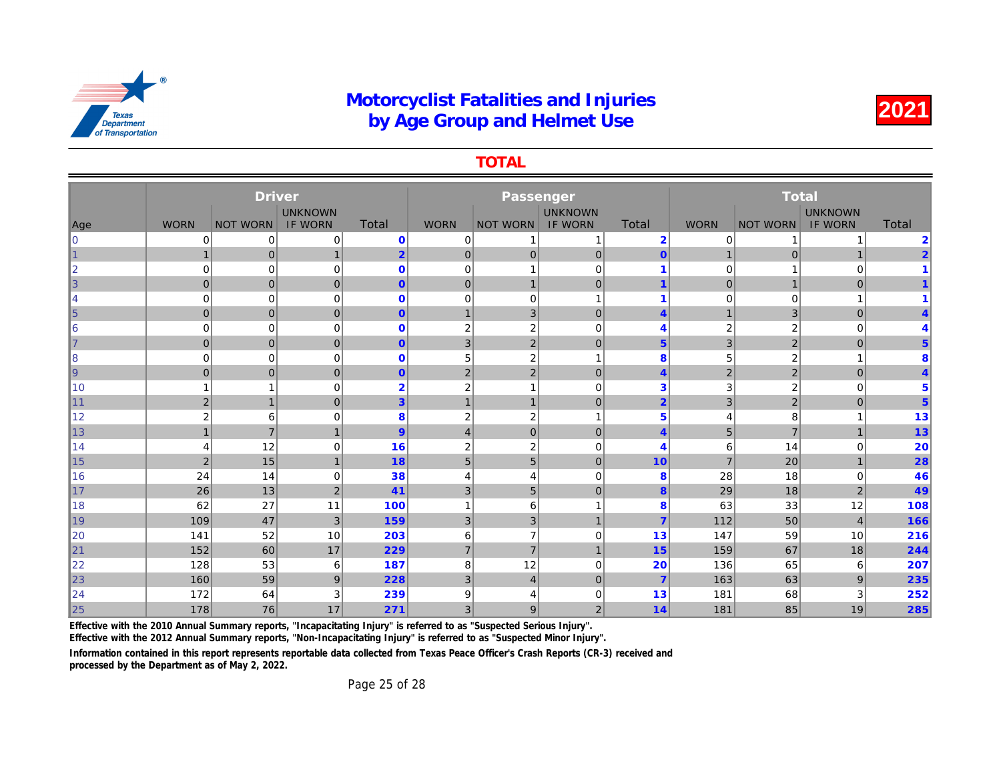TOTAL

|                |                | <b>Driver</b>   |                |                |                |                  |                |                 |                |              |
|----------------|----------------|-----------------|----------------|----------------|----------------|------------------|----------------|-----------------|----------------|--------------|
|                |                |                 | <b>UNKNOWN</b> |                |                |                  | <b>UNKNOWN</b> |                 |                |              |
| Age            | <b>WORN</b>    | <b>NOT WORN</b> | <b>IF WORN</b> | Total          | <b>WORN</b>    | <b>NOT WORN</b>  | <b>IF WORN</b> | Total           | <b>WORN</b>    | <b>NOT W</b> |
| $\overline{0}$ | 0              | 0               | 0              | $\mathbf 0$    | 0              |                  | 1              | $\overline{2}$  | 0              |              |
| $\overline{1}$ |                | $\mathbf 0$     | $\mathbf{1}$   | $\overline{2}$ | $\mathbf 0$    | $\mathbf 0$      | $\mathbf 0$    | $\mathbf{0}$    | 1              |              |
| $\overline{2}$ | $\Omega$       | 0               | $\mathbf 0$    | $\mathbf 0$    | $\mathbf 0$    |                  | $\Omega$       | 1               | 0              |              |
| 3              | $\mathbf 0$    | $\mathbf 0$     | $\mathbf{0}$   | $\overline{0}$ | $\mathbf 0$    |                  | $\mathbf 0$    | $\overline{1}$  | $\mathbf 0$    |              |
| $\overline{4}$ | $\mathbf 0$    | 0               | 0              | $\mathbf{0}$   | $\mathbf 0$    | 0                | 1              | 1               | 0              |              |
| $\overline{5}$ | $\overline{0}$ | $\mathbf 0$     | $\mathbf 0$    | $\overline{0}$ | $\overline{1}$ | 3                | $\mathbf 0$    | $\overline{4}$  | 1              |              |
| 6              | $\mathbf 0$    | $\mathbf 0$     | $\mathbf 0$    | $\mathbf 0$    | $\overline{2}$ | $\boldsymbol{2}$ | $\mathbf 0$    | 4               | $\overline{2}$ |              |
| $\overline{7}$ | $\overline{0}$ | $\mathbf 0$     | $\mathbf 0$    | $\overline{0}$ | $\mathbf{3}$   | $\mathbf 2$      | $\mathbf 0$    | $5\phantom{.0}$ | 3              |              |
| 8              | 0              | 0               | 0              | $\mathbf 0$    | 5              | $\overline{2}$   | 1              | 8               | 5              |              |
| 9              | $\overline{0}$ | $\mathbf 0$     | $\mathbf{0}$   | $\overline{0}$ | $\overline{2}$ | 2                | $\mathbf{0}$   | $\overline{4}$  | $\overline{2}$ |              |
| 10             |                | 1               | 0              | $\overline{2}$ | $\overline{2}$ |                  | $\mathbf 0$    | 3               | 3              |              |
| 11             | $\overline{2}$ | $\overline{1}$  | $\mathbf{0}$   | $\overline{3}$ | $\mathbf 1$    | $\mathbf{1}$     | $\mathbf 0$    | $\overline{2}$  | 3              |              |
| 12             | $\overline{2}$ | 6               | 0              | 8              | $\overline{2}$ | $\overline{2}$   | $\mathbf{1}$   | 5               | 4              |              |
| 13             | $\mathbf{1}$   | $\overline{7}$  | $\overline{1}$ | 9              | $\overline{4}$ | $\mathbf 0$      | $\mathbf 0$    | $\overline{4}$  | 5              |              |
| 14             | 4              | 12              | 0              | 16             | $\overline{2}$ | $\overline{2}$   | $\mathbf 0$    | 4               | 6              |              |
| 15             | $\overline{2}$ | 15              | $\mathbf{1}$   | 18             | 5              | 5                | $\mathbf{0}$   | 10              | $\overline{7}$ |              |
| 16             | 24             | 14              | 0              | 38             | $\overline{4}$ | 4                | $\mathbf 0$    | 8               | 28             |              |
| 17             | 26             | 13              | $\overline{2}$ | 41             | 3              | 5                | $\mathbf 0$    | 8               | 29             |              |
| 18             | 62             | 27              | 11             | 100            | $\overline{1}$ | 6                | 1              | 8               | 63             |              |
| 19             | 109            | 47              | 3              | 159            | $\mathbf{3}$   | 3                | $\mathbf{1}$   | 7               | 112            |              |
| 20             | 141            | 52              | 10             | 203            | 6              | $\overline{7}$   | $\Omega$       | 13              | 147            |              |
| 21             | 152            | 60              | 17             | 229            | $\overline{7}$ | $\overline{7}$   | $\mathbf{1}$   | 15              | 159            |              |
| 22             | 128            | 53              | 6              | 187            | 8              | 12               | $\mathbf 0$    | 20              | 136            |              |
| 23             | 160            | 59              | 9              | 228            | 3              | $\overline{4}$   | $\mathbf 0$    | $\overline{7}$  | 163            |              |
| 24             | 172            | 64              | 3              | 239            | 9              |                  | $\mathbf 0$    | 13              | 181            |              |
| 25             | 178            | 76              | 17             | 271            | $\overline{3}$ | 9                | $\overline{2}$ | 14              | 181            |              |

Effective with the 2010 Annual Summary reports, "Incapacitating Injury" is referred to as "Suspected Serious Injury".

Effective with the 2012 Annual Summary reports, "Non-Incapacitating Injury" is referred to as "Suspected Minor Injury".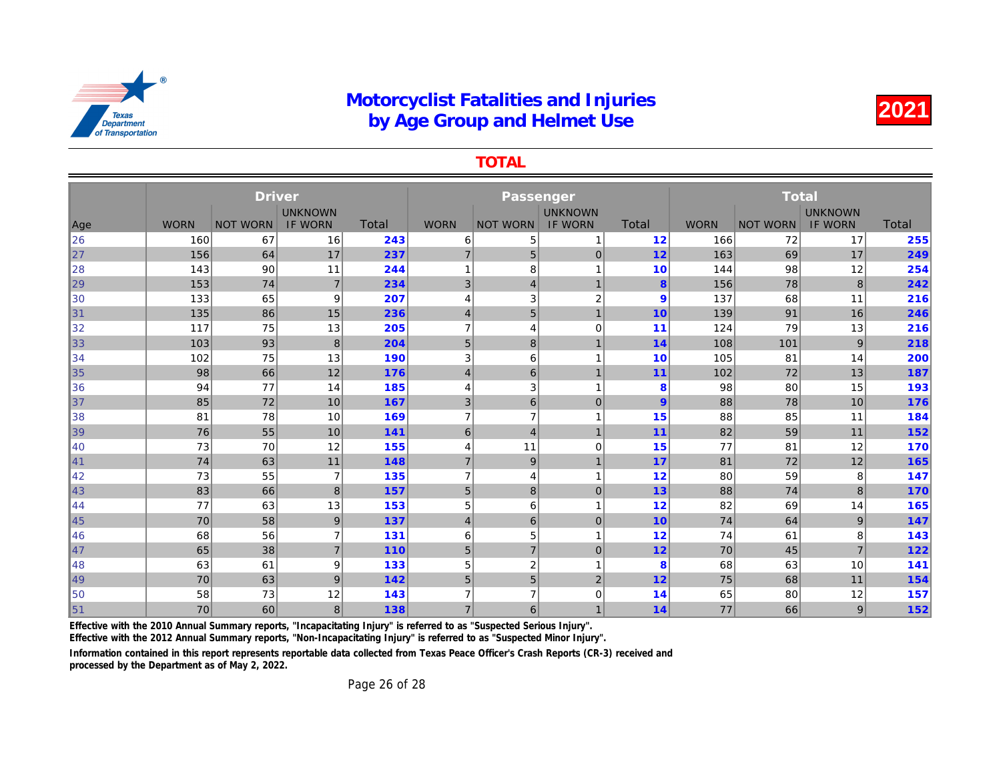TOTAL

|     |             | <b>Driver</b>   |                |              |                |                         |                |                |             |              |
|-----|-------------|-----------------|----------------|--------------|----------------|-------------------------|----------------|----------------|-------------|--------------|
|     |             |                 | <b>UNKNOWN</b> |              |                |                         | <b>UNKNOWN</b> |                |             |              |
| Age | <b>WORN</b> | <b>NOT WORN</b> | <b>IF WORN</b> | <b>Total</b> | <b>WORN</b>    | <b>NOT WORN</b>         | <b>IF WORN</b> | <b>Total</b>   | <b>WORN</b> | <b>NOT W</b> |
| 26  | 160         | 67              | 16             | 243          | 6              | 5                       | 1              | 12             | 166         |              |
| 27  | 156         | 64              | 17             | 237          | $\overline{7}$ | 5                       | $\mathbf 0$    | 12             | 163         |              |
| 28  | 143         | 90              | 11             | 244          | 1              | 8                       |                | 10             | 144         |              |
| 29  | 153         | 74              | $\overline{7}$ | 234          | 3              | $\overline{4}$          | $\overline{1}$ | 8              | 156         |              |
| 30  | 133         | 65              | 9              | 207          | 4              | 3                       | $\overline{2}$ | 9              | 137         |              |
| 31  | 135         | 86              | 15             | 236          | $\overline{4}$ | 5                       | $\overline{1}$ | 10             | 139         |              |
| 32  | 117         | 75              | 13             | 205          | $\overline{7}$ | 4                       | $\mathbf 0$    | 11             | 124         |              |
| 33  | 103         | 93              | 8              | 204          | 5              | 8                       | 1              | 14             | 108         |              |
| 34  | 102         | 75              | 13             | 190          | 3              | 6                       | $\overline{ }$ | 10             | 105         |              |
| 35  | 98          | 66              | 12             | 176          | $\overline{4}$ | 6                       | $\overline{1}$ | 11             | 102         |              |
| 36  | 94          | 77              | 14             | 185          | 4              | 3                       | 1              | 8              | 98          |              |
| 37  | 85          | 72              | 10             | 167          | 3              | 6                       | $\mathbf 0$    | $\overline{9}$ | 88          |              |
| 38  | 81          | 78              | 10             | 169          | $\overline{7}$ | $\overline{7}$          | 1              | 15             | 88          |              |
| 39  | 76          | 55              | 10             | 141          | 6              | $\overline{\mathbf{4}}$ | $\mathbf{1}$   | 11             | 82          |              |
| 40  | 73          | 70              | 12             | 155          | 4              | 11                      | 0              | 15             | 77          |              |
| 41  | 74          | 63              | 11             | 148          | $\overline{7}$ | $\boldsymbol{9}$        | $\mathbf{1}$   | 17             | 81          |              |
| 42  | 73          | 55              | $\overline{7}$ | 135          | $\overline{7}$ | 4                       | $\mathbf{1}$   | 12             | 80          |              |
| 43  | 83          | 66              | 8              | 157          | $5\,$          | $\bf 8$                 | $\pmb{0}$      | 13             | 88          |              |
| 44  | 77          | 63              | 13             | 153          | 5              | 6                       | 1              | 12             | 82          |              |
| 45  | 70          | 58              | 9              | 137          | $\vert$        | 6                       | $\mathbf 0$    | 10             | 74          |              |
| 46  | 68          | 56              | 7              | 131          | 6              | 5                       | 1              | 12             | 74          |              |
| 47  | 65          | 38              | $\overline{7}$ | 110          | 5              | $\overline{7}$          | $\mathbf 0$    | 12             | 70          |              |
| 48  | 63          | 61              | 9              | 133          | 5              | 2                       | 1              | 8              | 68          |              |
| 49  | 70          | 63              | 9              | 142          | 5              | 5                       | $\overline{2}$ | 12             | 75          |              |
| 50  | 58          | 73              | 12             | 143          | 7              | $\overline{7}$          | $\mathbf 0$    | 14             | 65          |              |
| 51  | 70          | 60              | 8              | 138          | $\overline{7}$ | 6                       | $\overline{1}$ | 14             | 77          |              |

Effective with the 2010 Annual Summary reports, "Incapacitating Injury" is referred to as "Suspected Serious Injury".

Effective with the 2012 Annual Summary reports, "Non-Incapacitating Injury" is referred to as "Suspected Minor Injury".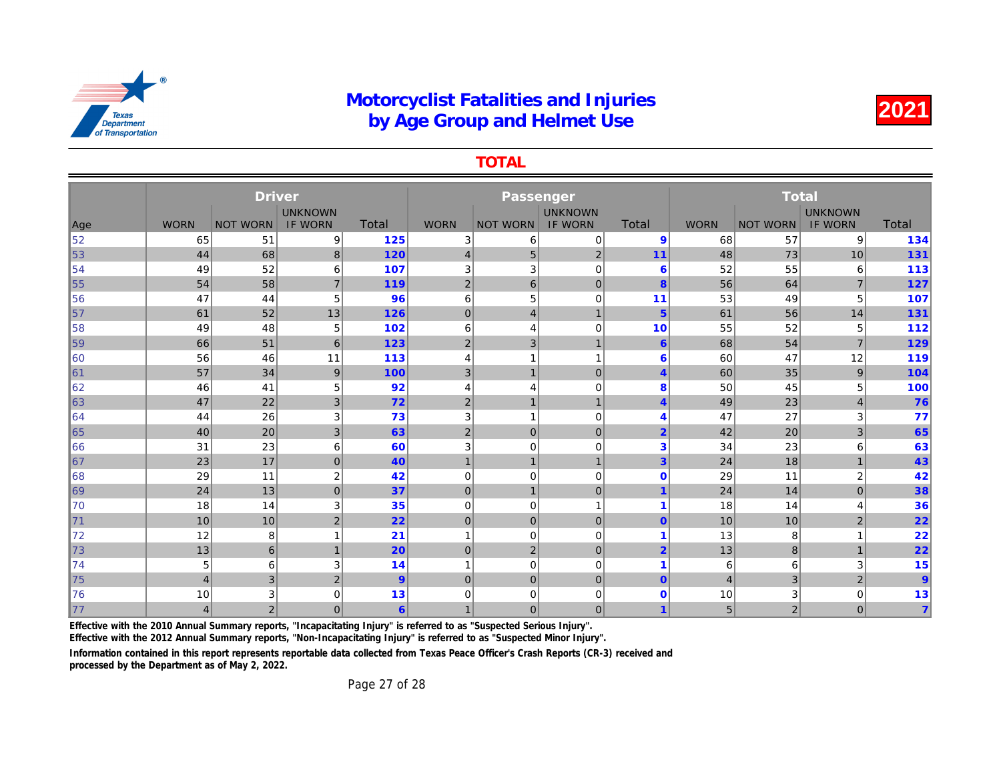TOTAL

|     |                | <b>Driver</b>   |                                  |                  |                |                 |                                  |                         |                |              |
|-----|----------------|-----------------|----------------------------------|------------------|----------------|-----------------|----------------------------------|-------------------------|----------------|--------------|
| Age | <b>WORN</b>    | <b>NOT WORN</b> | <b>UNKNOWN</b><br><b>IF WORN</b> | Total            | <b>WORN</b>    | <b>NOT WORN</b> | <b>UNKNOWN</b><br><b>IF WORN</b> | Total                   | <b>WORN</b>    | <b>NOT W</b> |
| 52  | 65             | 51              | 9                                | 125              | 3              | 6               | $\mathbf 0$                      | 9                       | 68             |              |
| 53  | 44             | 68              | 8                                | 120              | $\overline{4}$ | 5               | $\overline{c}$                   | 11                      | 48             |              |
| 54  | 49             | 52              | 6                                | 107              | 3              | 3               | $\mathbf 0$                      | 6                       | 52             |              |
| 55  | 54             | 58              | $\overline{7}$                   | 119              | $\overline{2}$ | 6               | $\overline{0}$                   | 8                       | 56             |              |
| 56  | 47             | 44              | 5                                | 96               | 6              | 5               | $\mathbf 0$                      | 11                      | 53             |              |
| 57  | 61             | 52              | 13                               | 126              | $\mathbf 0$    | $\overline{4}$  | $\mathbf{1}$                     | $5\phantom{1}$          | 61             |              |
| 58  | 49             | 48              | 5                                | 102              | 6              | 4               | $\Omega$                         | 10                      | 55             |              |
| 59  | 66             | 51              | 6                                | 123              | $\overline{2}$ | 3               | $\mathbf{1}$                     | 6                       | 68             |              |
| 60  | 56             | 46              | 11                               | 113              | $\overline{4}$ |                 | 1                                | 6                       | 60             |              |
| ∥61 | 57             | 34              | 9                                | 100              | $\mathbf{3}$   |                 | $\mathbf 0$                      | $\overline{4}$          | 60             |              |
| 62  | 46             | 41              | 5                                | 92               | 4              | 4               | $\mathbf 0$                      | 8                       | 50             |              |
| 63  | 47             | 22              | 3                                | 72               | $\overline{2}$ |                 | $\mathbf{1}$                     | $\overline{4}$          | 49             |              |
| 64  | 44             | 26              | 3                                | 73               | 3              | -1              | $\mathbf 0$                      | 4                       | 47             |              |
| 65  | 40             | 20              | 3                                | 63               | $\overline{2}$ | $\mathbf{0}$    | $\mathbf{0}$                     | $\overline{2}$          | 42             |              |
| 66  | 31             | 23              | 6                                | 60               | 3              | $\mathbf 0$     | $\mathbf 0$                      | 3                       | 34             |              |
| 67  | 23             | 17              | $\mathbf{0}$                     | 40               | $\overline{1}$ | $\mathbf{1}$    | $\mathbf{1}$                     | 3                       | 24             |              |
| 68  | 29             | 11              | $\overline{2}$                   | 42               | $\mathbf 0$    | $\mathbf 0$     | $\mathbf 0$                      | $\mathbf{0}$            | 29             |              |
| 69  | 24             | 13              | $\mathbf{0}$                     | 37               | $\mathbf 0$    | $\mathbf{1}$    | $\mathbf 0$                      | 1                       | 24             |              |
| 70  | 18             | 14              | 3                                | 35               | $\mathbf 0$    | $\mathbf 0$     | $\mathbf{1}$                     | 1                       | 18             |              |
| 71  | 10             | 10              | $\overline{2}$                   | 22               | $\overline{0}$ | $\mathbf{0}$    | $\mathbf{0}$                     | $\mathbf{0}$            | 10             |              |
| 72  | 12             | 8               |                                  | 21               | $\overline{1}$ | $\mathbf 0$     | $\Omega$                         | 1                       | 13             |              |
| 73  | 13             | $6\phantom{1}$  | $\overline{1}$                   | 20               | $\mathbf 0$    | $\overline{2}$  | $\overline{0}$                   | $\overline{2}$          | 13             |              |
| 74  | 5              | 6               | 3                                | 14               | -1             | $\mathbf 0$     | $\mathbf 0$                      | 1                       | 6              |              |
| 75  | $\overline{4}$ | $\mathbf{3}$    | $\overline{2}$                   | 9                | $\overline{0}$ | $\overline{0}$  | $\mathbf{0}$                     | $\mathbf{0}$            | $\overline{4}$ |              |
| 76  | 10             | 3               | 0                                | 13               | 0              | 0               | $\mathbf 0$                      | $\bf{0}$                | 10             |              |
| 177 | 4              | $\overline{2}$  | $\Omega$                         | $6 \overline{6}$ | $\mathbf 1$    | $\mathbf{0}$    | $\mathbf{0}$                     | $\overline{\mathbf{1}}$ | 5              |              |

Effective with the 2010 Annual Summary reports, "Incapacitating Injury" is referred to as "Suspected Serious Injury".

Effective with the 2012 Annual Summary reports, "Non-Incapacitating Injury" is referred to as "Suspected Minor Injury".